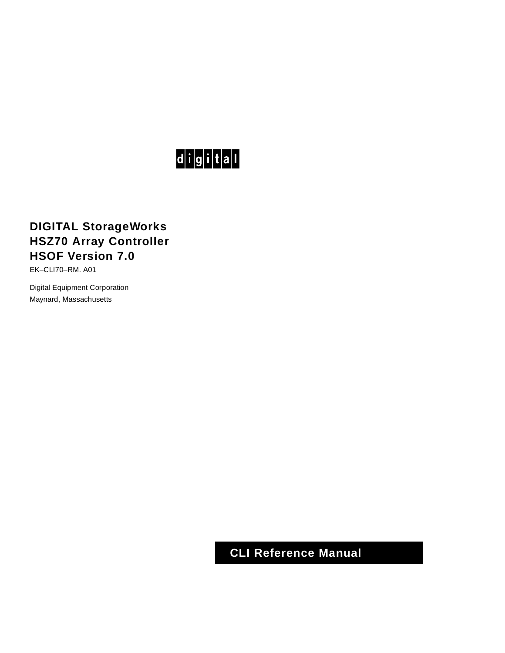# $d$  $i$  $g$  $i$  $t$  $a$  $l$

# **DIGITAL StorageWorks HSZ70 Array Controller HSOF Version 7.0**

EK–CLI70–RM. A01

Digital Equipment Corporation Maynard, Massachusetts

**CLI Reference Manual**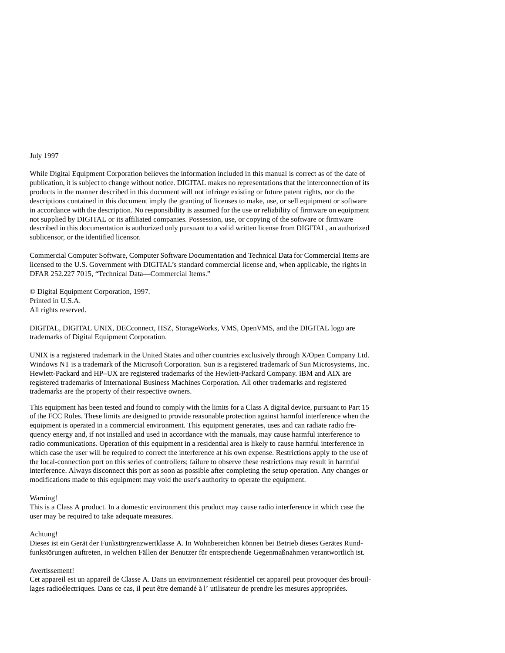#### July 1997

While Digital Equipment Corporation believes the information included in this manual is correct as of the date of publication, it is subject to change without notice. DIGITAL makes no representations that the interconnection of its products in the manner described in this document will not infringe existing or future patent rights, nor do the descriptions contained in this document imply the granting of licenses to make, use, or sell equipment or software in accordance with the description. No responsibility is assumed for the use or reliability of firmware on equipment not supplied by DIGITAL or its affiliated companies. Possession, use, or copying of the software or firmware described in this documentation is authorized only pursuant to a valid written license from DIGITAL, an authorized sublicensor, or the identified licensor.

Commercial Computer Software, Computer Software Documentation and Technical Data for Commercial Items are licensed to the U.S. Government with DIGITAL's standard commercial license and, when applicable, the rights in DFAR 252.227 7015, "Technical Data—Commercial Items."

© Digital Equipment Corporation, 1997. Printed in U.S.A. All rights reserved.

DIGITAL, DIGITAL UNIX, DECconnect, HSZ, StorageWorks, VMS, OpenVMS, and the DIGITAL logo are trademarks of Digital Equipment Corporation.

UNIX is a registered trademark in the United States and other countries exclusively through X/Open Company Ltd. Windows NT is a trademark of the Microsoft Corporation. Sun is a registered trademark of Sun Microsystems, Inc. Hewlett-Packard and HP–UX are registered trademarks of the Hewlett-Packard Company. IBM and AIX are registered trademarks of International Business Machines Corporation. All other trademarks and registered trademarks are the property of their respective owners.

This equipment has been tested and found to comply with the limits for a Class A digital device, pursuant to Part 15 of the FCC Rules. These limits are designed to provide reasonable protection against harmful interference when the equipment is operated in a commercial environment. This equipment generates, uses and can radiate radio frequency energy and, if not installed and used in accordance with the manuals, may cause harmful interference to radio communications. Operation of this equipment in a residential area is likely to cause harmful interference in which case the user will be required to correct the interference at his own expense. Restrictions apply to the use of the local-connection port on this series of controllers; failure to observe these restrictions may result in harmful interference. Always disconnect this port as soon as possible after completing the setup operation. Any changes or modifications made to this equipment may void the user's authority to operate the equipment.

#### Warning!

This is a Class A product. In a domestic environment this product may cause radio interference in which case the user may be required to take adequate measures.

#### Achtung!

Dieses ist ein Gerät der Funkstörgrenzwertklasse A. In Wohnbereichen können bei Betrieb dieses Gerätes Rundfunkstörungen auftreten, in welchen Fällen der Benutzer für entsprechende Gegenmaßnahmen verantwortlich ist.

#### Avertissement!

Cet appareil est un appareil de Classe A. Dans un environnement résidentiel cet appareil peut provoquer des brouillages radioélectriques. Dans ce cas, il peut être demandé à l' utilisateur de prendre les mesures appropriées.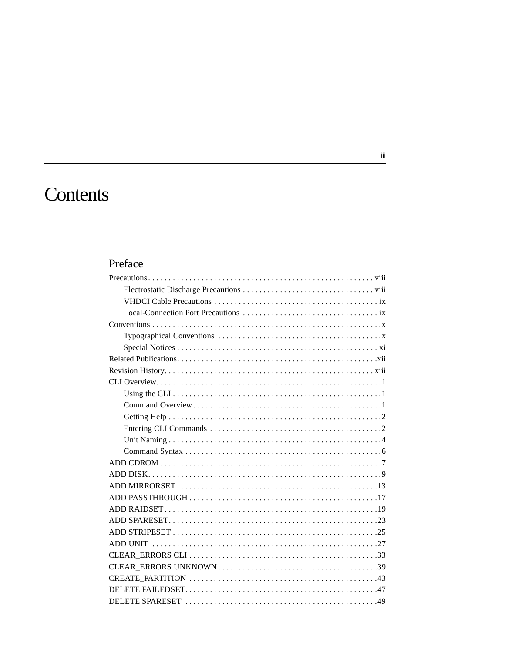# Contents

# Preface

#### $\mathrm{iii}$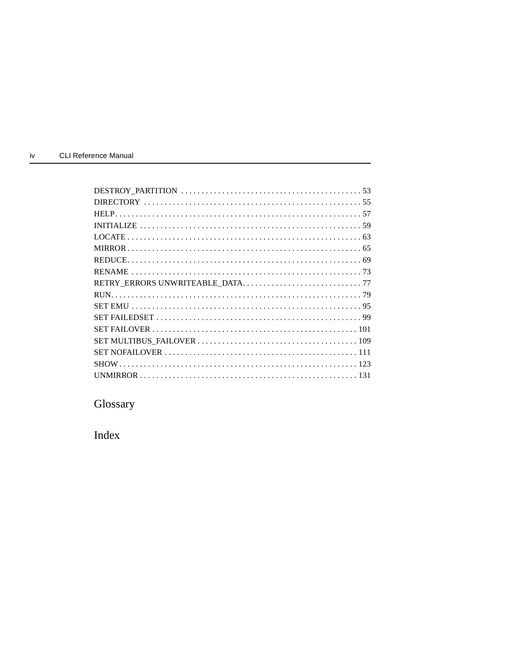| ı٧ | <b>CLI Reference Manual</b> |  |
|----|-----------------------------|--|
|    |                             |  |

Glossary

Index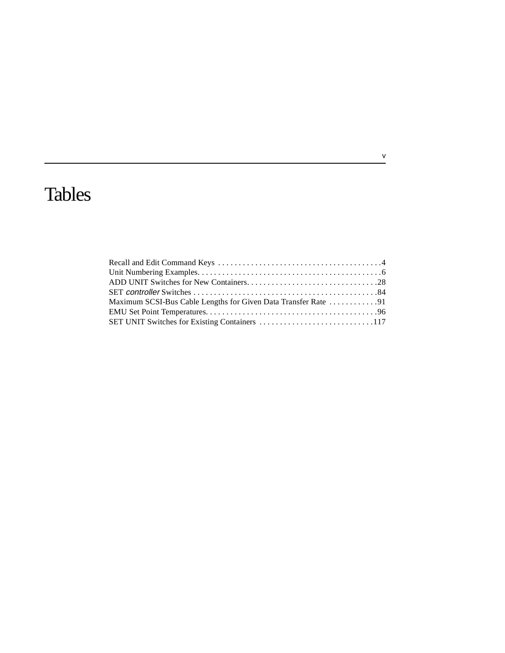# Tables

# $\frac{v}{\sqrt{2}}$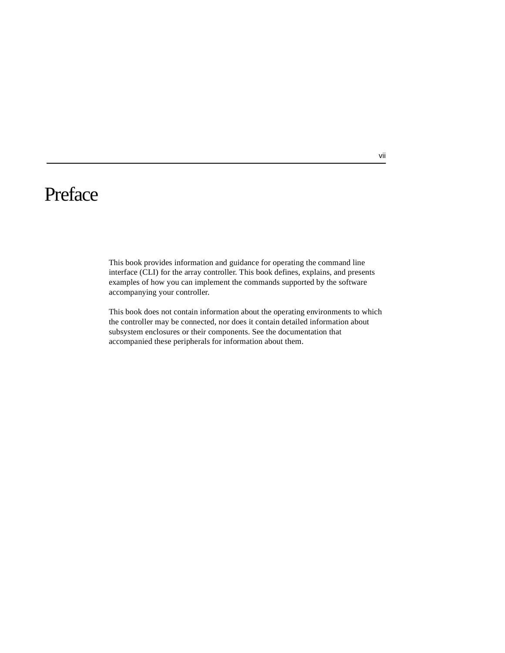# <span id="page-6-0"></span>Preface

This book provides information and guidance for operating the command line interface (CLI) for the array controller. This book defines, explains, and presents examples of how you can implement the commands supported by the software accompanying your controller.

This book does not contain information about the operating environments to which the controller may be connected, nor does it contain detailed information about subsystem enclosures or their components. See the documentation that accompanied these peripherals for information about them.

vii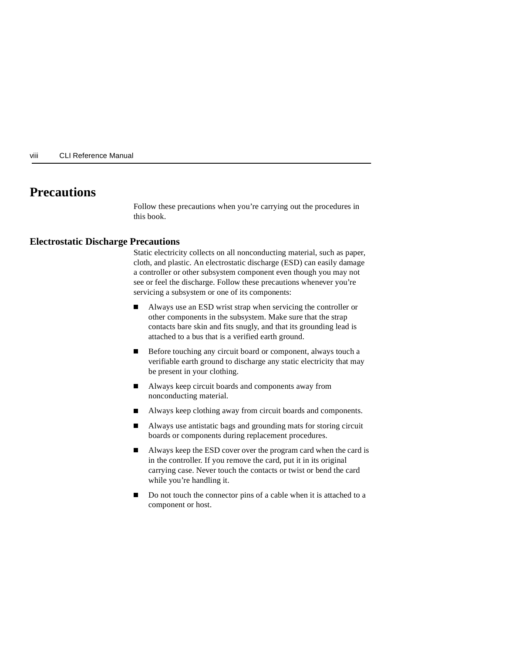#### <span id="page-7-0"></span>viii CLI Reference Manual

# **Precautions**

Follow these precautions when you're carrying out the procedures in this book.

#### **Electrostatic Discharge Precautions**

Static electricity collects on all nonconducting material, such as paper, cloth, and plastic. An electrostatic discharge (ESD) can easily damage a controller or other subsystem component even though you may not see or feel the discharge. Follow these precautions whenever you're servicing a subsystem or one of its components:

- $\blacksquare$  Always use an ESD wrist strap when servicing the controller or other components in the subsystem. Make sure that the strap contacts bare skin and fits snugly, and that its grounding lead is attached to a bus that is a verified earth ground.
- $\blacksquare$  Before touching any circuit board or component, always touch a verifiable earth ground to discharge any static electricity that may be present in your clothing.
- $\blacksquare$  Always keep circuit boards and components away from nonconducting material.
- $\blacksquare$ Always keep clothing away from circuit boards and components.
- $\blacksquare$  Always use antistatic bags and grounding mats for storing circuit boards or components during replacement procedures.
- $\blacksquare$  Always keep the ESD cover over the program card when the card is in the controller. If you remove the card, put it in its original carrying case. Never touch the contacts or twist or bend the card while you're handling it.
- $\blacksquare$  Do not touch the connector pins of a cable when it is attached to a component or host.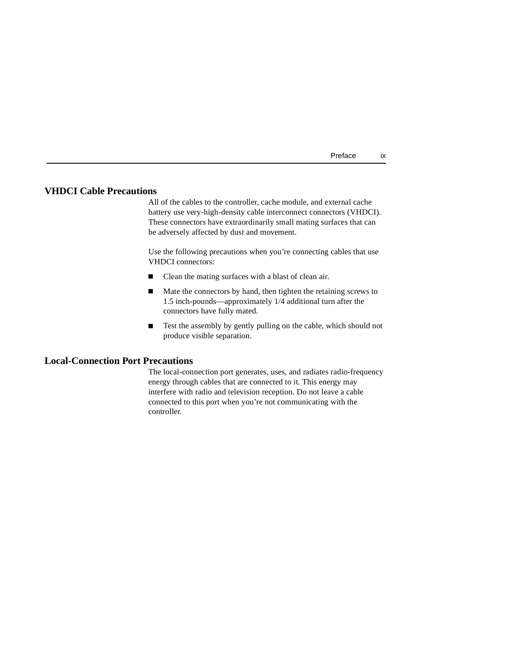| Preface | ıχ |
|---------|----|
|         |    |

#### <span id="page-8-0"></span>**VHDCI Cable Precautions**

All of the cables to the controller, cache module, and external cache battery use very-high-density cable interconnect connectors (VHDCI). These connectors have extraordinarily small mating surfaces that can be adversely affected by dust and movement.

Use the following precautions when you're connecting cables that use VHDCI connectors:

- $\blacksquare$ Clean the mating surfaces with a blast of clean air.
- Mate the connectors by hand, then tighten the retaining screws to 1.5 inch-pounds—approximately 1/4 additional turn after the connectors have fully mated.
- $\blacksquare$  Test the assembly by gently pulling on the cable, which should not produce visible separation.

### **Local-Connection Port Precautions**

The local-connection port generates, uses, and radiates radio-frequency energy through cables that are connected to it. This energy may interfere with radio and television reception. Do not leave a cable connected to this port when you're not communicating with the controller.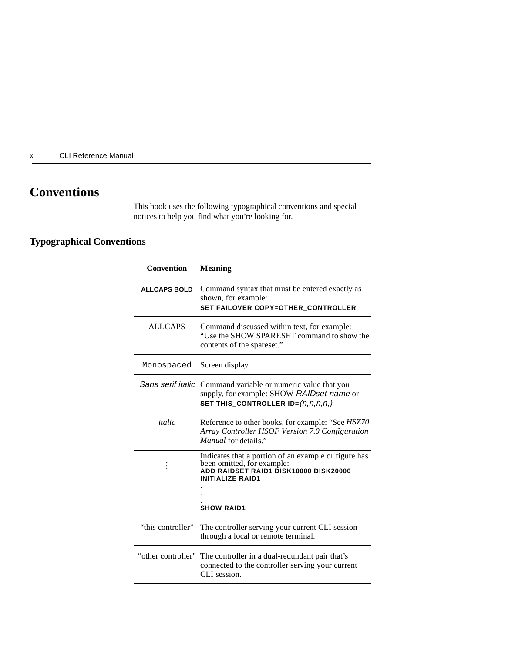<span id="page-9-0"></span>x CLI Reference Manual

# **Conventions**

This book uses the following typographical conventions and special notices to help you find what you're looking for.

## **Typographical Conventions**

| Convention          | <b>Meaning</b>                                                                                                                                                              |
|---------------------|-----------------------------------------------------------------------------------------------------------------------------------------------------------------------------|
| <b>ALLCAPS BOLD</b> | Command syntax that must be entered exactly as<br>shown, for example:<br>SET FAILOVER COPY=OTHER CONTROLLER                                                                 |
| <b>ALLCAPS</b>      | Command discussed within text, for example:<br>"Use the SHOW SPARESET command to show the<br>contents of the spareset."                                                     |
| Monospaced          | Screen display.                                                                                                                                                             |
|                     | Sans serif italic Command variable or numeric value that you<br>supply, for example: SHOW RAIDset-name or<br>SET THIS_CONTROLLER ID= $(n, n, n, n, n)$                      |
| italic              | Reference to other books, for example: "See HSZ70"<br>Array Controller HSOF Version 7.0 Configuration<br>Manual for details."                                               |
|                     | Indicates that a portion of an example or figure has<br>been omitted, for example:<br>ADD RAIDSET RAID1 DISK10000 DISK20000<br><b>INITIALIZE RAID1</b><br><b>SHOW RAID1</b> |
|                     |                                                                                                                                                                             |
| "this controller"   | The controller serving your current CLI session<br>through a local or remote terminal.                                                                                      |
|                     | "other controller" The controller in a dual-redundant pair that's<br>connected to the controller serving your current<br>CLI session.                                       |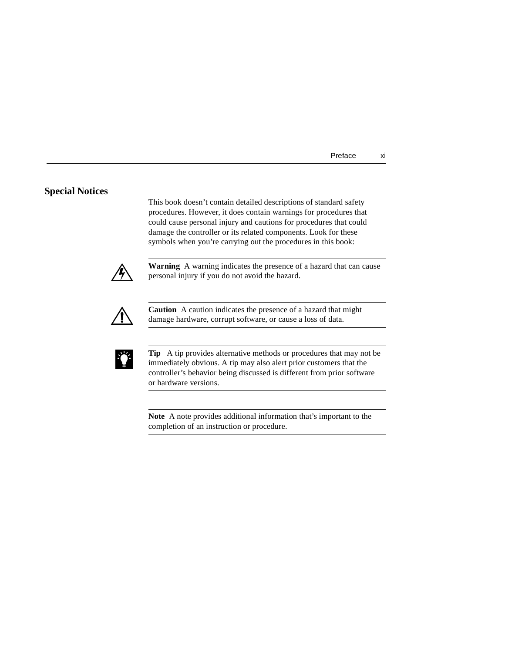#### <span id="page-10-0"></span>**Special Notices**

This book doesn't contain detailed descriptions of standard safety procedures. However, it does contain warnings for procedures that could cause personal injury and cautions for procedures that could damage the controller or its related components. Look for these symbols when you're carrying out the procedures in this book:



**Warning** A warning indicates the presence of a hazard that can cause personal injury if you do not avoid the hazard.



**Caution** A caution indicates the presence of a hazard that might damage hardware, corrupt software, or cause a loss of data.



**Tip** A tip provides alternative methods or procedures that may not be immediately obvious. A tip may also alert prior customers that the controller's behavior being discussed is different from prior software or hardware versions.

**Note** A note provides additional information that's important to the completion of an instruction or procedure.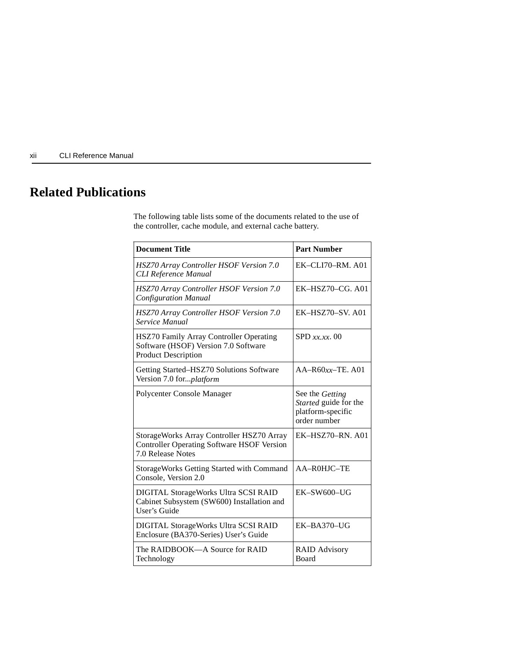<span id="page-11-0"></span>xii CLI Reference Manual

# **Related Publications**

The following table lists some of the documents related to the use of the controller, cache module, and external cache battery.

| <b>Document Title</b>                                                                                               | <b>Part Number</b>                                                            |
|---------------------------------------------------------------------------------------------------------------------|-------------------------------------------------------------------------------|
| HSZ70 Array Controller HSOF Version 7.0<br><b>CLI Reference Manual</b>                                              | $EK-CLI70-RM. A01$                                                            |
| HSZ70 Array Controller HSOF Version 7.0<br><b>Configuration Manual</b>                                              | $EK-HSZ70-CG.$ A01                                                            |
| HSZ70 Array Controller HSOF Version 7.0<br>Service Manual                                                           | EK-HSZ70-SV, A01                                                              |
| HSZ70 Family Array Controller Operating<br>Software (HSOF) Version 7.0 Software<br><b>Product Description</b>       | $SPD$ xx, xx, 00                                                              |
| Getting Started-HSZ70 Solutions Software<br>Version 7.0 for <i>platform</i>                                         | $AA-R60xx-TE. A01$                                                            |
| Polycenter Console Manager                                                                                          | See the Getting<br>Started guide for the<br>platform-specific<br>order number |
| StorageWorks Array Controller HSZ70 Array<br><b>Controller Operating Software HSOF Version</b><br>7.0 Release Notes | $EK-HSZ70-RN.$ A01                                                            |
| <b>StorageWorks Getting Started with Command</b><br>Console, Version 2.0                                            | AA-R0HJC-TE                                                                   |
| DIGITAL StorageWorks Ultra SCSI RAID<br>Cabinet Subsystem (SW600) Installation and<br>User's Guide                  | $EK-SW600-UG$                                                                 |
| DIGITAL StorageWorks Ultra SCSI RAID<br>Enclosure (BA370-Series) User's Guide                                       | $EK-BA370-UG$                                                                 |
| The RAIDBOOK-A Source for RAID<br>Technology                                                                        | <b>RAID Advisory</b><br>Board                                                 |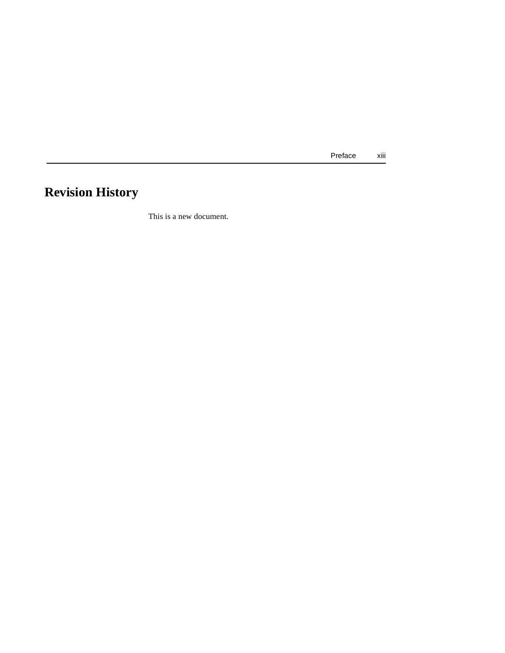Preface xiii

# <span id="page-12-0"></span>**Revision History**

This is a new document.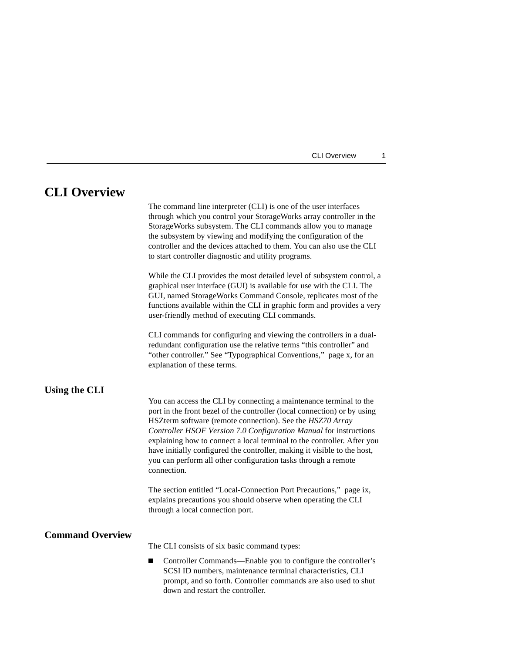| CLI Overview |  |
|--------------|--|
|--------------|--|

## <span id="page-14-0"></span>**CLI Overview**

The command line interpreter (CLI) is one of the user interfaces through which you control your StorageWorks array controller in the StorageWorks subsystem. The CLI commands allow you to manage the subsystem by viewing and modifying the configuration of the controller and the devices attached to them. You can also use the CLI to start controller diagnostic and utility programs.

While the CLI provides the most detailed level of subsystem control, a graphical user interface (GUI) is available for use with the CLI. The GUI, named StorageWorks Command Console, replicates most of the functions available within the CLI in graphic form and provides a very user-friendly method of executing CLI commands.

CLI commands for configuring and viewing the controllers in a dualredundant configuration use the relative terms "this controller" and "other controller." See ["Typographical Conventions," page x,](#page-9-0) for an explanation of these terms.

#### **Using the CLI**

You can access the CLI by connecting a maintenance terminal to the port in the front bezel of the controller (local connection) or by using HSZterm software (remote connection). See the *HSZ70 Array Controller HSOF Version 7.0 Configuration Manual* for instructions explaining how to connect a local terminal to the controller. After you have initially configured the controller, making it visible to the host, you can perform all other configuration tasks through a remote connection.

The section entitled ["Local-Connection Port Precautions," page ix](#page-8-0), explains precautions you should observe when operating the CLI through a local connection port.

#### **Command Overview**

The CLI consists of six basic command types:

 $\blacksquare$  Controller Commands—Enable you to configure the controller's SCSI ID numbers, maintenance terminal characteristics, CLI prompt, and so forth. Controller commands are also used to shut down and restart the controller.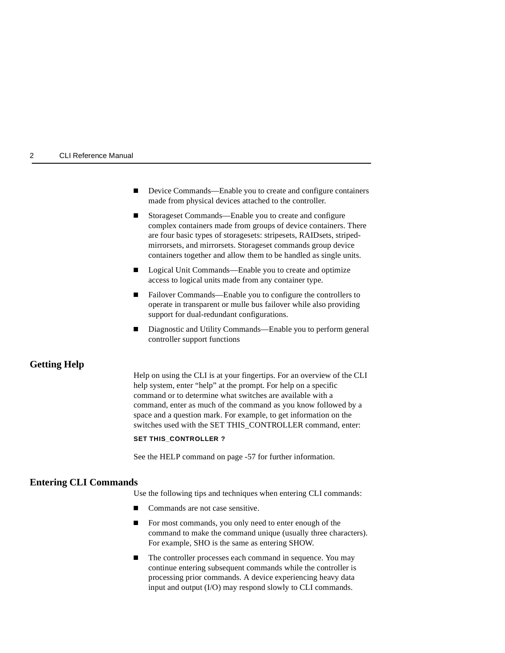#### <span id="page-15-0"></span>2 CLI Reference Manual

- $\blacksquare$  Device Commands—Enable you to create and configure containers made from physical devices attached to the controller.
- $\blacksquare$  Storageset Commands—Enable you to create and configure complex containers made from groups of device containers. There are four basic types of storagesets: stripesets, RAIDsets, stripedmirrorsets, and mirrorsets. Storageset commands group device containers together and allow them to be handled as single units.
- $\blacksquare$  Logical Unit Commands—Enable you to create and optimize access to logical units made from any container type.
- $\blacksquare$  Failover Commands—Enable you to configure the controllers to operate in transparent or mulle bus failover while also providing support for dual-redundant configurations.
- $\blacksquare$  Diagnostic and Utility Commands—Enable you to perform general controller support functions

#### **Getting Help**

Help on using the CLI is at your fingertips. For an overview of the CLI help system, enter "help" at the prompt. For help on a specific command or to determine what switches are available with a command, enter as much of the command as you know followed by a space and a question mark. For example, to get information on the switches used with the SET THIS\_CONTROLLER command, enter:

#### **SET THIS\_CONTROLLER ?**

See the HELP command on [page -57](#page-70-0) for further information.

#### **Entering CLI Commands**

Use the following tips and techniques when entering CLI commands:

- $\blacksquare$ Commands are not case sensitive.
- $\blacksquare$  For most commands, you only need to enter enough of the command to make the command unique (usually three characters). For example, SHO is the same as entering SHOW.
- $\blacksquare$  The controller processes each command in sequence. You may continue entering subsequent commands while the controller is processing prior commands. A device experiencing heavy data input and output (I/O) may respond slowly to CLI commands.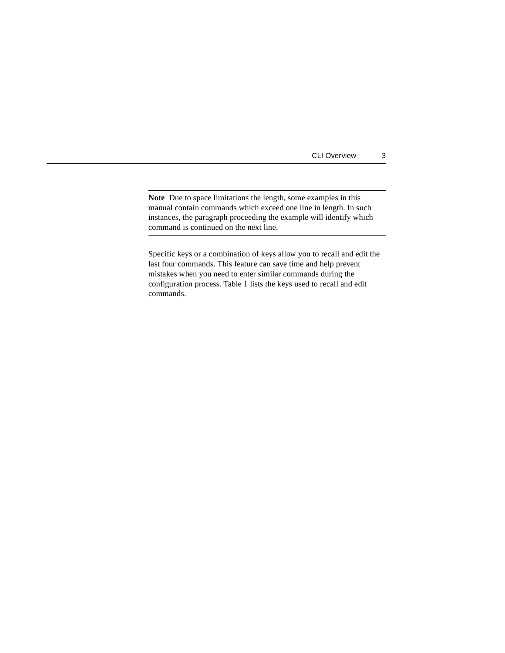CLI Overview 3

**Note** Due to space limitations the length, some examples in this manual contain commands which exceed one line in length. In such instances, the paragraph proceeding the example will identify which command is continued on the next line.

Specific keys or a combination of keys allow you to recall and edit the last four commands. This feature can save time and help prevent mistakes when you need to enter similar commands during the configuration process. Table 1 lists the keys used to recall and edit commands.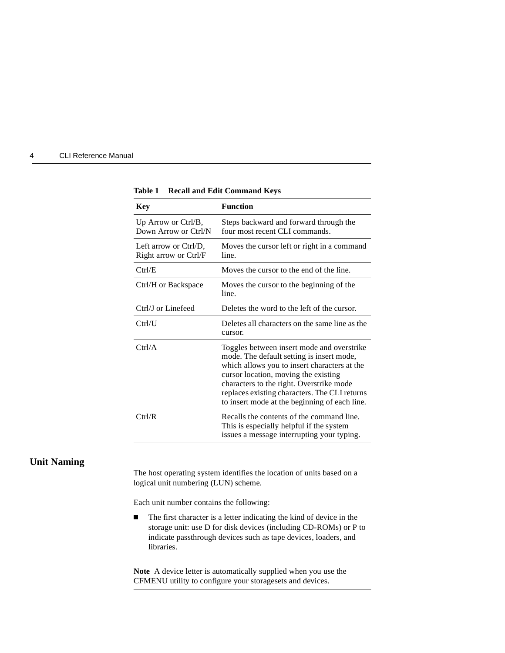<span id="page-17-0"></span>

| 4 | <b>CLI Reference Manual</b> |  |
|---|-----------------------------|--|
|   |                             |  |

| <b>Key</b>                                     | <b>Function</b>                                                                                                                                                                                                                                                                                                               |
|------------------------------------------------|-------------------------------------------------------------------------------------------------------------------------------------------------------------------------------------------------------------------------------------------------------------------------------------------------------------------------------|
| Up Arrow or Ctrl/B,<br>Down Arrow or Ctrl/N    | Steps backward and forward through the<br>four most recent CLI commands.                                                                                                                                                                                                                                                      |
| Left arrow or Ctrl/D,<br>Right arrow or Ctrl/F | Moves the cursor left or right in a command<br>line.                                                                                                                                                                                                                                                                          |
| Ctrl/E                                         | Moves the cursor to the end of the line.                                                                                                                                                                                                                                                                                      |
| Ctrl/H or Backspace                            | Moves the cursor to the beginning of the<br>line.                                                                                                                                                                                                                                                                             |
| Ctrl/J or Linefeed                             | Deletes the word to the left of the cursor.                                                                                                                                                                                                                                                                                   |
| Ctrl/U                                         | Deletes all characters on the same line as the<br>cursor.                                                                                                                                                                                                                                                                     |
| Ctrl/A                                         | Toggles between insert mode and overstrike<br>mode. The default setting is insert mode,<br>which allows you to insert characters at the<br>cursor location, moving the existing<br>characters to the right. Overstrike mode<br>replaces existing characters. The CLI returns<br>to insert mode at the beginning of each line. |
| Ctrl/R                                         | Recalls the contents of the command line.<br>This is especially helpful if the system<br>issues a message interrupting your typing.                                                                                                                                                                                           |

**Table 1 Recall and Edit Command Keys**

#### **Unit Naming**

The host operating system identifies the location of units based on a logical unit numbering (LUN) scheme.

Each unit number contains the following:

 $\blacksquare$  The first character is a letter indicating the kind of device in the storage unit: use D for disk devices (including CD-ROMs) or P to indicate passthrough devices such as tape devices, loaders, and libraries.

**Note** A device letter is automatically supplied when you use the CFMENU utility to configure your storagesets and devices.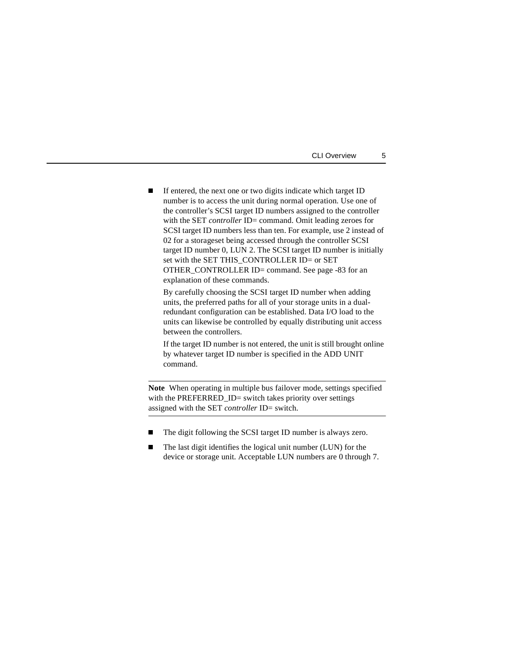| CLI Overview |  |
|--------------|--|
|--------------|--|

 $\blacksquare$  If entered, the next one or two digits indicate which target ID number is to access the unit during normal operation. Use one of the controller's SCSI target ID numbers assigned to the controller with the SET *controller* ID= command. Omit leading zeroes for SCSI target ID numbers less than ten. For example, use 2 instead of 02 for a storageset being accessed through the controller SCSI target ID number 0, LUN 2. The SCSI target ID number is initially set with the SET THIS\_CONTROLLER ID= or SET OTHER\_CONTROLLER ID= command. See [page -83](#page-96-0) for an explanation of these commands.

By carefully choosing the SCSI target ID number when adding units, the preferred paths for all of your storage units in a dualredundant configuration can be established. Data I/O load to the units can likewise be controlled by equally distributing unit access between the controllers.

If the target ID number is not entered, the unit is still brought online by whatever target ID number is specified in the ADD UNIT command.

**Note** When operating in multiple bus failover mode, settings specified with the PREFERRED\_ID= switch takes priority over settings assigned with the SET *controller* ID= switch.

- $\blacksquare$ The digit following the SCSI target ID number is always zero.
- $\blacksquare$  The last digit identifies the logical unit number (LUN) for the device or storage unit. Acceptable LUN numbers are 0 through 7.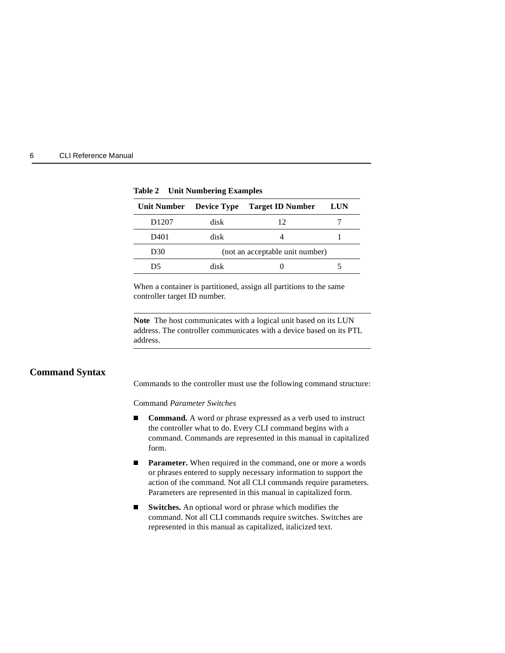<span id="page-19-0"></span>

| <b>CLI Reference Manual</b><br>6 |  |
|----------------------------------|--|
|----------------------------------|--|

| Unit Number       | <b>Device Type</b>              | <b>Target ID Number</b> | <b>LUN</b> |
|-------------------|---------------------------------|-------------------------|------------|
| D <sub>1207</sub> | disk                            | 12                      |            |
| D401              | disk                            |                         |            |
| D30               | (not an acceptable unit number) |                         |            |
| D5                | disk                            |                         |            |

**Table 2 Unit Numbering Examples**

When a container is partitioned, assign all partitions to the same controller target ID number.

**Note** The host communicates with a logical unit based on its LUN address. The controller communicates with a device based on its PTL address.

#### **Command Syntax**

Commands to the controller must use the following command structure:

Command *Parameter Switches*

- O **Command.** A word or phrase expressed as a verb used to instruct the controller what to do. Every CLI command begins with a command. Commands are represented in this manual in capitalized form.
- n, **Parameter.** When required in the command, one or more a words or phrases entered to supply necessary information to support the action of the command. Not all CLI commands require parameters. Parameters are represented in this manual in capitalized form.
- O **Switches.** An optional word or phrase which modifies the command. Not all CLI commands require switches. Switches are represented in this manual as capitalized, italicized text.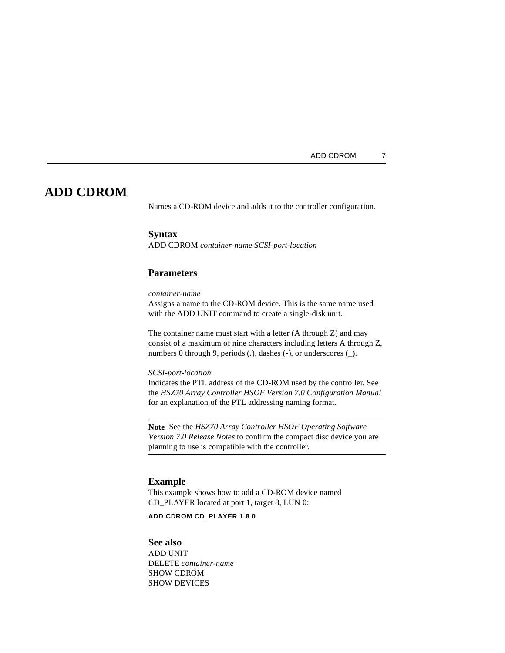## <span id="page-20-0"></span>**ADD CDROM**

Names a CD-ROM device and adds it to the controller configuration.

#### **Syntax**

ADD CDROM *container-name SCSI-port-location*

#### **Parameters**

*container-name*

Assigns a name to the CD-ROM device. This is the same name used with the ADD UNIT command to create a single-disk unit.

The container name must start with a letter (A through Z) and may consist of a maximum of nine characters including letters A through Z, numbers 0 through 9, periods (.), dashes (-), or underscores (\_).

*SCSI-port-location*

Indicates the PTL address of the CD-ROM used by the controller. See the *HSZ70 Array Controller HSOF Version 7.0 Configuration Manual* for an explanation of the PTL addressing naming format.

**Note** See the *HSZ70 Array Controller HSOF Operating Software Version 7.0 Release Notes* to confirm the compact disc device you are planning to use is compatible with the controller.

#### **Example**

This example shows how to add a CD-ROM device named CD\_PLAYER located at port 1, target 8, LUN 0:

**ADD CDROM CD\_PLAYER 1 8 0**

#### **See also**

ADD UNIT DELETE *container-name* SHOW CDROM SHOW DEVICES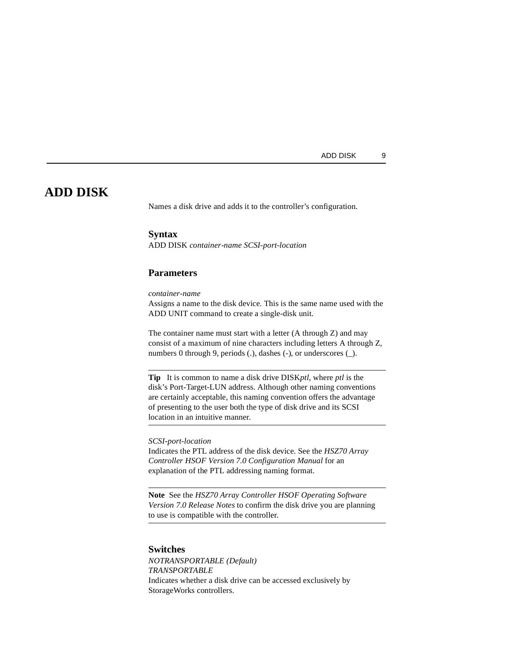## <span id="page-22-0"></span>**ADD DISK**

Names a disk drive and adds it to the controller's configuration.

#### **Syntax**

ADD DISK *container-name SCSI-port-location*

#### **Parameters**

*container-name*

Assigns a name to the disk device. This is the same name used with the ADD UNIT command to create a single-disk unit.

The container name must start with a letter (A through Z) and may consist of a maximum of nine characters including letters A through Z, numbers 0 through 9, periods (.), dashes (-), or underscores (\_).

**Tip** It is common to name a disk drive DISK*ptl*, where *ptl* is the disk's Port-Target-LUN address. Although other naming conventions are certainly acceptable, this naming convention offers the advantage of presenting to the user both the type of disk drive and its SCSI location in an intuitive manner.

*SCSI-port-location*

Indicates the PTL address of the disk device. See the *HSZ70 Array Controller HSOF Version 7.0 Configuration Manual* for an explanation of the PTL addressing naming format.

**Note** See the *HSZ70 Array Controller HSOF Operating Software Version 7.0 Release Notes* to confirm the disk drive you are planning to use is compatible with the controller.

#### **Switches**

*NOTRANSPORTABLE (Default) TRANSPORTABLE* Indicates whether a disk drive can be accessed exclusively by StorageWorks controllers.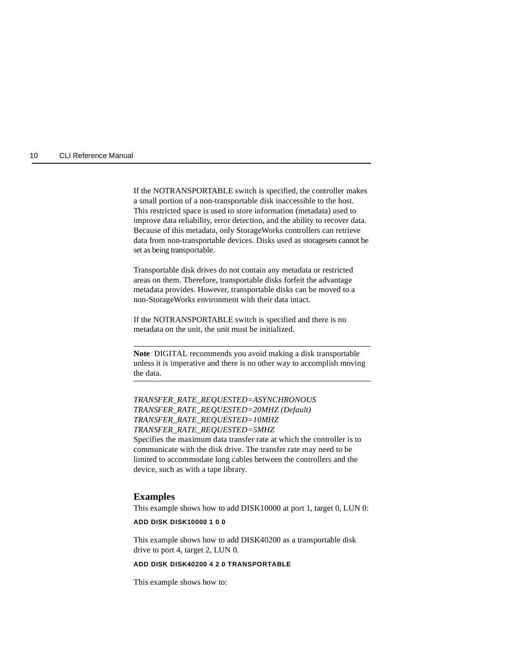#### 10 CLI Reference Manual

If the NOTRANSPORTABLE switch is specified, the controller makes a small portion of a non-transportable disk inaccessible to the host. This restricted space is used to store information (metadata) used to improve data reliability, error detection, and the ability to recover data. Because of this metadata, only StorageWorks controllers can retrieve data from non-transportable devices. Disks used as storagesets cannot be set as being transportable.

Transportable disk drives do not contain any metadata or restricted areas on them. Therefore, transportable disks forfeit the advantage metadata provides. However, transportable disks can be moved to a non-StorageWorks environment with their data intact.

If the NOTRANSPORTABLE switch is specified and there is no metadata on the unit, the unit must be initialized.

**Note** DIGITAL recommends you avoid making a disk transportable unless it is imperative and there is no other way to accomplish moving the data.

*TRANSFER\_RATE\_REQUESTED=ASYNCHRONOUS TRANSFER\_RATE\_REQUESTED=20MHZ (Default) TRANSFER\_RATE\_REQUESTED=10MHZ TRANSFER\_RATE\_REQUESTED=5MHZ* Specifies the maximum data transfer rate at which the controller is to communicate with the disk drive. The transfer rate may need to be limited to accommodate long cables between the controllers and the device, such as with a tape library.

#### **Examples**

This example shows how to add DISK10000 at port 1, target 0, LUN 0:

#### **ADD DISK DISK10000 1 0 0**

This example shows how to add DISK40200 as a transportable disk drive to port 4, target 2, LUN 0.

#### **ADD DISK DISK40200 4 2 0 TRANSPORTABLE**

This example shows how to: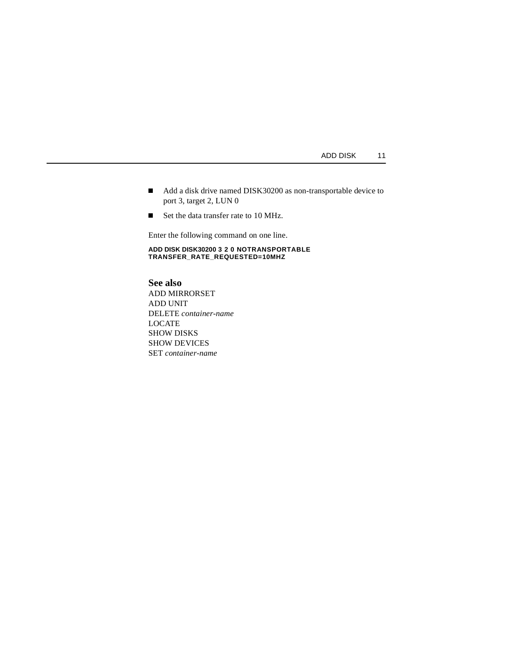- Add a disk drive named DISK30200 as non-transportable device to port 3, target 2, LUN 0
- Set the data transfer rate to 10 MHz.

Enter the following command on one line.

**ADD DISK DISK30200 3 2 0 NOTRANSPORTABLE TRANSFER\_RATE\_REQUESTED=10MHZ**

**See also** ADD MIRRORSET ADD UNIT DELETE *container-name* LOCATE SHOW DISKS SHOW DEVICES SET *container-name*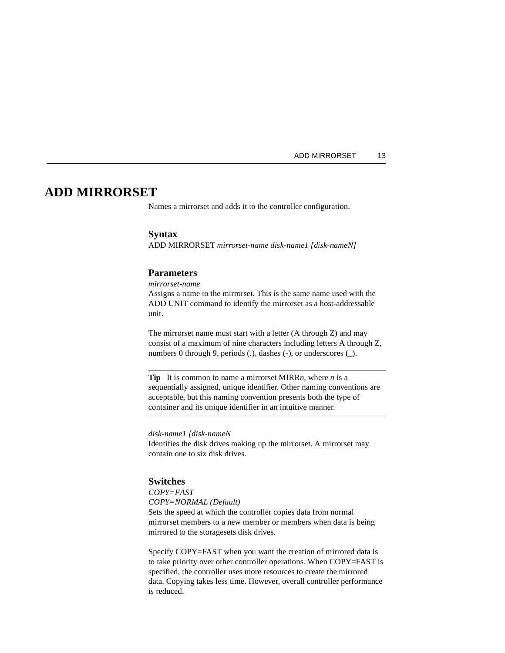### <span id="page-26-0"></span>**ADD MIRRORSET**

Names a mirrorset and adds it to the controller configuration.

#### **Syntax**

ADD MIRRORSET *mirrorset-name disk-name1 [disk-nameN]*

#### **Parameters**

*mirrorset-name*

Assigns a name to the mirrorset. This is the same name used with the ADD UNIT command to identify the mirrorset as a host-addressable unit.

The mirrorset name must start with a letter (A through Z) and may consist of a maximum of nine characters including letters A through Z, numbers 0 through 9, periods (.), dashes (-), or underscores (\_).

**Tip** It is common to name a mirrorset MIRR*n*, where *n* is a sequentially assigned, unique identifier. Other naming conventions are acceptable, but this naming convention presents both the type of container and its unique identifier in an intuitive manner.

*disk-name1 [disk-nameN*

Identifies the disk drives making up the mirrorset. A mirrorset may contain one to six disk drives.

#### **Switches**

*COPY=FAST COPY=NORMAL (Default)* Sets the speed at which the controller copies data from normal mirrorset members to a new member or members when data is being mirrored to the storagesets disk drives.

Specify COPY=FAST when you want the creation of mirrored data is to take priority over other controller operations. When COPY=FAST is specified, the controller uses more resources to create the mirrored data. Copying takes less time. However, overall controller performance is reduced.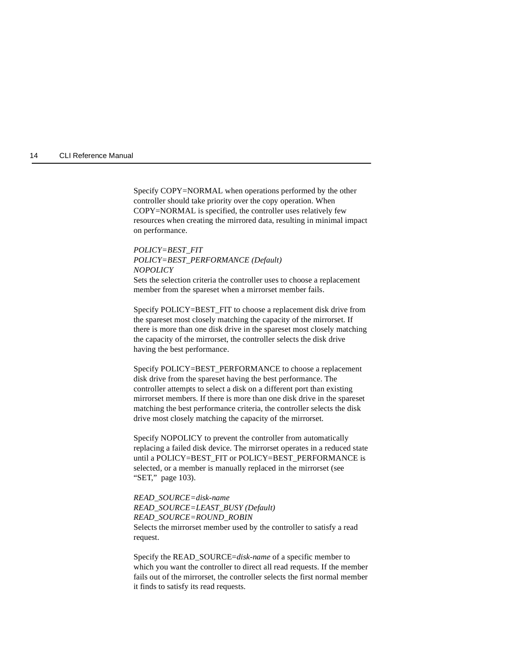#### 14 CLI Reference Manual

Specify COPY=NORMAL when operations performed by the other controller should take priority over the copy operation. When COPY=NORMAL is specified, the controller uses relatively few resources when creating the mirrored data, resulting in minimal impact on performance.

### *POLICY=BEST\_FIT POLICY=BEST\_PERFORMANCE (Default) NOPOLICY*

Sets the selection criteria the controller uses to choose a replacement member from the spareset when a mirrorset member fails.

Specify POLICY=BEST\_FIT to choose a replacement disk drive from the spareset most closely matching the capacity of the mirrorset. If there is more than one disk drive in the spareset most closely matching the capacity of the mirrorset, the controller selects the disk drive having the best performance.

Specify POLICY=BEST\_PERFORMANCE to choose a replacement disk drive from the spareset having the best performance. The controller attempts to select a disk on a different port than existing mirrorset members. If there is more than one disk drive in the spareset matching the best performance criteria, the controller selects the disk drive most closely matching the capacity of the mirrorset.

Specify NOPOLICY to prevent the controller from automatically replacing a failed disk device. The mirrorset operates in a reduced state until a POLICY=BEST\_FIT or POLICY=BEST\_PERFORMANCE is selected, or a member is manually replaced in the mirrorset (see ["SET," page 103\)](#page-116-0).

*READ\_SOURCE=disk-name READ\_SOURCE=LEAST\_BUSY (Default) READ\_SOURCE=ROUND\_ROBIN* Selects the mirrorset member used by the controller to satisfy a read request.

Specify the READ\_SOURCE=*disk-name* of a specific member to which you want the controller to direct all read requests. If the member fails out of the mirrorset, the controller selects the first normal member it finds to satisfy its read requests.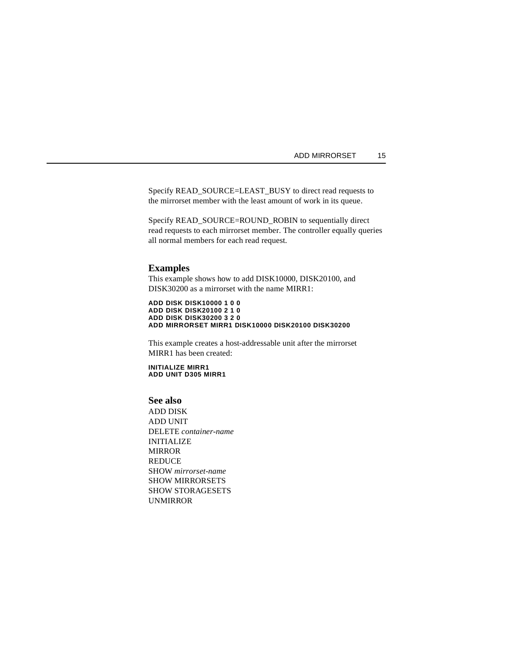#### ADD MIRRORSET 15

Specify READ\_SOURCE=LEAST\_BUSY to direct read requests to the mirrorset member with the least amount of work in its queue.

Specify READ\_SOURCE=ROUND\_ROBIN to sequentially direct read requests to each mirrorset member. The controller equally queries all normal members for each read request.

#### **Examples**

This example shows how to add DISK10000, DISK20100, and DISK30200 as a mirrorset with the name MIRR1:

**ADD DISK DISK10000 1 0 0 ADD DISK DISK20100 2 1 0 ADD DISK DISK30200 3 2 0 ADD MIRRORSET MIRR1 DISK10000 DISK20100 DISK30200**

This example creates a host-addressable unit after the mirrorset MIRR1 has been created:

**INITIALIZE MIRR1 ADD UNIT D305 MIRR1**

#### **See also**

ADD DISK ADD UNIT DELETE *container-name* INITIALIZE MIRROR REDUCE SHOW *mirrorset-name* SHOW MIRRORSETS SHOW STORAGESETS UNMIRROR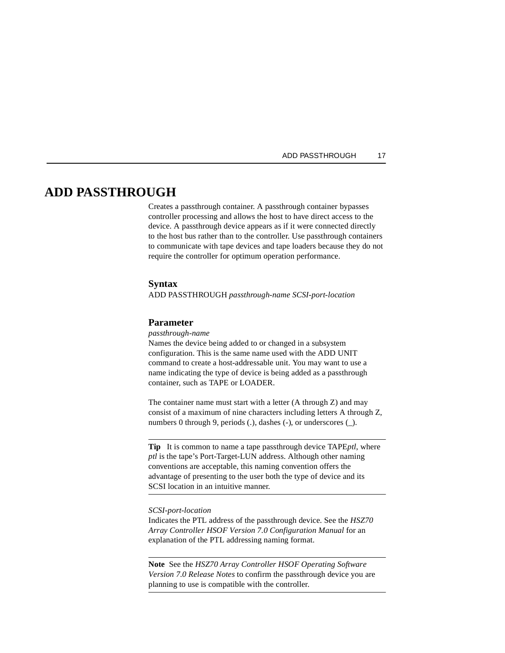#### ADD PASSTHROUGH 17

## <span id="page-30-0"></span>**ADD PASSTHROUGH**

Creates a passthrough container. A passthrough container bypasses controller processing and allows the host to have direct access to the device. A passthrough device appears as if it were connected directly to the host bus rather than to the controller. Use passthrough containers to communicate with tape devices and tape loaders because they do not require the controller for optimum operation performance.

#### **Syntax**

ADD PASSTHROUGH *passthrough-name SCSI-port-location*

#### **Parameter**

*passthrough-name*

Names the device being added to or changed in a subsystem configuration. This is the same name used with the ADD UNIT command to create a host-addressable unit. You may want to use a name indicating the type of device is being added as a passthrough container, such as TAPE or LOADER.

The container name must start with a letter (A through Z) and may consist of a maximum of nine characters including letters A through Z, numbers 0 through 9, periods (.), dashes (-), or underscores (\_).

**Tip** It is common to name a tape passthrough device TAPE*ptl*, where *ptl* is the tape's Port-Target-LUN address. Although other naming conventions are acceptable, this naming convention offers the advantage of presenting to the user both the type of device and its SCSI location in an intuitive manner.

#### *SCSI-port-location*

Indicates the PTL address of the passthrough device. See the *HSZ70 Array Controller HSOF Version 7.0 Configuration Manual* for an explanation of the PTL addressing naming format.

**Note** See the *HSZ70 Array Controller HSOF Operating Software Version 7.0 Release Notes* to confirm the passthrough device you are planning to use is compatible with the controller.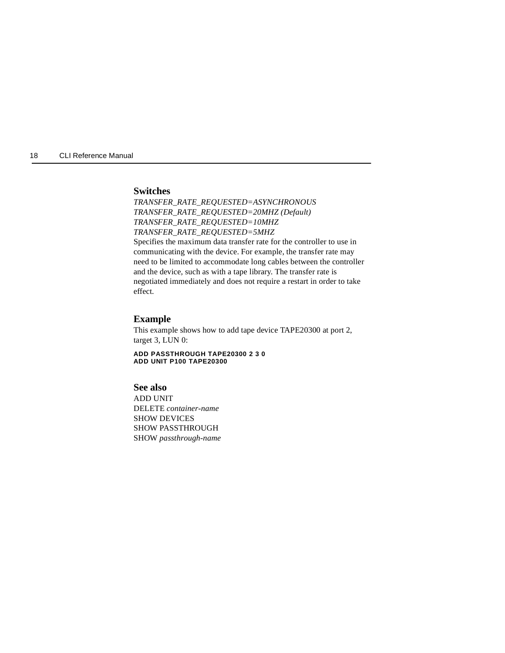18 CLI Reference Manual

#### **Switches**

*TRANSFER\_RATE\_REQUESTED=ASYNCHRONOUS TRANSFER\_RATE\_REQUESTED=20MHZ (Default) TRANSFER\_RATE\_REQUESTED=10MHZ TRANSFER\_RATE\_REQUESTED=5MHZ* Specifies the maximum data transfer rate for the controller to use in communicating with the device. For example, the transfer rate may need to be limited to accommodate long cables between the controller and the device, such as with a tape library. The transfer rate is negotiated immediately and does not require a restart in order to take effect.

#### **Example**

This example shows how to add tape device TAPE20300 at port 2, target 3, LUN 0:

**ADD PASSTHROUGH TAPE20300 2 3 0 ADD UNIT P100 TAPE20300**

#### **See also**

ADD UNIT DELETE *container-name* SHOW DEVICES SHOW PASSTHROUGH SHOW *passthrough-name*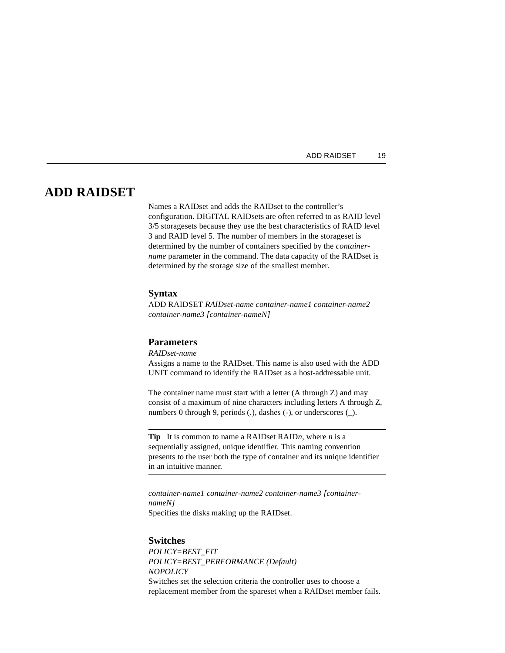## <span id="page-32-0"></span>**ADD RAIDSET**

Names a RAIDset and adds the RAIDset to the controller's configuration. DIGITAL RAIDsets are often referred to as RAID level 3/5 storagesets because they use the best characteristics of RAID level 3 and RAID level 5. The number of members in the storageset is determined by the number of containers specified by the *containername* parameter in the command. The data capacity of the RAIDset is determined by the storage size of the smallest member.

#### **Syntax**

ADD RAIDSET *RAIDset-name container-name1 container-name2 container-name3 [container-nameN]*

#### **Parameters**

*RAIDset-name*

Assigns a name to the RAIDset. This name is also used with the ADD UNIT command to identify the RAIDset as a host-addressable unit.

The container name must start with a letter (A through Z) and may consist of a maximum of nine characters including letters A through Z, numbers 0 through 9, periods (.), dashes (-), or underscores (\_).

**Tip** It is common to name a RAIDset RAID*n*, where *n* is a sequentially assigned, unique identifier. This naming convention presents to the user both the type of container and its unique identifier in an intuitive manner.

*container-name1 container-name2 container-name3 [containernameN]* Specifies the disks making up the RAIDset.

#### **Switches**

*POLICY=BEST\_FIT POLICY=BEST\_PERFORMANCE (Default) NOPOLICY* Switches set the selection criteria the controller uses to choose a replacement member from the spareset when a RAIDset member fails.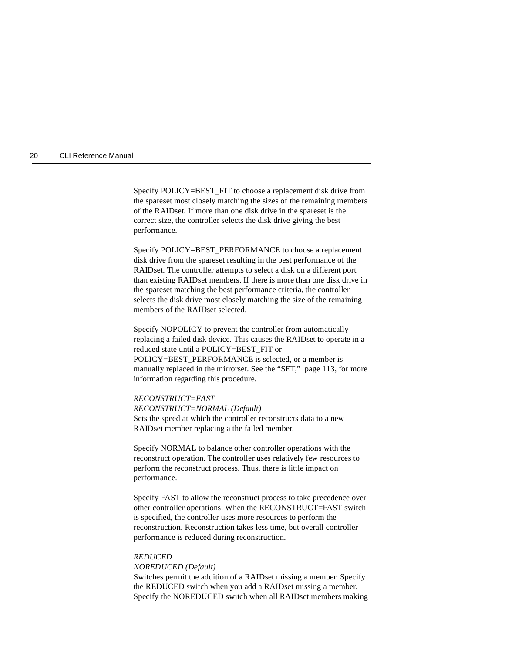#### 20 CLI Reference Manual

Specify POLICY=BEST\_FIT to choose a replacement disk drive from the spareset most closely matching the sizes of the remaining members of the RAIDset. If more than one disk drive in the spareset is the correct size, the controller selects the disk drive giving the best performance.

Specify POLICY=BEST\_PERFORMANCE to choose a replacement disk drive from the spareset resulting in the best performance of the RAIDset. The controller attempts to select a disk on a different port than existing RAIDset members. If there is more than one disk drive in the spareset matching the best performance criteria, the controller selects the disk drive most closely matching the size of the remaining members of the RAIDset selected.

Specify NOPOLICY to prevent the controller from automatically replacing a failed disk device. This causes the RAIDset to operate in a reduced state until a POLICY=BEST\_FIT or POLICY=BEST\_PERFORMANCE is selected, or a member is manually replaced in the mirrorset. See the ["SET," page 113,](#page-126-0) for more information regarding this procedure.

#### *RECONSTRUCT=FAST*

*RECONSTRUCT=NORMAL (Default)* Sets the speed at which the controller reconstructs data to a new RAIDset member replacing a the failed member.

Specify NORMAL to balance other controller operations with the reconstruct operation. The controller uses relatively few resources to perform the reconstruct process. Thus, there is little impact on performance.

Specify FAST to allow the reconstruct process to take precedence over other controller operations. When the RECONSTRUCT=FAST switch is specified, the controller uses more resources to perform the reconstruction. Reconstruction takes less time, but overall controller performance is reduced during reconstruction.

#### *REDUCED*

#### *NOREDUCED (Default)*

Switches permit the addition of a RAIDset missing a member. Specify the REDUCED switch when you add a RAIDset missing a member. Specify the NOREDUCED switch when all RAIDset members making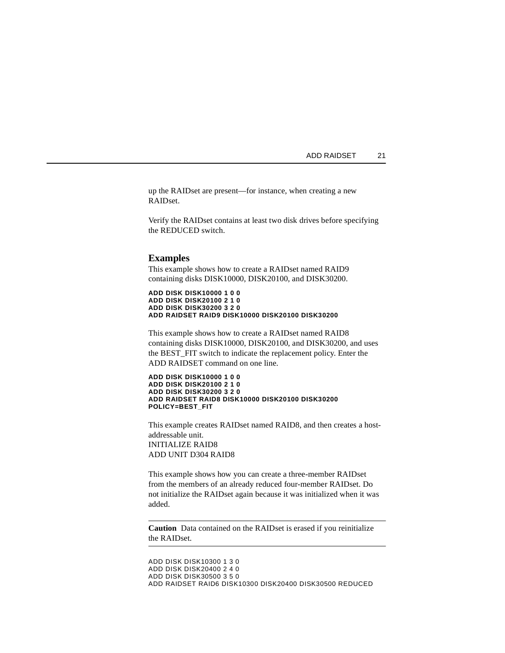up the RAIDset are present—for instance, when creating a new RAIDset.

Verify the RAIDset contains at least two disk drives before specifying the REDUCED switch.

#### **Examples**

This example shows how to create a RAIDset named RAID9 containing disks DISK10000, DISK20100, and DISK30200.

**ADD DISK DISK10000 1 0 0 ADD DISK DISK20100 2 1 0 ADD DISK DISK30200 3 2 0 ADD RAIDSET RAID9 DISK10000 DISK20100 DISK30200**

This example shows how to create a RAIDset named RAID8 containing disks DISK10000, DISK20100, and DISK30200, and uses the BEST\_FIT switch to indicate the replacement policy. Enter the ADD RAIDSET command on one line.

**ADD DISK DISK10000 1 0 0 ADD DISK DISK20100 2 1 0 ADD DISK DISK30200 3 2 0 ADD RAIDSET RAID8 DISK10000 DISK20100 DISK30200 POLICY=BEST\_FIT**

This example creates RAIDset named RAID8, and then creates a hostaddressable unit. INITIALIZE RAID8 ADD UNIT D304 RAID8

This example shows how you can create a three-member RAIDset from the members of an already reduced four-member RAIDset. Do not initialize the RAIDset again because it was initialized when it was added.

**Caution** Data contained on the RAIDset is erased if you reinitialize the RAIDset.

ADD DISK DISK10300 1 3 0 ADD DISK DISK20400 2 4 0 ADD DISK DISK30500 3 5 0 ADD RAIDSET RAID6 DISK10300 DISK20400 DISK30500 REDUCED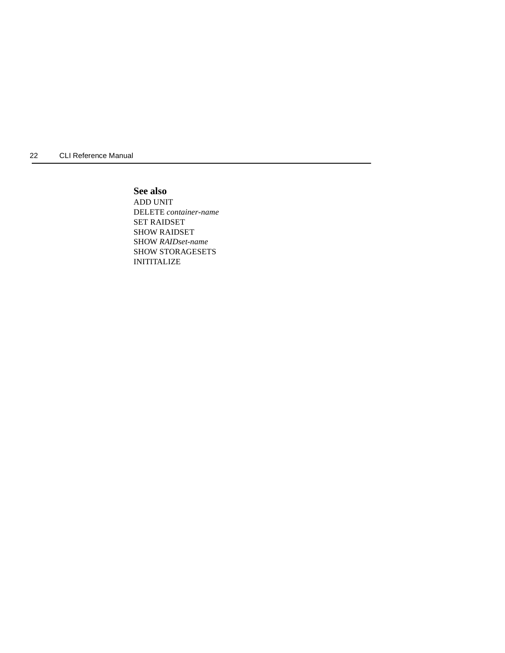22 CLI Reference Manual

## **See also**

ADD UNIT DELETE *container-name* SET RAIDSET SHOW RAIDSET SHOW *RAIDset-name* SHOW STORAGESETS INITITALIZE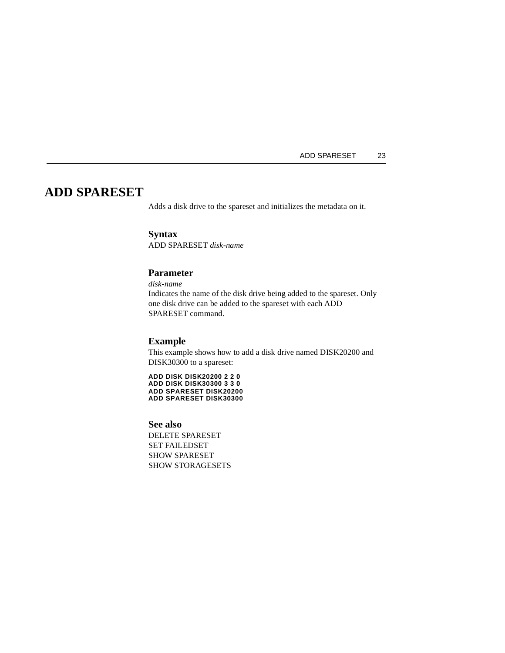# **ADD SPARESET**

Adds a disk drive to the spareset and initializes the metadata on it.

# **Syntax**

ADD SPARESET *disk-name*

# **Parameter**

*disk-name*

Indicates the name of the disk drive being added to the spareset. Only one disk drive can be added to the spareset with each ADD SPARESET command.

## **Example**

This example shows how to add a disk drive named DISK20200 and DISK30300 to a spareset:

**ADD DISK DISK20200 2 2 0 ADD DISK DISK30300 3 3 0 ADD SPARESET DISK20200 ADD SPARESET DISK30300**

#### **See also**

DELETE SPARESET SET FAILEDSET SHOW SPARESET SHOW STORAGESETS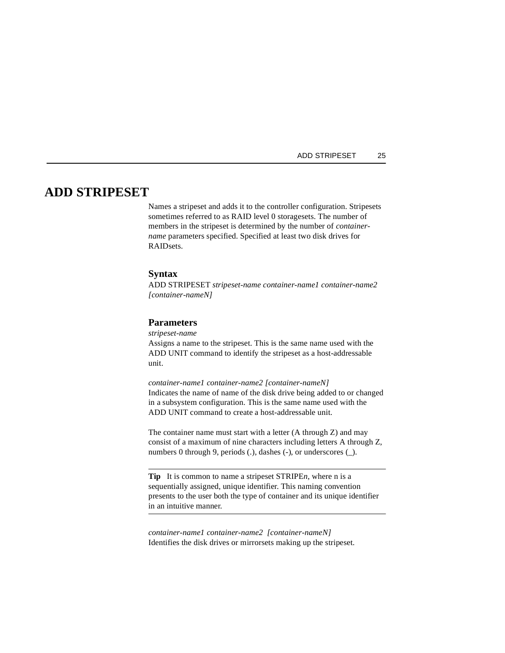# **ADD STRIPESET**

Names a stripeset and adds it to the controller configuration. Stripesets sometimes referred to as RAID level 0 storagesets. The number of members in the stripeset is determined by the number of *containername* parameters specified. Specified at least two disk drives for RAIDsets.

# **Syntax**

ADD STRIPESET *stripeset-name container-name1 container-name2 [container-nameN]*

# **Parameters**

*stripeset-name*

Assigns a name to the stripeset. This is the same name used with the ADD UNIT command to identify the stripeset as a host-addressable unit.

*container-name1 container-name2 [container-nameN]* Indicates the name of name of the disk drive being added to or changed in a subsystem configuration. This is the same name used with the ADD UNIT command to create a host-addressable unit.

The container name must start with a letter (A through Z) and may consist of a maximum of nine characters including letters A through Z, numbers 0 through 9, periods (.), dashes (-), or underscores (\_).

**Tip** It is common to name a stripeset STRIPE*n*, where n is a sequentially assigned, unique identifier. This naming convention presents to the user both the type of container and its unique identifier in an intuitive manner.

*container-name1 container-name2 [container-nameN]* Identifies the disk drives or mirrorsets making up the stripeset.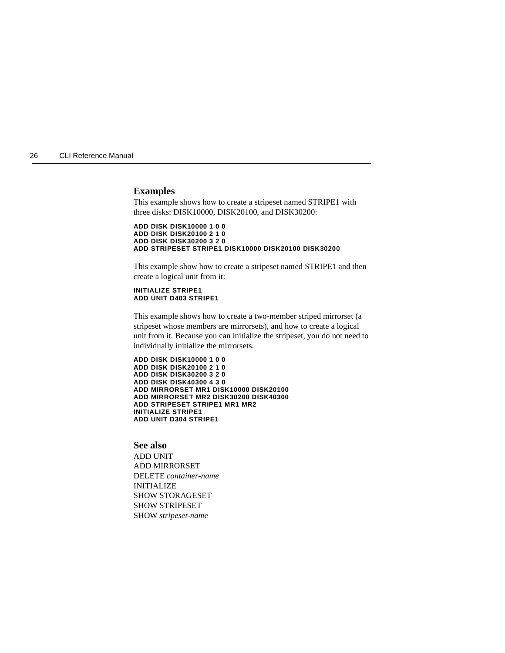## **Examples**

This example shows how to create a stripeset named STRIPE1 with three disks: DISK10000, DISK20100, and DISK30200:

**ADD DISK DISK10000 1 0 0 ADD DISK DISK20100 2 1 0 ADD DISK DISK30200 3 2 0 ADD STRIPESET STRIPE1 DISK10000 DISK20100 DISK30200**

This example show how to create a stripeset named STRIPE1 and then create a logical unit from it:

#### **INITIALIZE STRIPE1 ADD UNIT D403 STRIPE1**

This example shows how to create a two-member striped mirrorset (a stripeset whose members are mirrorsets), and how to create a logical unit from it. Because you can initialize the stripeset, you do not need to individually initialize the mirrorsets.

**ADD DISK DISK10000 1 0 0 ADD DISK DISK20100 2 1 0 ADD DISK DISK30200 3 2 0 ADD DISK DISK40300 4 3 0 ADD MIRRORSET MR1 DISK10000 DISK20100 ADD MIRRORSET MR2 DISK30200 DISK40300 ADD STRIPESET STRIPE1 MR1 MR2 INITIALIZE STRIPE1 ADD UNIT D304 STRIPE1**

## **See also**

ADD UNIT ADD MIRRORSET DELETE *container-name* INITIALIZE SHOW STORAGESET SHOW STRIPESET SHOW *stripeset-name*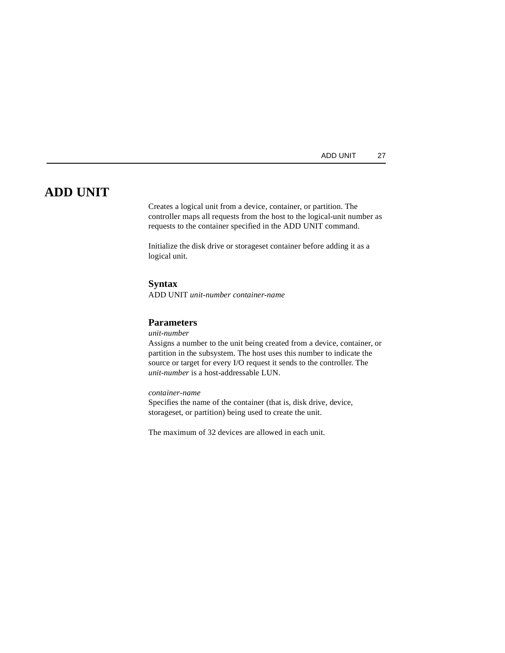# **ADD UNIT**

Creates a logical unit from a device, container, or partition. The controller maps all requests from the host to the logical-unit number as requests to the container specified in the ADD UNIT command.

Initialize the disk drive or storageset container before adding it as a logical unit.

## **Syntax**

ADD UNIT *unit-number container-name*

# **Parameters**

#### *unit-number*

Assigns a number to the unit being created from a device, container, or partition in the subsystem. The host uses this number to indicate the source or target for every I/O request it sends to the controller. The *unit-number* is a host-addressable LUN.

# *container-name*

Specifies the name of the container (that is, disk drive, device, storageset, or partition) being used to create the unit.

The maximum of 32 devices are allowed in each unit.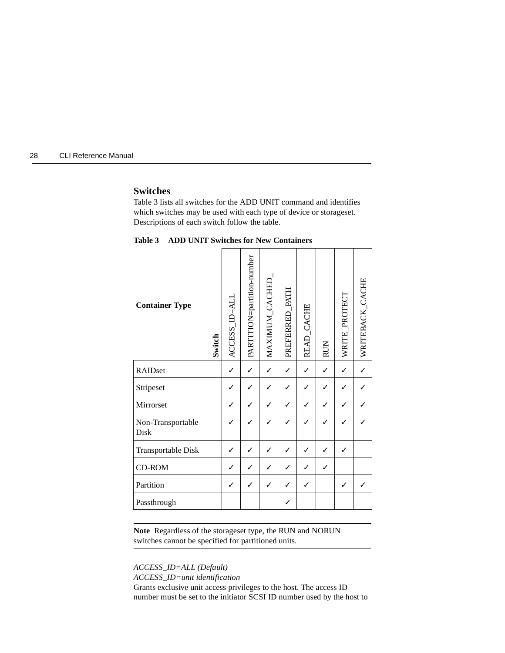# **Switches**

Table 3 lists all switches for the ADD UNIT command and identifies which switches may be used with each type of device or storageset. Descriptions of each switch follow the table.

| <b>Container Type</b><br>Switch | ACCESS_ID=ALL | PARTITION=partition-number | MAXIMUM_CACHED | PREFERRED_PATH | READ_CACHE | <b>RUN</b> | WRITE_PROTECT | WRITEBACK_CACHE |
|---------------------------------|---------------|----------------------------|----------------|----------------|------------|------------|---------------|-----------------|
| RAIDset                         | $\checkmark$  |                            | ✓              | ✓              | ✓          | ✓          | $\checkmark$  |                 |
| Stripeset                       | ✓             |                            |                | ✓              | ✓          | ✓          | ✓             |                 |
| Mirrorset                       | ✓             | $\checkmark$               | ✓              | ✓              | ✓          | ✓          | ✓             |                 |
| Non-Transportable<br>Disk       |               |                            |                |                |            |            |               |                 |
| Transportable Disk              | ✓             | ✓                          |                | ✓              | ✓          | ✓          | $\checkmark$  |                 |
| CD-ROM                          | ✓             | ✓                          | ✓              | ✓              | ✓          | ✓          |               |                 |
| Partition                       | ✓             | ✓                          | ✓              | ✓              | ✓          |            | ✓             |                 |
| Passthrough                     |               |                            |                |                |            |            |               |                 |

**Table 3 ADD UNIT Switches for New Containers**

**Note** Regardless of the storageset type, the RUN and NORUN switches cannot be specified for partitioned units.

*ACCESS\_ID=ALL (Default)*

*ACCESS\_ID=unit identification*

Grants exclusive unit access privileges to the host. The access ID number must be set to the initiator SCSI ID number used by the host to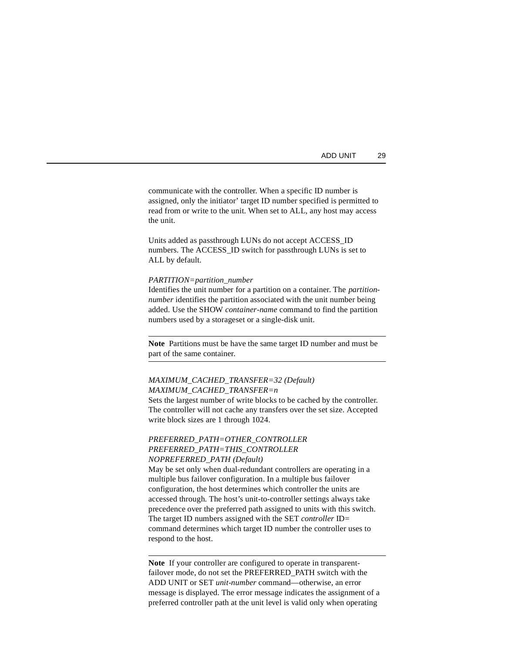| ADD UNIT |  | 29 |
|----------|--|----|
|----------|--|----|

communicate with the controller. When a specific ID number is assigned, only the initiator' target ID number specified is permitted to read from or write to the unit. When set to ALL, any host may access the unit.

Units added as passthrough LUNs do not accept ACCESS\_ID numbers. The ACCESS ID switch for passthrough LUNs is set to ALL by default.

#### *PARTITION=partition\_number*

Identifies the unit number for a partition on a container. The *partitionnumber* identifies the partition associated with the unit number being added. Use the SHOW *container-name* command to find the partition numbers used by a storageset or a single-disk unit.

**Note** Partitions must be have the same target ID number and must be part of the same container.

# *MAXIMUM\_CACHED\_TRANSFER=32 (Default) MAXIMUM\_CACHED\_TRANSFER=n*

Sets the largest number of write blocks to be cached by the controller. The controller will not cache any transfers over the set size. Accepted write block sizes are 1 through 1024.

# *PREFERRED\_PATH=OTHER\_CONTROLLER PREFERRED\_PATH=THIS\_CONTROLLER NOPREFERRED\_PATH (Default)*

May be set only when dual-redundant controllers are operating in a multiple bus failover configuration. In a multiple bus failover configuration, the host determines which controller the units are accessed through. The host's unit-to-controller settings always take precedence over the preferred path assigned to units with this switch. The target ID numbers assigned with the SET *controller* ID= command determines which target ID number the controller uses to respond to the host.

**Note** If your controller are configured to operate in transparentfailover mode, do not set the PREFERRED\_PATH switch with the ADD UNIT or SET *unit-number* command—otherwise, an error message is displayed. The error message indicates the assignment of a preferred controller path at the unit level is valid only when operating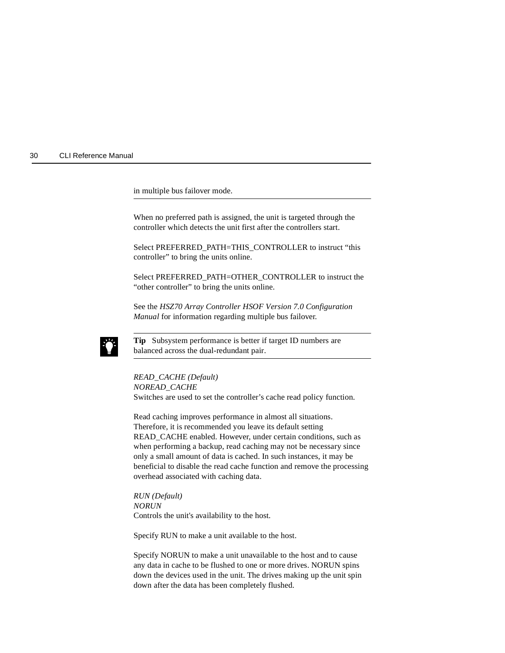in multiple bus failover mode.

When no preferred path is assigned, the unit is targeted through the controller which detects the unit first after the controllers start.

Select PREFERRED\_PATH=THIS\_CONTROLLER to instruct "this controller" to bring the units online.

Select PREFERRED\_PATH=OTHER\_CONTROLLER to instruct the "other controller" to bring the units online.

See the *HSZ70 Array Controller HSOF Version 7.0 Configuration Manual* for information regarding multiple bus failover.



**Tip** Subsystem performance is better if target ID numbers are balanced across the dual-redundant pair.

#### *READ\_CACHE (Default)*

*NOREAD\_CACHE*

Switches are used to set the controller's cache read policy function.

Read caching improves performance in almost all situations. Therefore, it is recommended you leave its default setting READ\_CACHE enabled. However, under certain conditions, such as when performing a backup, read caching may not be necessary since only a small amount of data is cached. In such instances, it may be beneficial to disable the read cache function and remove the processing overhead associated with caching data.

*RUN (Default) NORUN* Controls the unit's availability to the host.

Specify RUN to make a unit available to the host.

Specify NORUN to make a unit unavailable to the host and to cause any data in cache to be flushed to one or more drives. NORUN spins down the devices used in the unit. The drives making up the unit spin down after the data has been completely flushed.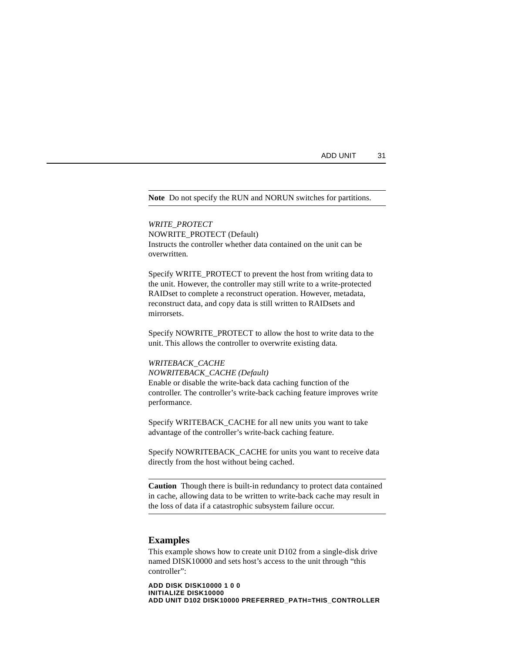#### **Note** Do not specify the RUN and NORUN switches for partitions.

*WRITE\_PROTECT* NOWRITE\_PROTECT (Default) Instructs the controller whether data contained on the unit can be overwritten.

Specify WRITE\_PROTECT to prevent the host from writing data to the unit. However, the controller may still write to a write-protected RAIDset to complete a reconstruct operation. However, metadata, reconstruct data, and copy data is still written to RAIDsets and mirrorsets.

Specify NOWRITE\_PROTECT to allow the host to write data to the unit. This allows the controller to overwrite existing data.

#### *WRITEBACK\_CACHE*

*NOWRITEBACK\_CACHE (Default)* Enable or disable the write-back data caching function of the controller. The controller's write-back caching feature improves write performance.

Specify WRITEBACK\_CACHE for all new units you want to take advantage of the controller's write-back caching feature.

Specify NOWRITEBACK\_CACHE for units you want to receive data directly from the host without being cached.

**Caution** Though there is built-in redundancy to protect data contained in cache, allowing data to be written to write-back cache may result in the loss of data if a catastrophic subsystem failure occur.

### **Examples**

This example shows how to create unit D102 from a single-disk drive named DISK10000 and sets host's access to the unit through "this controller":

**ADD DISK DISK10000 1 0 0 INITIALIZE DISK10000 ADD UNIT D102 DISK10000 PREFERRED\_PATH=THIS\_CONTROLLER**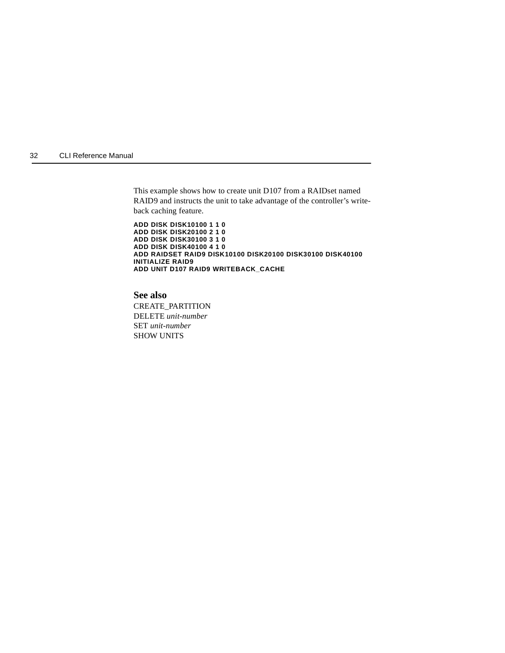This example shows how to create unit D107 from a RAIDset named RAID9 and instructs the unit to take advantage of the controller's writeback caching feature.

**ADD DISK DISK10100 1 1 0 ADD DISK DISK20100 2 1 0 ADD DISK DISK30100 3 1 0 ADD DISK DISK40100 4 1 0 ADD RAIDSET RAID9 DISK10100 DISK20100 DISK30100 DISK40100 INITIALIZE RAID9 ADD UNIT D107 RAID9 WRITEBACK\_CACHE**

# **See also**

CREATE\_PARTITION DELETE *unit-number* SET *unit-number* SHOW UNITS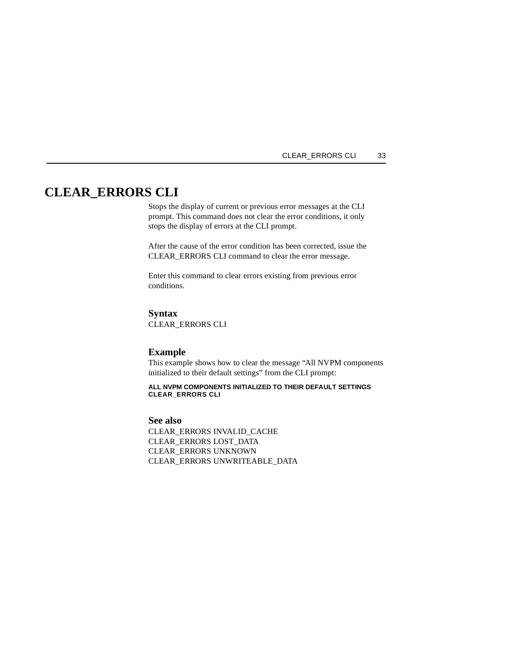### CLEAR\_ERRORS CLI 33

# **CLEAR\_ERRORS CLI**

Stops the display of current or previous error messages at the CLI prompt. This command does not clear the error conditions, it only stops the display of errors at the CLI prompt.

After the cause of the error condition has been corrected, issue the CLEAR\_ERRORS CLI command to clear the error message.

Enter this command to clear errors existing from previous error conditions.

# **Syntax**

CLEAR\_ERRORS CLI

### **Example**

This example shows how to clear the message "All NVPM components initialized to their default settings" from the CLI prompt:

**ALL NVPM COMPONENTS INITIALIZED TO THEIR DEFAULT SETTINGS CLEAR\_ERRORS CLI** 

#### **See also**

CLEAR\_ERRORS INVALID\_CACHE CLEAR\_ERRORS LOST\_DATA CLEAR\_ERRORS UNKNOWN CLEAR\_ERRORS UNWRITEABLE\_DATA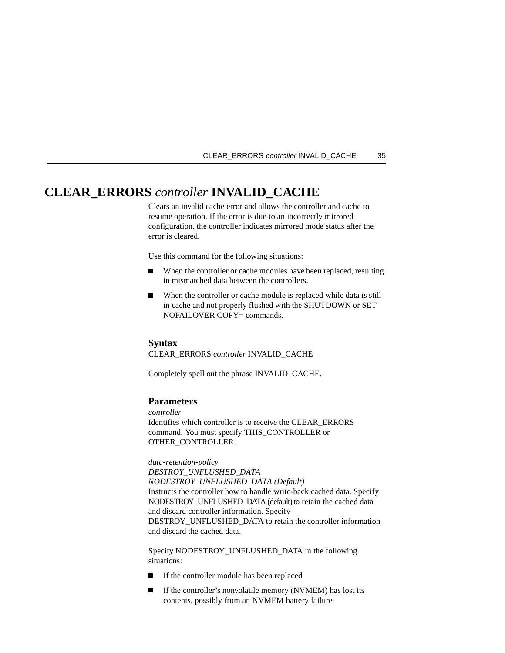#### CLEAR\_ERRORS controller INVALID\_CACHE 35

# **CLEAR\_ERRORS** *controller* **INVALID\_CACHE**

Clears an invalid cache error and allows the controller and cache to resume operation. If the error is due to an incorrectly mirrored configuration, the controller indicates mirrored mode status after the error is cleared.

Use this command for the following situations:

- $\blacksquare$  When the controller or cache modules have been replaced, resulting in mismatched data between the controllers.
- $\blacksquare$  When the controller or cache module is replaced while data is still in cache and not properly flushed with the SHUTDOWN or SET NOFAILOVER COPY= commands.

#### **Syntax**

CLEAR\_ERRORS *controller* INVALID\_CACHE

Completely spell out the phrase INVALID\_CACHE.

## **Parameters**

*controller* Identifies which controller is to receive the CLEAR\_ERRORS command. You must specify THIS\_CONTROLLER or OTHER\_CONTROLLER.

*data-retention-policy DESTROY\_UNFLUSHED\_DATA NODESTROY\_UNFLUSHED\_DATA (Default)* Instructs the controller how to handle write-back cached data. Specify NODESTROY\_UNFLUSHED\_DATA (default) to retain the cached data and discard controller information. Specify DESTROY\_UNFLUSHED\_DATA to retain the controller information and discard the cached data.

Specify NODESTROY\_UNFLUSHED\_DATA in the following situations:

- If the controller module has been replaced
- $\blacksquare$  If the controller's nonvolatile memory (NVMEM) has lost its contents, possibly from an NVMEM battery failure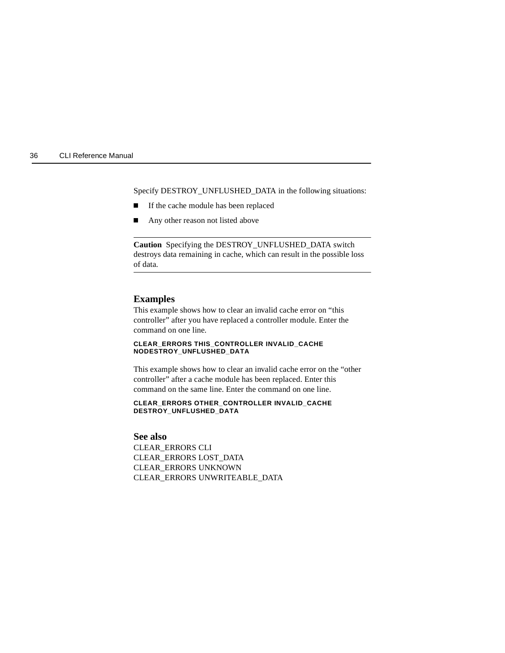Specify DESTROY\_UNFLUSHED\_DATA in the following situations:

- $\blacksquare$ If the cache module has been replaced
- $\blacksquare$ Any other reason not listed above

**Caution** Specifying the DESTROY\_UNFLUSHED\_DATA switch destroys data remaining in cache, which can result in the possible loss of data.

## **Examples**

This example shows how to clear an invalid cache error on "this controller" after you have replaced a controller module. Enter the command on one line.

#### **CLEAR\_ERRORS THIS\_CONTROLLER INVALID\_CACHE NODESTROY\_UNFLUSHED\_DATA**

This example shows how to clear an invalid cache error on the "other controller" after a cache module has been replaced. Enter this command on the same line. Enter the command on one line.

#### **CLEAR\_ERRORS OTHER\_CONTROLLER INVALID\_CACHE DESTROY\_UNFLUSHED\_DATA**

## **See also**

CLEAR\_ERRORS CLI CLEAR\_ERRORS LOST\_DATA CLEAR\_ERRORS UNKNOWN CLEAR\_ERRORS UNWRITEABLE\_DATA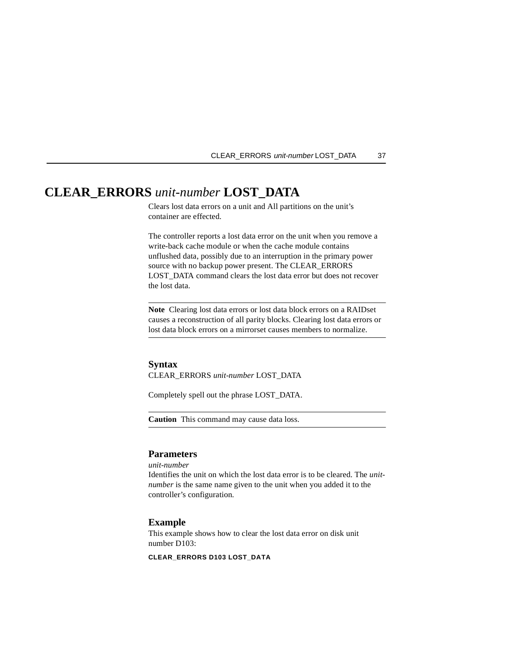#### CLEAR\_ERRORS unit-number LOST\_DATA 37

# **CLEAR\_ERRORS** *unit-number* **LOST\_DATA**

Clears lost data errors on a unit and All partitions on the unit's container are effected.

The controller reports a lost data error on the unit when you remove a write-back cache module or when the cache module contains unflushed data, possibly due to an interruption in the primary power source with no backup power present. The CLEAR\_ERRORS LOST\_DATA command clears the lost data error but does not recover the lost data.

**Note** Clearing lost data errors or lost data block errors on a RAIDset causes a reconstruction of all parity blocks. Clearing lost data errors or lost data block errors on a mirrorset causes members to normalize.

### **Syntax**

CLEAR\_ERRORS *unit-number* LOST\_DATA

Completely spell out the phrase LOST\_DATA.

**Caution** This command may cause data loss.

# **Parameters**

*unit-number*

Identifies the unit on which the lost data error is to be cleared. The *unitnumber* is the same name given to the unit when you added it to the controller's configuration.

### **Example**

This example shows how to clear the lost data error on disk unit number D103:

**CLEAR\_ERRORS D103 LOST\_DATA**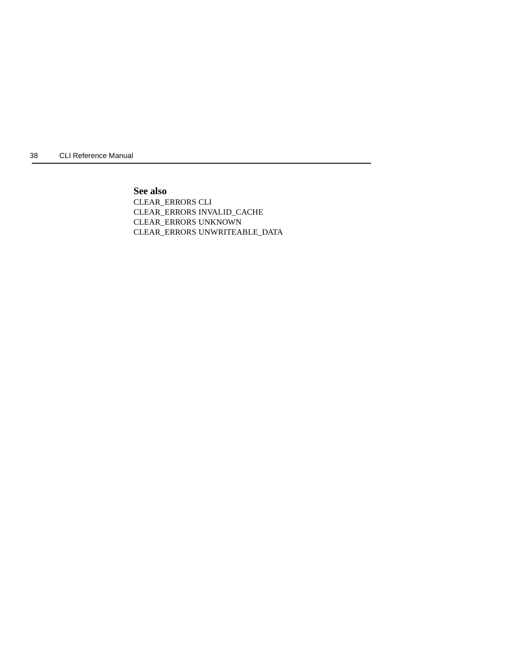**See also**

CLEAR\_ERRORS CLI CLEAR\_ERRORS INVALID\_CACHE CLEAR\_ERRORS UNKNOWN CLEAR\_ERRORS UNWRITEABLE\_DATA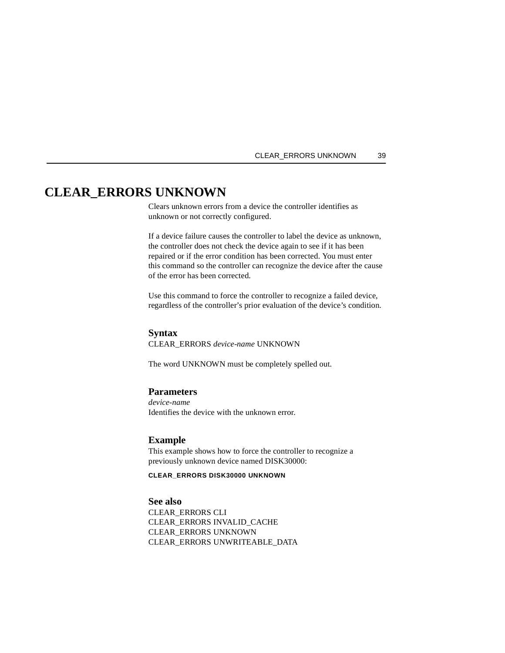#### CLEAR\_ERRORS UNKNOWN 39

# **CLEAR\_ERRORS UNKNOWN**

Clears unknown errors from a device the controller identifies as unknown or not correctly configured.

If a device failure causes the controller to label the device as unknown, the controller does not check the device again to see if it has been repaired or if the error condition has been corrected. You must enter this command so the controller can recognize the device after the cause of the error has been corrected.

Use this command to force the controller to recognize a failed device, regardless of the controller's prior evaluation of the device's condition.

## **Syntax**

CLEAR\_ERRORS *device-name* UNKNOWN

The word UNKNOWN must be completely spelled out.

## **Parameters**

*device-name* Identifies the device with the unknown error.

# **Example**

This example shows how to force the controller to recognize a previously unknown device named DISK30000:

#### **CLEAR\_ERRORS DISK30000 UNKNOWN**

# **See also**

CLEAR\_ERRORS CLI CLEAR\_ERRORS INVALID\_CACHE CLEAR\_ERRORS UNKNOWN CLEAR\_ERRORS UNWRITEABLE\_DATA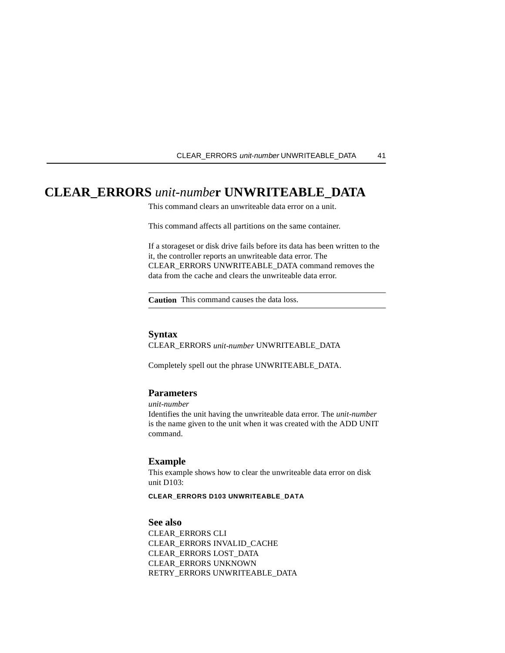#### CLEAR\_ERRORS unit-number UNWRITEABLE\_DATA 41

# **CLEAR\_ERRORS** *unit-numbe***r UNWRITEABLE\_DATA**

This command clears an unwriteable data error on a unit.

This command affects all partitions on the same container.

If a storageset or disk drive fails before its data has been written to the it, the controller reports an unwriteable data error. The CLEAR\_ERRORS UNWRITEABLE\_DATA command removes the data from the cache and clears the unwriteable data error.

**Caution** This command causes the data loss.

## **Syntax**

CLEAR\_ERRORS *unit-number* UNWRITEABLE\_DATA

Completely spell out the phrase UNWRITEABLE\_DATA.

## **Parameters**

*unit-number*

Identifies the unit having the unwriteable data error. The *unit-number* is the name given to the unit when it was created with the ADD UNIT command.

## **Example**

This example shows how to clear the unwriteable data error on disk unit D103:

#### **CLEAR\_ERRORS D103 UNWRITEABLE\_DATA**

# **See also**

CLEAR\_ERRORS CLI CLEAR\_ERRORS INVALID\_CACHE CLEAR\_ERRORS LOST\_DATA CLEAR\_ERRORS UNKNOWN RETRY\_ERRORS UNWRITEABLE\_DATA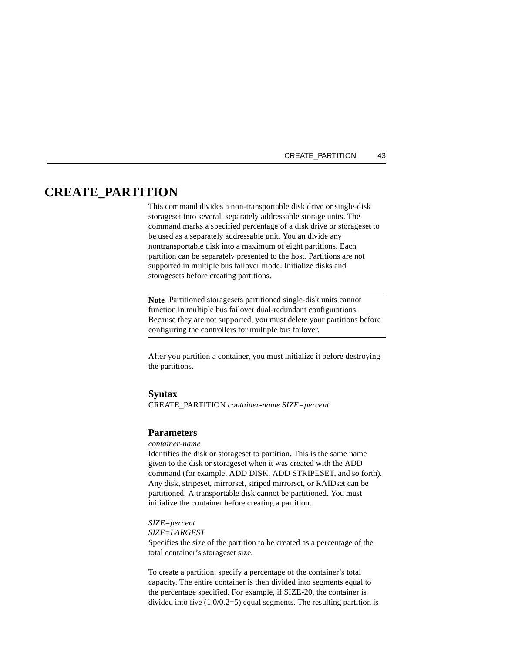#### CREATE\_PARTITION 43

# **CREATE\_PARTITION**

This command divides a non-transportable disk drive or single-disk storageset into several, separately addressable storage units. The command marks a specified percentage of a disk drive or storageset to be used as a separately addressable unit. You an divide any nontransportable disk into a maximum of eight partitions. Each partition can be separately presented to the host. Partitions are not supported in multiple bus failover mode. Initialize disks and storagesets before creating partitions.

**Note** Partitioned storagesets partitioned single-disk units cannot function in multiple bus failover dual-redundant configurations. Because they are not supported, you must delete your partitions before configuring the controllers for multiple bus failover.

After you partition a container, you must initialize it before destroying the partitions.

#### **Syntax**

CREATE\_PARTITION *container-name SIZE=percent*

#### **Parameters**

#### *container-name*

Identifies the disk or storageset to partition. This is the same name given to the disk or storageset when it was created with the ADD command (for example, ADD DISK, ADD STRIPESET, and so forth). Any disk, stripeset, mirrorset, striped mirrorset, or RAIDset can be partitioned. A transportable disk cannot be partitioned. You must initialize the container before creating a partition.

#### *SIZE=percent*

*SIZE=LARGEST*

Specifies the size of the partition to be created as a percentage of the total container's storageset size.

To create a partition, specify a percentage of the container's total capacity. The entire container is then divided into segments equal to the percentage specified. For example, if SIZE-20, the container is divided into five (1.0/0.2=5) equal segments. The resulting partition is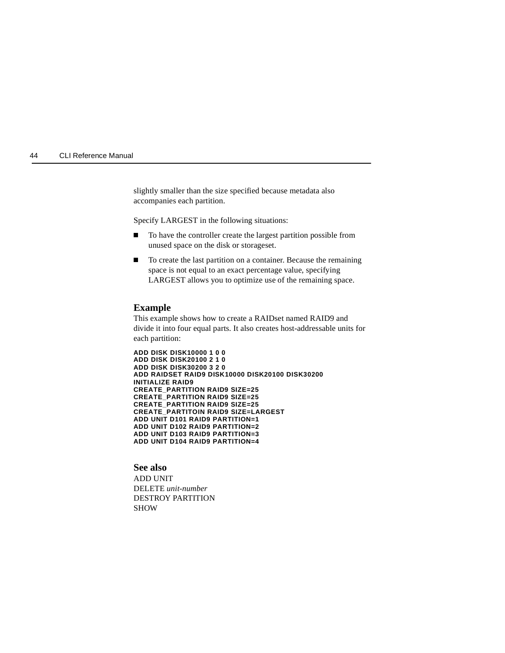slightly smaller than the size specified because metadata also accompanies each partition.

Specify LARGEST in the following situations:

- $\blacksquare$  To have the controller create the largest partition possible from unused space on the disk or storageset.
- П To create the last partition on a container. Because the remaining space is not equal to an exact percentage value, specifying LARGEST allows you to optimize use of the remaining space.

#### **Example**

This example shows how to create a RAIDset named RAID9 and divide it into four equal parts. It also creates host-addressable units for each partition:

**ADD DISK DISK10000 1 0 0 ADD DISK DISK20100 2 1 0 ADD DISK DISK30200 3 2 0 ADD RAIDSET RAID9 DISK10000 DISK20100 DISK30200 INITIALIZE RAID9 CREATE\_PARTITION RAID9 SIZE=25 CREATE\_PARTITION RAID9 SIZE=25 CREATE\_PARTITION RAID9 SIZE=25 CREATE\_PARTITOIN RAID9 SIZE=LARGEST ADD UNIT D101 RAID9 PARTITION=1 ADD UNIT D102 RAID9 PARTITION=2 ADD UNIT D103 RAID9 PARTITION=3 ADD UNIT D104 RAID9 PARTITION=4**

### **See also**

ADD UNIT DELETE *unit-number* DESTROY PARTITION SHOW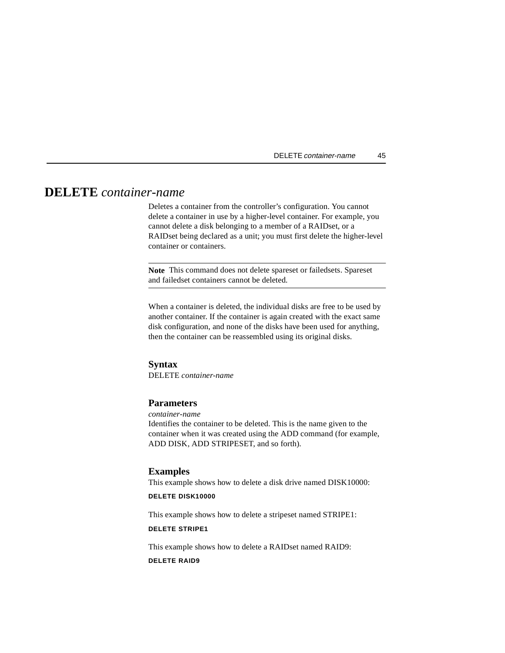# **DELETE** *container-name*

Deletes a container from the controller's configuration. You cannot delete a container in use by a higher-level container. For example, you cannot delete a disk belonging to a member of a RAIDset, or a RAIDset being declared as a unit; you must first delete the higher-level container or containers.

**Note** This command does not delete spareset or failedsets. Spareset and failedset containers cannot be deleted.

When a container is deleted, the individual disks are free to be used by another container. If the container is again created with the exact same disk configuration, and none of the disks have been used for anything, then the container can be reassembled using its original disks.

### **Syntax**

DELETE *container-name*

# **Parameters**

*container-name*

Identifies the container to be deleted. This is the name given to the container when it was created using the ADD command (for example, ADD DISK, ADD STRIPESET, and so forth).

# **Examples**

This example shows how to delete a disk drive named DISK10000:

## **DELETE DISK10000**

This example shows how to delete a stripeset named STRIPE1:

### **DELETE STRIPE1**

This example shows how to delete a RAIDset named RAID9:

#### **DELETE RAID9**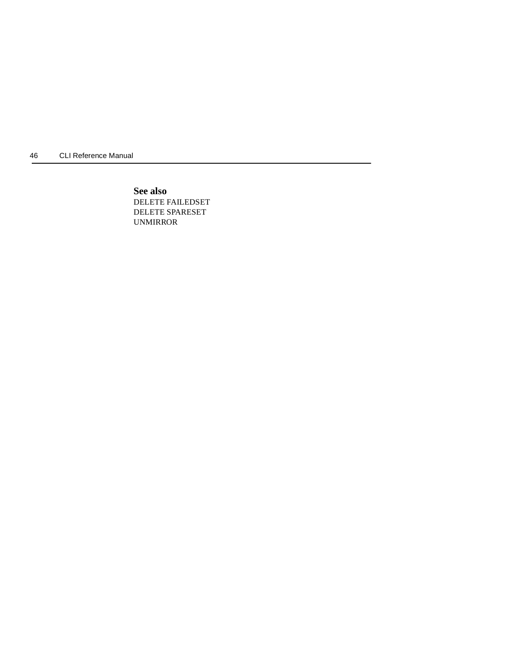**See also** DELETE FAILEDSET DELETE SPARESET UNMIRROR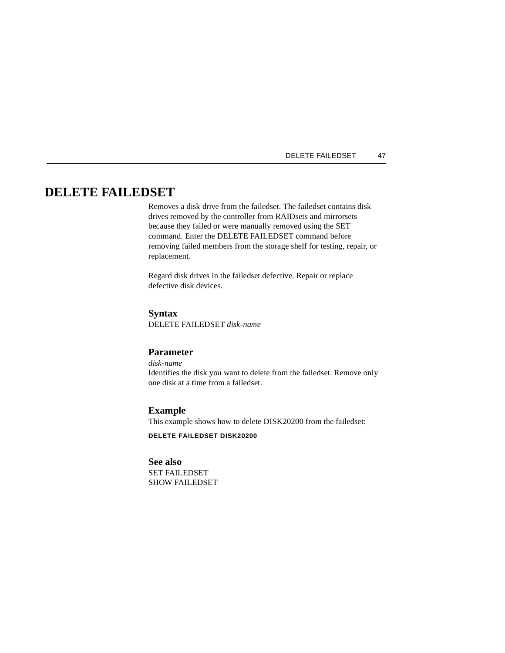# DELETE FAILEDSET 47

# **DELETE FAILEDSET**

Removes a disk drive from the failedset. The failedset contains disk drives removed by the controller from RAIDsets and mirrorsets because they failed or were manually removed using the SET command. Enter the DELETE FAILEDSET command before removing failed members from the storage shelf for testing, repair, or replacement.

Regard disk drives in the failedset defective. Repair or replace defective disk devices.

# **Syntax**

DELETE FAILEDSET *disk-name*

### **Parameter**

*disk-name* Identifies the disk you want to delete from the failedset. Remove only one disk at a time from a failedset.

# **Example**

This example shows how to delete DISK20200 from the failedset:

**DELETE FAILEDSET DISK20200**

#### **See also**

SET FAILEDSET SHOW FAILEDSET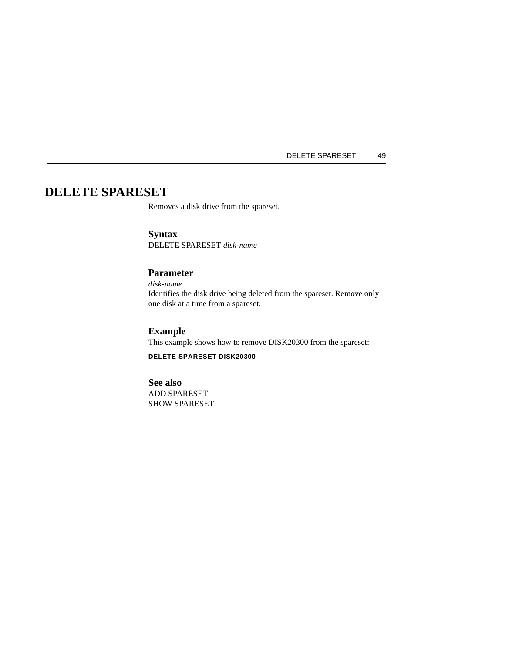DELETE SPARESET 49

# **DELETE SPARESET**

Removes a disk drive from the spareset.

# **Syntax** DELETE SPARESET *disk-name*

# **Parameter**

*disk-name* Identifies the disk drive being deleted from the spareset. Remove only one disk at a time from a spareset.

# **Example**

This example shows how to remove DISK20300 from the spareset:

# **DELETE SPARESET DISK20300**

## **See also**

ADD SPARESET SHOW SPARESET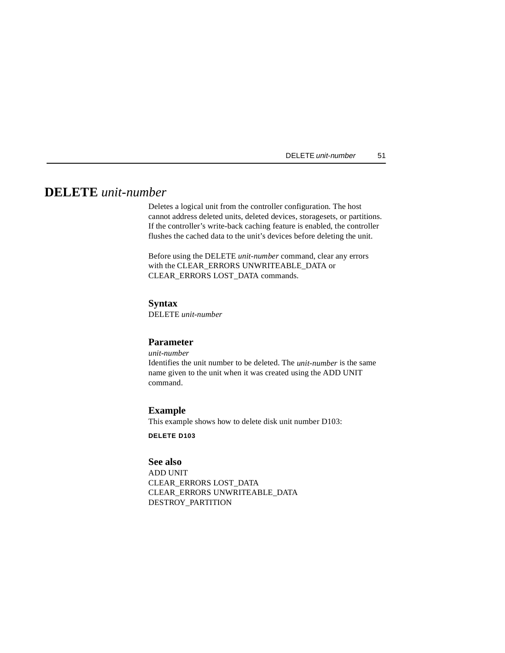# **DELETE** *unit-number*

Deletes a logical unit from the controller configuration. The host cannot address deleted units, deleted devices, storagesets, or partitions. If the controller's write-back caching feature is enabled, the controller flushes the cached data to the unit's devices before deleting the unit.

Before using the DELETE *unit-number* command, clear any errors with the CLEAR\_ERRORS UNWRITEABLE\_DATA or CLEAR\_ERRORS LOST\_DATA commands.

# **Syntax**

DELETE *unit-number*

## **Parameter**

*unit-number*

Identifies the unit number to be deleted. The *unit-number* is the same name given to the unit when it was created using the ADD UNIT command.

# **Example**

This example shows how to delete disk unit number D103:

**DELETE D103**

# **See also**

ADD UNIT CLEAR\_ERRORS LOST\_DATA CLEAR\_ERRORS UNWRITEABLE\_DATA DESTROY\_PARTITION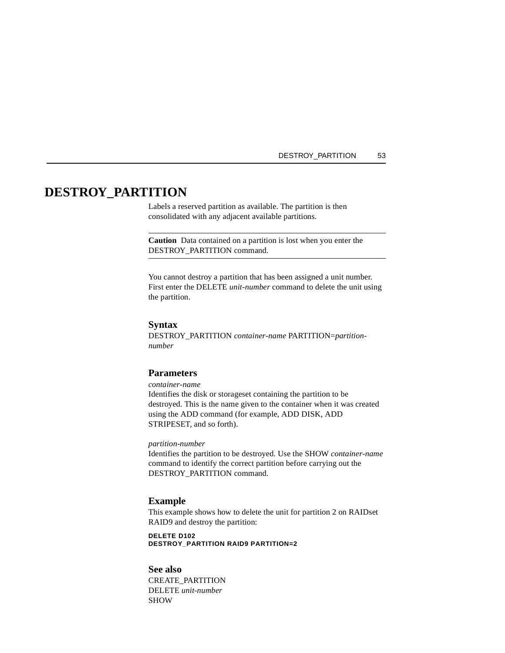### DESTROY\_PARTITION 53

# **DESTROY\_PARTITION**

Labels a reserved partition as available. The partition is then consolidated with any adjacent available partitions.

**Caution** Data contained on a partition is lost when you enter the DESTROY\_PARTITION command.

You cannot destroy a partition that has been assigned a unit number. First enter the DELETE *unit-number* command to delete the unit using the partition.

## **Syntax**

DESTROY\_PARTITION *container-name* PARTITION=*partitionnumber*

# **Parameters**

*container-name*

Identifies the disk or storageset containing the partition to be destroyed. This is the name given to the container when it was created using the ADD command (for example, ADD DISK, ADD STRIPESET, and so forth).

### *partition-number*

Identifies the partition to be destroyed. Use the SHOW *container-name* command to identify the correct partition before carrying out the DESTROY\_PARTITION command.

#### **Example**

This example shows how to delete the unit for partition 2 on RAIDset RAID9 and destroy the partition:

**DELETE D102 DESTROY\_PARTITION RAID9 PARTITION=2**

# **See also**

CREATE\_PARTITION DELETE *unit-number* SHOW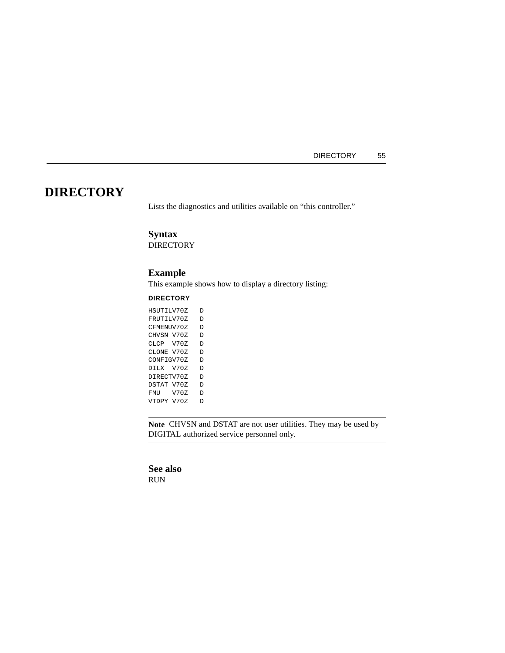# **DIRECTORY**

Lists the diagnostics and utilities available on "this controller."

# **Syntax**

**DIRECTORY** 

# **Example**

This example shows how to display a directory listing:

### **DIRECTORY**

| HSUTILV70Z |      | Ð |
|------------|------|---|
| FRUTILV70Z |      | D |
| CFMENUV70Z |      | D |
| CHVSN V70Z |      | D |
| CLCP V70Z  |      | Ð |
| CLONE V70Z |      | D |
| CONFIGV70Z |      | D |
| DILX V70Z  |      | D |
| DIRECTV70Z |      | D |
| DSTAT V70Z |      | D |
| FMU        | V70Z | D |
| VTDPY V70Z |      |   |

**Note** CHVSN and DSTAT are not user utilities. They may be used by DIGITAL authorized service personnel only.

# **See also**

RUN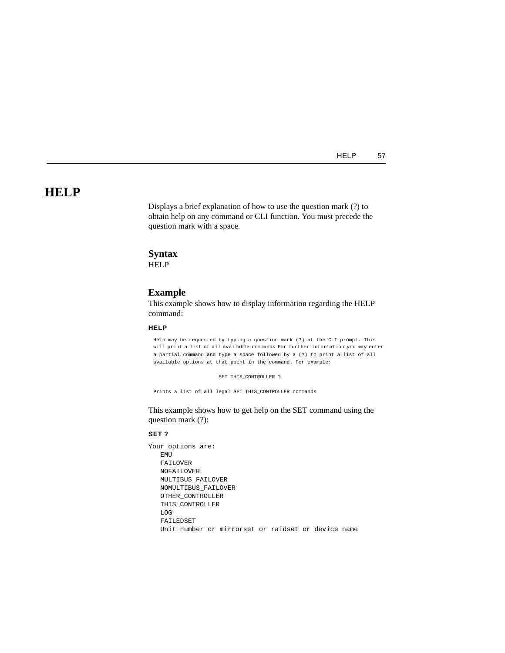HELP 57

# **HELP**

Displays a brief explanation of how to use the question mark (?) to obtain help on any command or CLI function. You must precede the question mark with a space.

# **Syntax**

**HELP** 

#### **Example**

This example shows how to display information regarding the HELP command:

# **HELP**

Help may be requested by typing a question mark (?) at the CLI prompt. This will print a list of all available commands For further information you may enter a partial command and type a space followed by a (?) to print a list of all available options at that point in the command. For example:

SET THIS\_CONTROLLER ?

Prints a list of all legal SET THIS\_CONTROLLER commands

This example shows how to get help on the SET command using the question mark (?):

#### **SET ?**

Your options are: EMU FAILOVER NOFAILOVER MULTIBUS\_FAILOVER NOMULTIBUS\_FAILOVER OTHER\_CONTROLLER THIS\_CONTROLLER LOG FAILEDSET Unit number or mirrorset or raidset or device name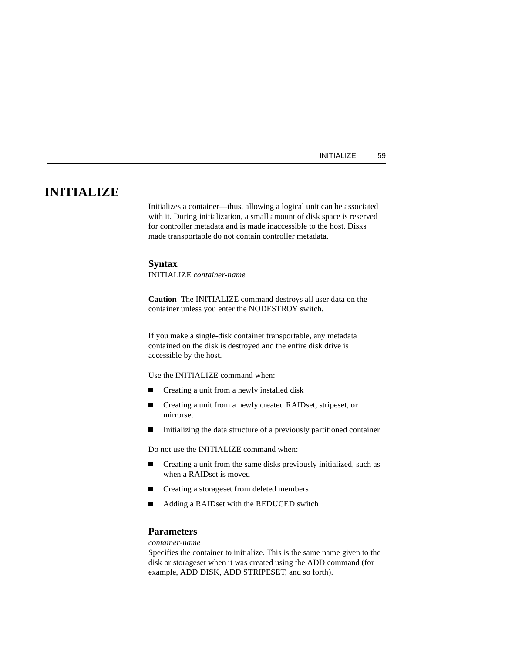# **INITIALIZE**

Initializes a container—thus, allowing a logical unit can be associated with it. During initialization, a small amount of disk space is reserved for controller metadata and is made inaccessible to the host. Disks made transportable do not contain controller metadata.

#### **Syntax**

INITIALIZE *container-name* 

**Caution** The INITIALIZE command destroys all user data on the container unless you enter the NODESTROY switch.

If you make a single-disk container transportable, any metadata contained on the disk is destroyed and the entire disk drive is accessible by the host.

Use the INITIALIZE command when:

- $\blacksquare$ Creating a unit from a newly installed disk
- $\blacksquare$  Creating a unit from a newly created RAIDset, stripeset, or mirrorset
- $\blacksquare$ Initializing the data structure of a previously partitioned container

Do not use the INITIALIZE command when:

- $\blacksquare$  Creating a unit from the same disks previously initialized, such as when a RAIDset is moved
- $\blacksquare$ Creating a storageset from deleted members
- $\blacksquare$ Adding a RAIDset with the REDUCED switch

## **Parameters**

*container-name*

Specifies the container to initialize. This is the same name given to the disk or storageset when it was created using the ADD command (for example, ADD DISK, ADD STRIPESET, and so forth).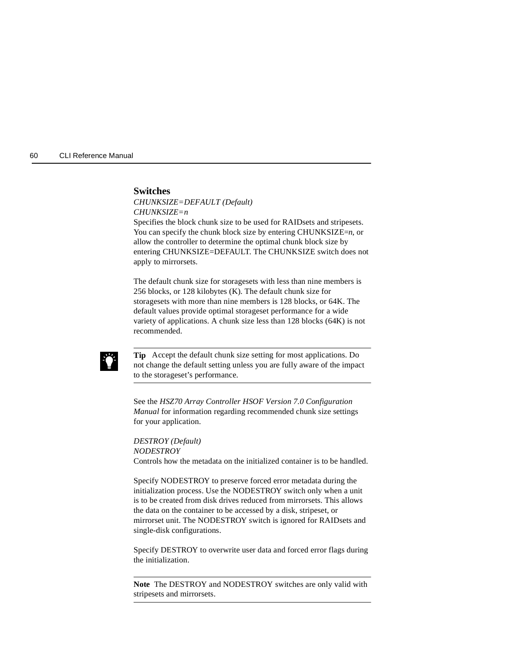

## **Switches**

*CHUNKSIZE=DEFAULT (Default) CHUNKSIZE=n*

Specifies the block chunk size to be used for RAIDsets and stripesets. You can specify the chunk block size by entering CHUNKSIZE=*n*, or allow the controller to determine the optimal chunk block size by entering CHUNKSIZE=DEFAULT. The CHUNKSIZE switch does not apply to mirrorsets.

The default chunk size for storagesets with less than nine members is 256 blocks, or 128 kilobytes (K). The default chunk size for storagesets with more than nine members is 128 blocks, or 64K. The default values provide optimal storageset performance for a wide variety of applications. A chunk size less than 128 blocks (64K) is not recommended.



**Tip** Accept the default chunk size setting for most applications. Do not change the default setting unless you are fully aware of the impact to the storageset's performance.

See the *HSZ70 Array Controller HSOF Version 7.0 Configuration Manual* for information regarding recommended chunk size settings for your application.

*DESTROY (Default) NODESTROY* Controls how the metadata on the initialized container is to be handled.

Specify NODESTROY to preserve forced error metadata during the initialization process. Use the NODESTROY switch only when a unit is to be created from disk drives reduced from mirrorsets. This allows the data on the container to be accessed by a disk, stripeset, or mirrorset unit. The NODESTROY switch is ignored for RAIDsets and single-disk configurations.

Specify DESTROY to overwrite user data and forced error flags during the initialization.

**Note** The DESTROY and NODESTROY switches are only valid with stripesets and mirrorsets.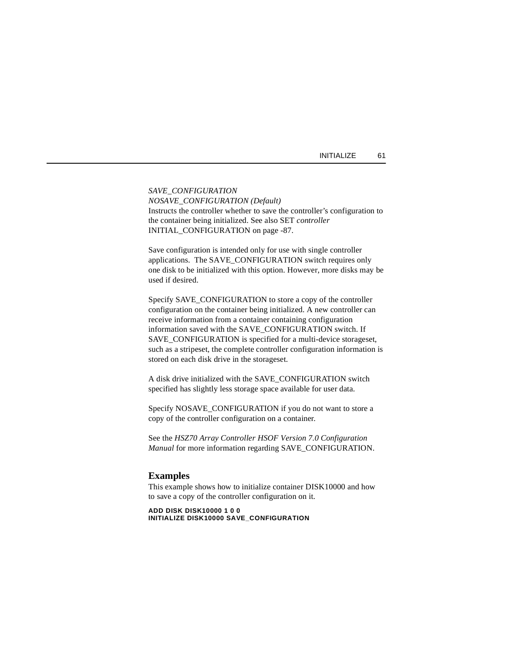| INITIALIZE |  |  |  |  |  |  |
|------------|--|--|--|--|--|--|
|------------|--|--|--|--|--|--|

*SAVE\_CONFIGURATION NOSAVE\_CONFIGURATION (Default)* Instructs the controller whether to save the controller's configuration to the container being initialized. See also SET *controller* INITIAL\_CONFIGURATION on [page -87.](#page-100-0)

Save configuration is intended only for use with single controller applications. The SAVE\_CONFIGURATION switch requires only one disk to be initialized with this option. However, more disks may be used if desired.

Specify SAVE\_CONFIGURATION to store a copy of the controller configuration on the container being initialized. A new controller can receive information from a container containing configuration information saved with the SAVE\_CONFIGURATION switch. If SAVE\_CONFIGURATION is specified for a multi-device storageset, such as a stripeset, the complete controller configuration information is stored on each disk drive in the storageset.

A disk drive initialized with the SAVE\_CONFIGURATION switch specified has slightly less storage space available for user data.

Specify NOSAVE\_CONFIGURATION if you do not want to store a copy of the controller configuration on a container.

See the *HSZ70 Array Controller HSOF Version 7.0 Configuration Manual* for more information regarding SAVE\_CONFIGURATION.

## **Examples**

This example shows how to initialize container DISK10000 and how to save a copy of the controller configuration on it.

**ADD DISK DISK10000 1 0 0 INITIALIZE DISK10000 SAVE\_CONFIGURATION**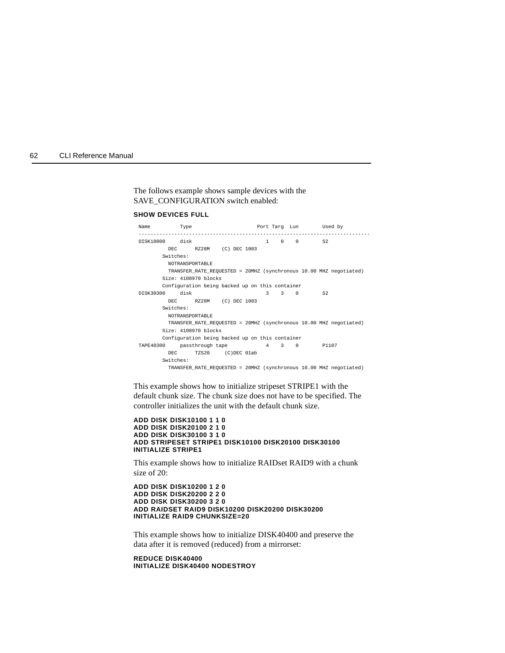#### The follows example shows sample devices with the SAVE\_CONFIGURATION switch enabled:

#### **SHOW DEVICES FULL**

| Name             | Type            |                      |                                                 |       |             | Port Tarq Lun Used by                                              |  |
|------------------|-----------------|----------------------|-------------------------------------------------|-------|-------------|--------------------------------------------------------------------|--|
| DISK10000 disk   |                 |                      |                                                 |       |             | $1 \t 0 \t 0 \t 52$                                                |  |
|                  | DEC.            |                      | RZ28M (C) DEC 1003                              |       |             |                                                                    |  |
|                  | Switches:       |                      |                                                 |       |             |                                                                    |  |
|                  | NOTRANSPORTABLE |                      |                                                 |       |             |                                                                    |  |
|                  |                 |                      |                                                 |       |             | TRANSFER RATE REQUESTED = 20MHZ (synchronous 10.00 MHZ negotiated) |  |
|                  |                 | Size: 4108970 blocks |                                                 |       |             |                                                                    |  |
|                  |                 |                      | Configuration being backed up on this container |       |             |                                                                    |  |
| DISK30300        | disk            |                      |                                                 |       | $3 \t3 \t0$ | S2                                                                 |  |
|                  |                 |                      | DEC RZ28M (C) DEC 1003                          |       |             |                                                                    |  |
|                  | Switches:       |                      |                                                 |       |             |                                                                    |  |
|                  | NOTRANSPORTABLE |                      |                                                 |       |             |                                                                    |  |
|                  |                 |                      |                                                 |       |             | TRANSFER RATE REQUESTED = 20MHZ (synchronous 10.00 MHZ negotiated) |  |
|                  |                 | Size: 4108970 blocks |                                                 |       |             |                                                                    |  |
|                  |                 |                      | Configuration being backed up on this container |       |             |                                                                    |  |
| <b>TAPE40300</b> |                 | passthrough tape     |                                                 | 4 3 0 |             | P1107                                                              |  |
|                  | DEC.            |                      | TZS20 (C)DEC 01ab                               |       |             |                                                                    |  |
|                  | Switches:       |                      |                                                 |       |             |                                                                    |  |
|                  |                 |                      |                                                 |       |             | TRANSFER_RATE_REQUESTED = 20MHZ (synchronous 10.00 MHZ negotiated) |  |

This example shows how to initialize stripeset STRIPE1 with the default chunk size. The chunk size does not have to be specified. The controller initializes the unit with the default chunk size.

```
ADD DISK DISK10100 1 1 0
ADD DISK DISK20100 2 1 0
ADD DISK DISK30100 3 1 0
ADD STRIPESET STRIPE1 DISK10100 DISK20100 DISK30100
INITIALIZE STRIPE1
```
This example shows how to initialize RAIDset RAID9 with a chunk size of 20:

**ADD DISK DISK10200 1 2 0 ADD DISK DISK20200 2 2 0 ADD DISK DISK30200 3 2 0 ADD RAIDSET RAID9 DISK10200 DISK20200 DISK30200 INITIALIZE RAID9 CHUNKSIZE=20**

This example shows how to initialize DISK40400 and preserve the data after it is removed (reduced) from a mirrorset:

**REDUCE DISK40400 INITIALIZE DISK40400 NODESTROY**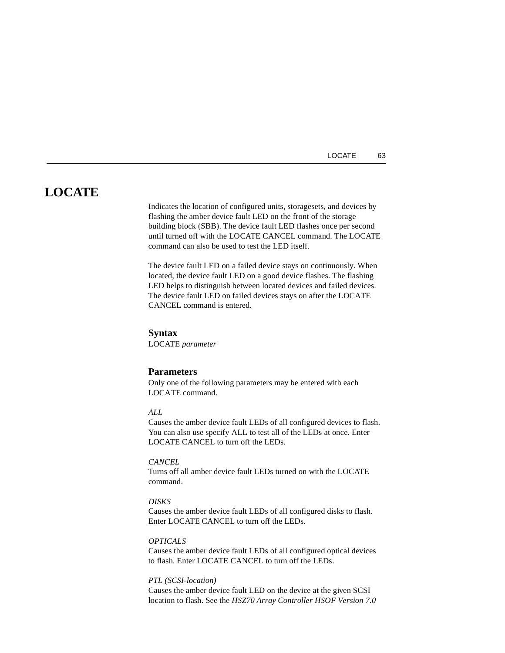# **LOCATE**

Indicates the location of configured units, storagesets, and devices by flashing the amber device fault LED on the front of the storage building block (SBB). The device fault LED flashes once per second until turned off with the LOCATE CANCEL command. The LOCATE command can also be used to test the LED itself.

The device fault LED on a failed device stays on continuously. When located, the device fault LED on a good device flashes. The flashing LED helps to distinguish between located devices and failed devices. The device fault LED on failed devices stays on after the LOCATE CANCEL command is entered.

#### **Syntax**

LOCATE *parameter*

#### **Parameters**

Only one of the following parameters may be entered with each LOCATE command.

# *ALL*

Causes the amber device fault LEDs of all configured devices to flash. You can also use specify ALL to test all of the LEDs at once. Enter LOCATE CANCEL to turn off the LEDs.

## *CANCEL*

Turns off all amber device fault LEDs turned on with the LOCATE command.

#### *DISKS*

Causes the amber device fault LEDs of all configured disks to flash. Enter LOCATE CANCEL to turn off the LEDs.

### *OPTICALS*

Causes the amber device fault LEDs of all configured optical devices to flash. Enter LOCATE CANCEL to turn off the LEDs.

#### *PTL (SCSI-location)*

Causes the amber device fault LED on the device at the given SCSI location to flash. See the *HSZ70 Array Controller HSOF Version 7.0*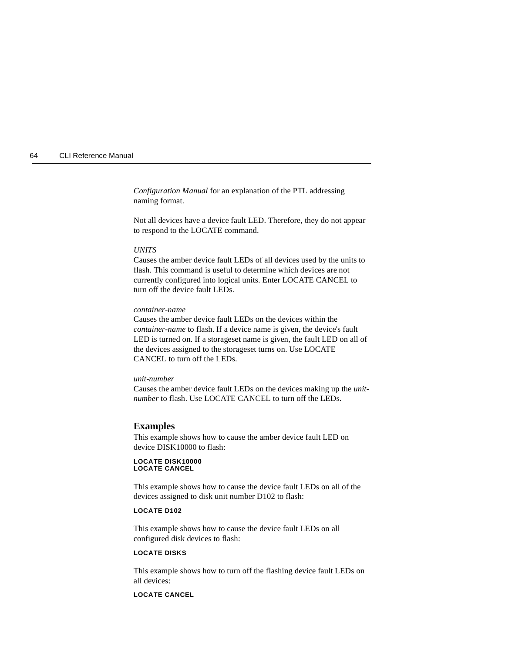*Configuration Manual* for an explanation of the PTL addressing naming format.

Not all devices have a device fault LED. Therefore, they do not appear to respond to the LOCATE command.

#### *UNITS*

Causes the amber device fault LEDs of all devices used by the units to flash. This command is useful to determine which devices are not currently configured into logical units. Enter LOCATE CANCEL to turn off the device fault LEDs.

#### *container-name*

Causes the amber device fault LEDs on the devices within the *container-name* to flash. If a device name is given, the device's fault LED is turned on. If a storageset name is given, the fault LED on all of the devices assigned to the storageset turns on. Use LOCATE CANCEL to turn off the LEDs.

#### *unit-number*

Causes the amber device fault LEDs on the devices making up the *unitnumber* to flash. Use LOCATE CANCEL to turn off the LEDs.

#### **Examples**

This example shows how to cause the amber device fault LED on device DISK10000 to flash:

#### **LOCATE DISK10000 LOCATE CANCEL**

This example shows how to cause the device fault LEDs on all of the devices assigned to disk unit number D102 to flash:

#### **LOCATE D102**

This example shows how to cause the device fault LEDs on all configured disk devices to flash:

#### **LOCATE DISKS**

This example shows how to turn off the flashing device fault LEDs on all devices:

## **LOCATE CANCEL**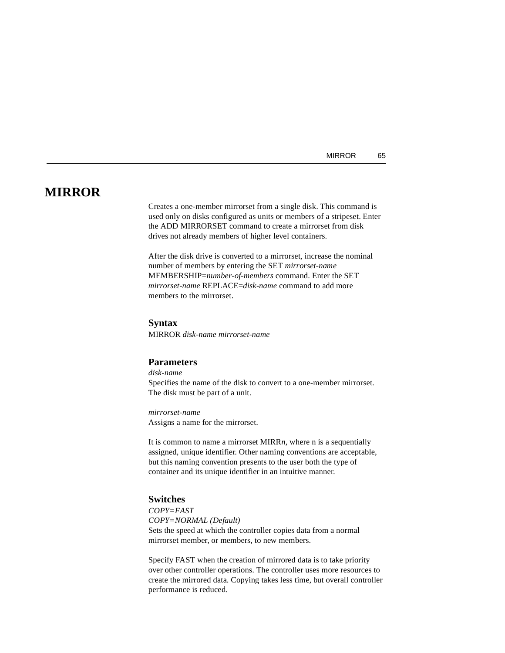# **MIRROR**

Creates a one-member mirrorset from a single disk. This command is used only on disks configured as units or members of a stripeset. Enter the ADD MIRRORSET command to create a mirrorset from disk drives not already members of higher level containers.

After the disk drive is converted to a mirrorset, increase the nominal number of members by entering the SET *mirrorset-name* MEMBERSHIP=*number-of-members* command. Enter the SET *mirrorset-name* REPLACE=*disk-name* command to add more members to the mirrorset.

#### **Syntax**

MIRROR *disk-name mirrorset-name*

# **Parameters**

*disk-name* Specifies the name of the disk to convert to a one-member mirrorset. The disk must be part of a unit.

*mirrorset-name* Assigns a name for the mirrorset.

It is common to name a mirrorset MIRR*n*, where n is a sequentially assigned, unique identifier. Other naming conventions are acceptable, but this naming convention presents to the user both the type of container and its unique identifier in an intuitive manner.

## **Switches**

*COPY=FAST COPY=NORMAL (Default)* Sets the speed at which the controller copies data from a normal mirrorset member, or members, to new members.

Specify FAST when the creation of mirrored data is to take priority over other controller operations. The controller uses more resources to create the mirrored data. Copying takes less time, but overall controller performance is reduced.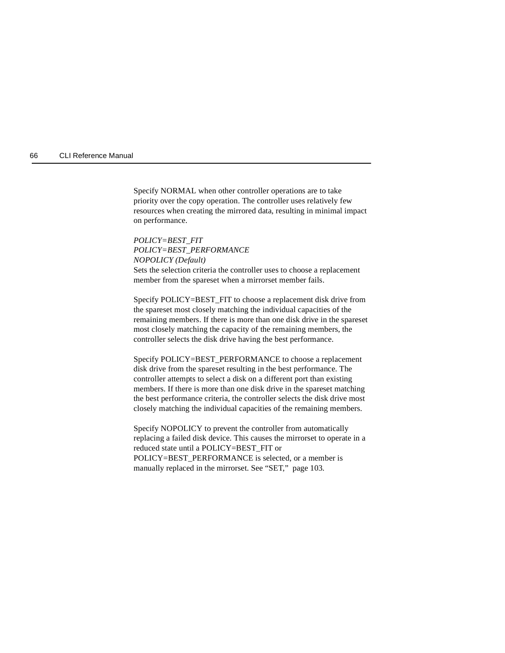Specify NORMAL when other controller operations are to take priority over the copy operation. The controller uses relatively few resources when creating the mirrored data, resulting in minimal impact on performance.

*POLICY=BEST\_FIT POLICY=BEST\_PERFORMANCE NOPOLICY (Default)* Sets the selection criteria the controller uses to choose a replacement member from the spareset when a mirrorset member fails.

Specify POLICY=BEST\_FIT to choose a replacement disk drive from the spareset most closely matching the individual capacities of the remaining members. If there is more than one disk drive in the spareset most closely matching the capacity of the remaining members, the controller selects the disk drive having the best performance.

Specify POLICY=BEST\_PERFORMANCE to choose a replacement disk drive from the spareset resulting in the best performance. The controller attempts to select a disk on a different port than existing members. If there is more than one disk drive in the spareset matching the best performance criteria, the controller selects the disk drive most closely matching the individual capacities of the remaining members.

Specify NOPOLICY to prevent the controller from automatically replacing a failed disk device. This causes the mirrorset to operate in a reduced state until a POLICY=BEST\_FIT or POLICY=BEST\_PERFORMANCE is selected, or a member is manually replaced in the mirrorset. See ["SET," page 103](#page-116-0).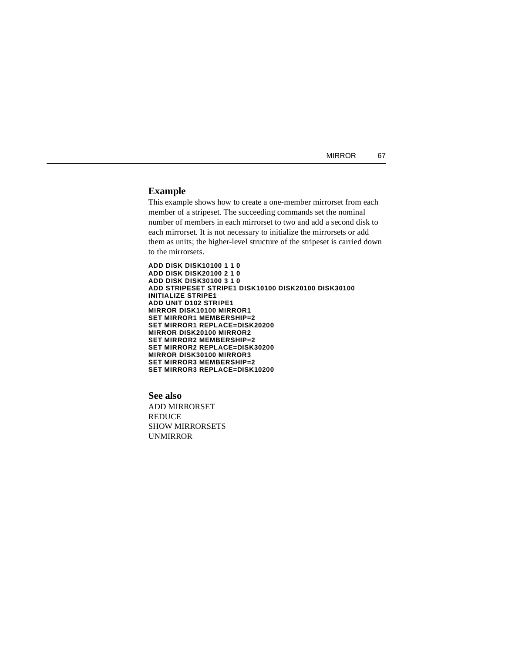| MIRROR | -67 |
|--------|-----|
|--------|-----|

## **Example**

This example shows how to create a one-member mirrorset from each member of a stripeset. The succeeding commands set the nominal number of members in each mirrorset to two and add a second disk to each mirrorset. It is not necessary to initialize the mirrorsets or add them as units; the higher-level structure of the stripeset is carried down to the mirrorsets.

**ADD DISK DISK10100 1 1 0 ADD DISK DISK20100 2 1 0 ADD DISK DISK30100 3 1 0 ADD STRIPESET STRIPE1 DISK10100 DISK20100 DISK30100 INITIALIZE STRIPE1 ADD UNIT D102 STRIPE1 MIRROR DISK10100 MIRROR1 SET MIRROR1 MEMBERSHIP=2 SET MIRROR1 REPLACE=DISK20200 MIRROR DISK20100 MIRROR2 SET MIRROR2 MEMBERSHIP=2 SET MIRROR2 REPLACE=DISK30200 MIRROR DISK30100 MIRROR3 SET MIRROR3 MEMBERSHIP=2 SET MIRROR3 REPLACE=DISK10200**

**See also** ADD MIRRORSET **REDUCE** SHOW MIRRORSETS UNMIRROR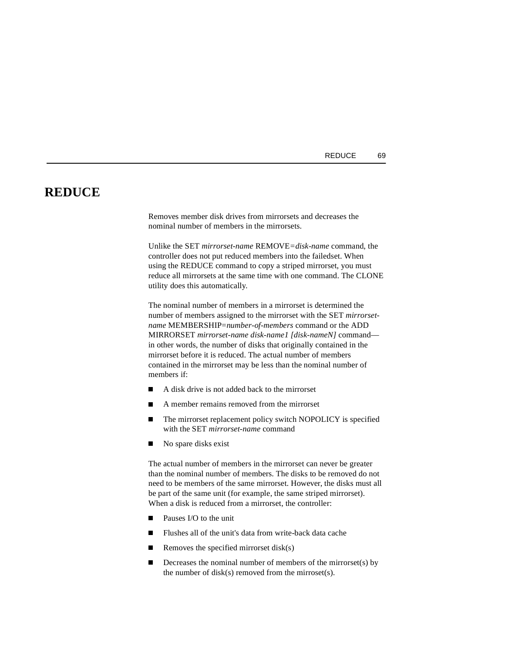# **REDUCE**

Removes member disk drives from mirrorsets and decreases the nominal number of members in the mirrorsets.

Unlike the SET *mirrorset-name* REMOVE*=disk-name* command, the controller does not put reduced members into the failedset. When using the REDUCE command to copy a striped mirrorset, you must reduce all mirrorsets at the same time with one command. The CLONE utility does this automatically.

The nominal number of members in a mirrorset is determined the number of members assigned to the mirrorset with the SET *mirrorsetname* MEMBERSHIP=*number-of-members* command or the ADD MIRRORSET *mirrorset-name disk-name1 [disk-nameN]* command in other words, the number of disks that originally contained in the mirrorset before it is reduced. The actual number of members contained in the mirrorset may be less than the nominal number of members if:

- $\blacksquare$ A disk drive is not added back to the mirrorset
- $\blacksquare$ A member remains removed from the mirrorset
- $\blacksquare$  The mirrorset replacement policy switch NOPOLICY is specified with the SET *mirrorset-name* command
- $\blacksquare$ No spare disks exist

The actual number of members in the mirrorset can never be greater than the nominal number of members. The disks to be removed do not need to be members of the same mirrorset. However, the disks must all be part of the same unit (for example, the same striped mirrorset). When a disk is reduced from a mirrorset, the controller:

- $\blacksquare$ Pauses I/O to the unit
- П Flushes all of the unit's data from write-back data cache
- $\blacksquare$ Removes the specified mirrorset disk(s)
- $\blacksquare$  Decreases the nominal number of members of the mirrorset(s) by the number of  $disk(s)$  removed from the mirroset $(s)$ .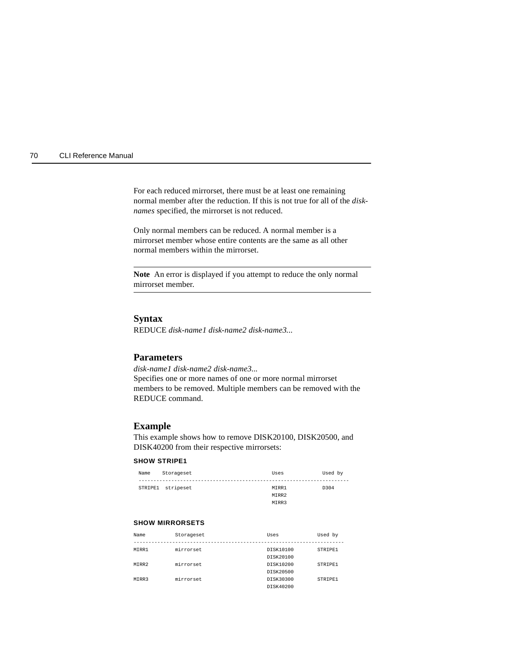For each reduced mirrorset, there must be at least one remaining normal member after the reduction. If this is not true for all of the *disknames* specified, the mirrorset is not reduced.

Only normal members can be reduced. A normal member is a mirrorset member whose entire contents are the same as all other normal members within the mirrorset.

**Note** An error is displayed if you attempt to reduce the only normal mirrorset member.

## **Syntax**

REDUCE *disk-name1 disk-name2 disk-name3...*

# **Parameters**

*disk-name1 disk-name2 disk-name3...* Specifies one or more names of one or more normal mirrorset members to be removed. Multiple members can be removed with the REDUCE command.

## **Example**

This example shows how to remove DISK20100, DISK20500, and DISK40200 from their respective mirrorsets:

### **SHOW STRIPE1**

| Name | Storageset        | Uses  | Used by |
|------|-------------------|-------|---------|
|      |                   |       |         |
|      | STRIPE1 stripeset | MTRR1 | D304    |
|      |                   | MIRR2 |         |
|      |                   | MIRR3 |         |

### **SHOW MIRRORSETS**

| Name  | Storageset | Uses      | Used by |
|-------|------------|-----------|---------|
|       |            |           |         |
| MTRR1 | mirrorset  | DISK10100 | STRIPE1 |
|       |            | DISK20100 |         |
| MTRR2 | mirrorset  | DISK10200 | STRIPE1 |
|       |            | DISK20500 |         |
| MTRR3 | mirrorset  | DISK30300 | STRIPE1 |
|       |            | DISK40200 |         |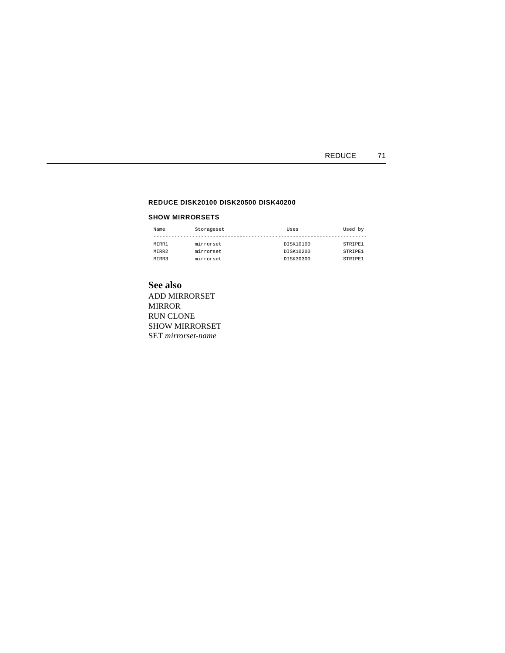## REDUCE 71

#### **REDUCE DISK20100 DISK20500 DISK40200**

#### **SHOW MIRRORSETS**

| Name  | Storageset | Uses      | Used by |
|-------|------------|-----------|---------|
|       |            |           |         |
| MTRR1 | mirrorset  | DISK10100 | STRIPE1 |
| MTRR2 | mirrorset  | DISK10200 | STRIPE1 |
| MTRR3 | mirrorset  | DISK30300 | STRIPE1 |

# **See also**

ADD MIRRORSET MIRROR RUN CLONE SHOW MIRRORSET SET *mirrorset-name*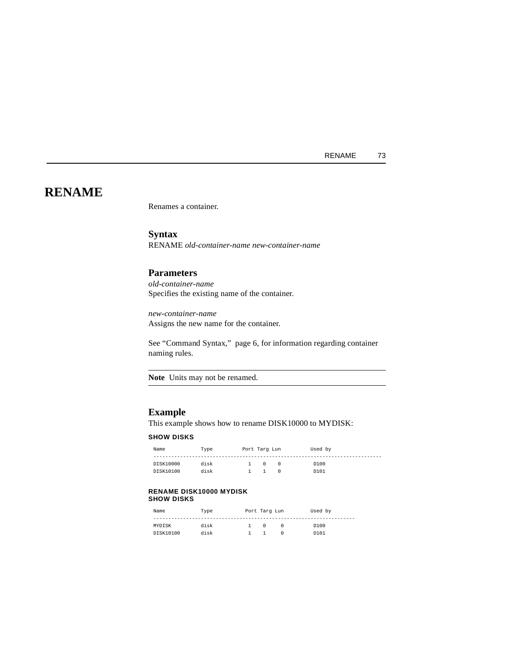# **RENAME**

Renames a container.

**Syntax** RENAME *old-container-name new-container-name*

# **Parameters**

*old-container-name* Specifies the existing name of the container.

*new-container-name* Assigns the new name for the container.

See ["Command Syntax," page 6,](#page-19-0) for information regarding container naming rules.

**Note** Units may not be renamed.

## **Example**

This example shows how to rename DISK10000 to MYDISK:

#### **SHOW DISKS**

| Name      | Type | Port Tarq Lun |  | Used by |
|-----------|------|---------------|--|---------|
|           |      |               |  |         |
| DISK10000 | disk |               |  | D100    |
| DISK10100 | disk |               |  | D101    |

#### **RENAME DISK10000 MYDISK SHOW DISKS**

| Name      | Type | Port Targ Lun | Used by |
|-----------|------|---------------|---------|
|           |      |               |         |
| MYDISK    | disk |               | D100    |
| DISK10100 | disk |               | D101    |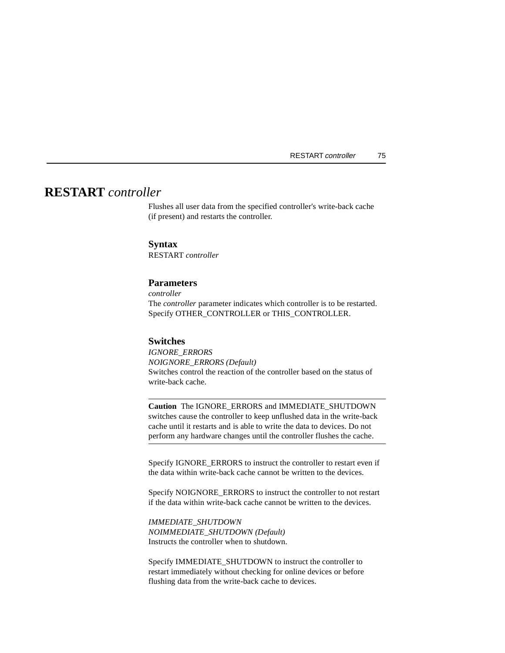# **RESTART** *controller*

Flushes all user data from the specified controller's write-back cache (if present) and restarts the controller.

## **Syntax**

RESTART *controller*

# **Parameters**

*controller* The *controller* parameter indicates which controller is to be restarted. Specify OTHER\_CONTROLLER or THIS\_CONTROLLER.

## **Switches**

*IGNORE\_ERRORS NOIGNORE\_ERRORS (Default)* Switches control the reaction of the controller based on the status of write-back cache.

**Caution** The IGNORE\_ERRORS and IMMEDIATE\_SHUTDOWN switches cause the controller to keep unflushed data in the write-back cache until it restarts and is able to write the data to devices. Do not perform any hardware changes until the controller flushes the cache.

Specify IGNORE\_ERRORS to instruct the controller to restart even if the data within write-back cache cannot be written to the devices.

Specify NOIGNORE\_ERRORS to instruct the controller to not restart if the data within write-back cache cannot be written to the devices.

*IMMEDIATE\_SHUTDOWN NOIMMEDIATE\_SHUTDOWN (Default)*  Instructs the controller when to shutdown.

Specify IMMEDIATE\_SHUTDOWN to instruct the controller to restart immediately without checking for online devices or before flushing data from the write-back cache to devices.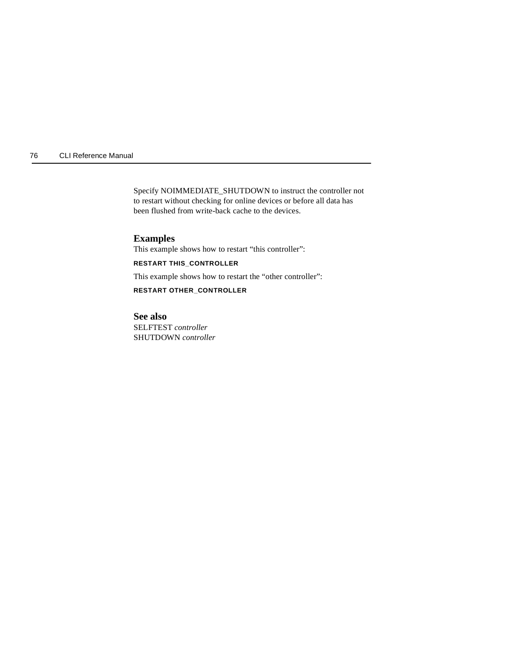Specify NOIMMEDIATE\_SHUTDOWN to instruct the controller not to restart without checking for online devices or before all data has been flushed from write-back cache to the devices.

# **Examples**

This example shows how to restart "this controller":

## **RESTART THIS\_CONTROLLER**

This example shows how to restart the "other controller":

**RESTART OTHER\_CONTROLLER**

## **See also**

SELFTEST *controller* SHUTDOWN *controller*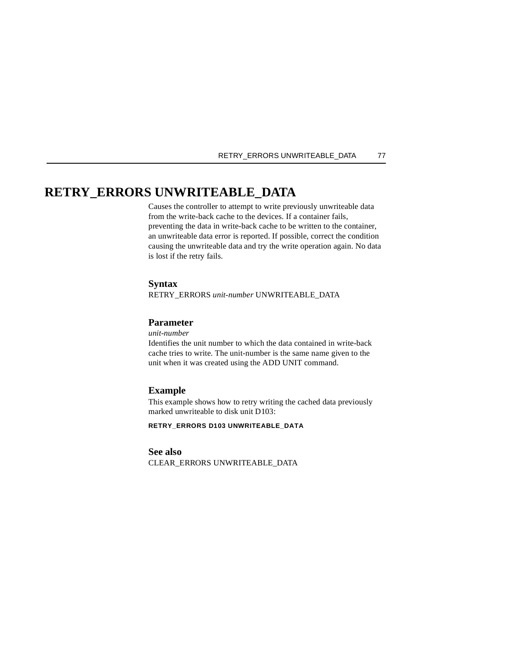#### RETRY\_ERRORS UNWRITEABLE\_DATA 77

# **RETRY\_ERRORS UNWRITEABLE\_DATA**

Causes the controller to attempt to write previously unwriteable data from the write-back cache to the devices. If a container fails, preventing the data in write-back cache to be written to the container, an unwriteable data error is reported. If possible, correct the condition causing the unwriteable data and try the write operation again. No data is lost if the retry fails.

#### **Syntax**

RETRY\_ERRORS *unit-number* UNWRITEABLE\_DATA

## **Parameter**

*unit-number*

Identifies the unit number to which the data contained in write-back cache tries to write. The unit-number is the same name given to the unit when it was created using the ADD UNIT command.

## **Example**

This example shows how to retry writing the cached data previously marked unwriteable to disk unit D103:

**RETRY\_ERRORS D103 UNWRITEABLE\_DATA**

## **See also**

CLEAR\_ERRORS UNWRITEABLE\_DATA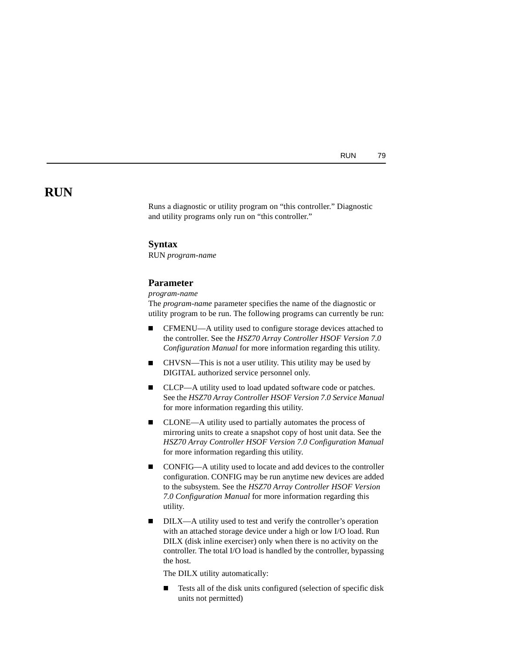RUN 79

# **RUN**

Runs a diagnostic or utility program on "this controller." Diagnostic and utility programs only run on "this controller."

### **Syntax**

RUN *program-name*

## **Parameter**

*program-name*

The *program-name* parameter specifies the name of the diagnostic or utility program to be run. The following programs can currently be run:

- $\blacksquare$  CFMENU—A utility used to configure storage devices attached to the controller. See the *HSZ70 Array Controller HSOF Version 7.0 Configuration Manual* for more information regarding this utility.
- $\blacksquare$  CHVSN—This is not a user utility. This utility may be used by DIGITAL authorized service personnel only.
- $\blacksquare$  CLCP—A utility used to load updated software code or patches. See the *HSZ70 Array Controller HSOF Version 7.0 Service Manual* for more information regarding this utility.
- $\blacksquare$  CLONE—A utility used to partially automates the process of mirroring units to create a snapshot copy of host unit data. See the *HSZ70 Array Controller HSOF Version 7.0 Configuration Manual* for more information regarding this utility.
- $\blacksquare$  CONFIG—A utility used to locate and add devices to the controller configuration. CONFIG may be run anytime new devices are added to the subsystem. See the *HSZ70 Array Controller HSOF Version 7.0 Configuration Manual* for more information regarding this utility.
- $\blacksquare$  DILX—A utility used to test and verify the controller's operation with an attached storage device under a high or low I/O load. Run DILX (disk inline exerciser) only when there is no activity on the controller. The total I/O load is handled by the controller, bypassing the host.

The DILX utility automatically:

 $\blacksquare$  Tests all of the disk units configured (selection of specific disk units not permitted)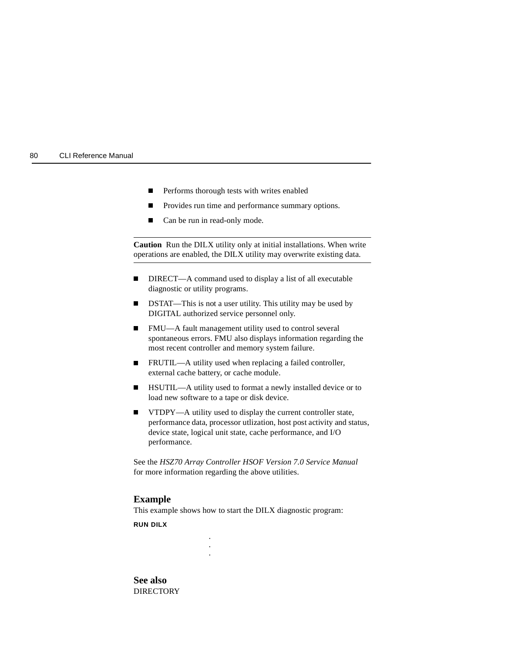- П Performs thorough tests with writes enabled
- $\blacksquare$ Provides run time and performance summary options.
- $\blacksquare$ Can be run in read-only mode.

**Caution** Run the DILX utility only at initial installations. When write operations are enabled, the DILX utility may overwrite existing data.

- П DIRECT—A command used to display a list of all executable diagnostic or utility programs.
- $\blacksquare$  DSTAT—This is not a user utility. This utility may be used by DIGITAL authorized service personnel only.
- $\blacksquare$  FMU—A fault management utility used to control several spontaneous errors. FMU also displays information regarding the most recent controller and memory system failure.
- $\blacksquare$  FRUTIL—A utility used when replacing a failed controller, external cache battery, or cache module.
- $\blacksquare$  HSUTIL—A utility used to format a newly installed device or to load new software to a tape or disk device.
- $\blacksquare$  VTDPY—A utility used to display the current controller state, performance data, processor utlization, host post activity and status, device state, logical unit state, cache performance, and I/O performance.

See the *HSZ70 Array Controller HSOF Version 7.0 Service Manual* for more information regarding the above utilities.

#### **Example**

This example shows how to start the DILX diagnostic program:

. . .

**RUN DILX**

**See also DIRECTORY**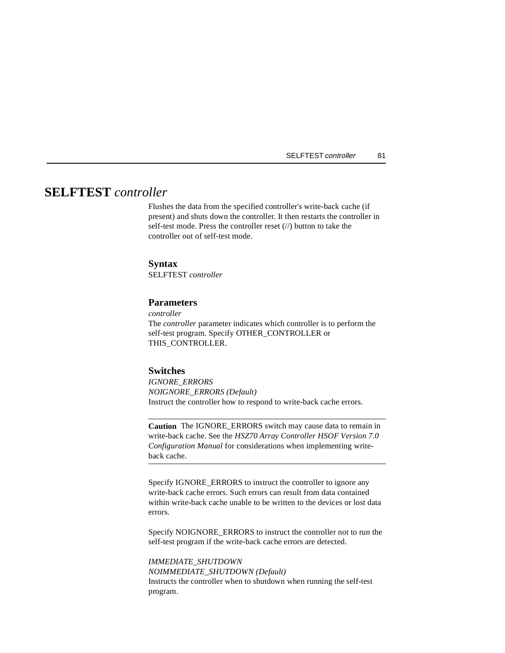# **SELFTEST** *controller*

Flushes the data from the specified controller's write-back cache (if present) and shuts down the controller. It then restarts the controller in self-test mode. Press the controller reset (//) button to take the controller out of self-test mode.

## **Syntax**

SELFTEST *controller*

# **Parameters**

*controller*

The *controller* parameter indicates which controller is to perform the self-test program. Specify OTHER\_CONTROLLER or THIS\_CONTROLLER.

# **Switches**

*IGNORE\_ERRORS NOIGNORE\_ERRORS (Default)*  Instruct the controller how to respond to write-back cache errors.

**Caution** The IGNORE\_ERRORS switch may cause data to remain in write-back cache. See the *HSZ70 Array Controller HSOF Version 7.0 Configuration Manual* for considerations when implementing writeback cache.

Specify IGNORE\_ERRORS to instruct the controller to ignore any write-back cache errors. Such errors can result from data contained within write-back cache unable to be written to the devices or lost data errors.

Specify NOIGNORE\_ERRORS to instruct the controller not to run the self-test program if the write-back cache errors are detected.

*IMMEDIATE\_SHUTDOWN NOIMMEDIATE\_SHUTDOWN (Default)* Instructs the controller when to shutdown when running the self-test program.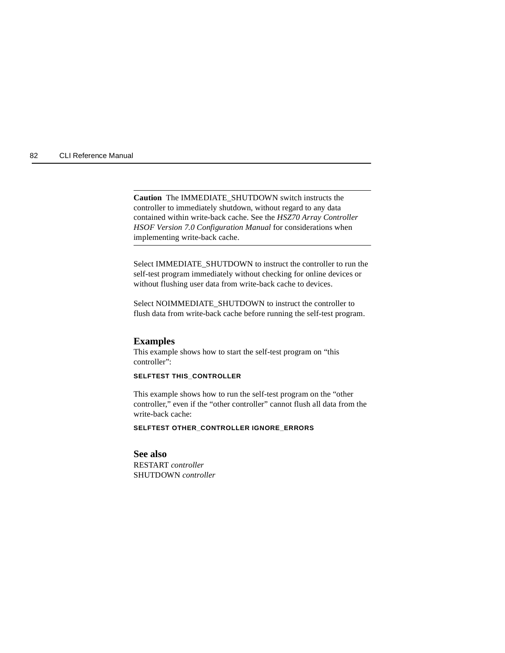**Caution** The IMMEDIATE\_SHUTDOWN switch instructs the controller to immediately shutdown, without regard to any data contained within write-back cache. See the *HSZ70 Array Controller HSOF Version 7.0 Configuration Manual* for considerations when implementing write-back cache.

Select IMMEDIATE\_SHUTDOWN to instruct the controller to run the self-test program immediately without checking for online devices or without flushing user data from write-back cache to devices.

Select NOIMMEDIATE\_SHUTDOWN to instruct the controller to flush data from write-back cache before running the self-test program.

#### **Examples**

This example shows how to start the self-test program on "this controller":

#### **SELFTEST THIS\_CONTROLLER**

This example shows how to run the self-test program on the "other controller," even if the "other controller" cannot flush all data from the write-back cache:

**SELFTEST OTHER\_CONTROLLER IGNORE\_ERRORS**

# **See also**

RESTART *controller* SHUTDOWN *controller*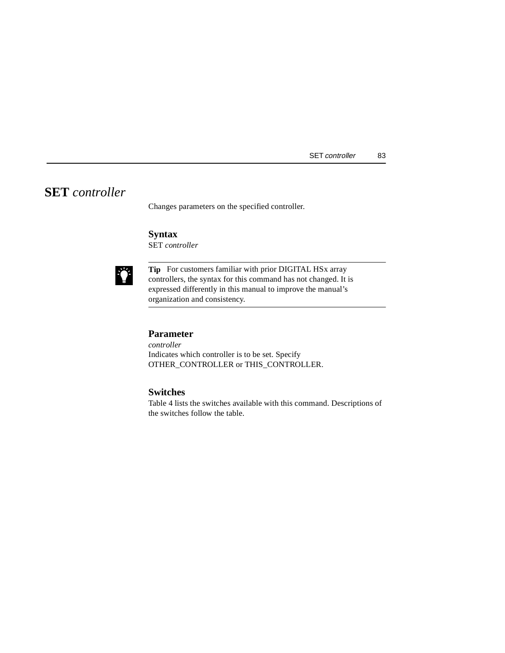# **SET** *controller*

Changes parameters on the specified controller.

# **Syntax**

SET *controller*



**Tip** For customers familiar with prior DIGITAL HSx array controllers, the syntax for this command has not changed. It is expressed differently in this manual to improve the manual's organization and consistency.

# **Parameter**

*controller* Indicates which controller is to be set. Specify OTHER\_CONTROLLER or THIS\_CONTROLLER.

# **Switches**

[Table 4](#page-97-0) lists the switches available with this command. Descriptions of the switches follow the table.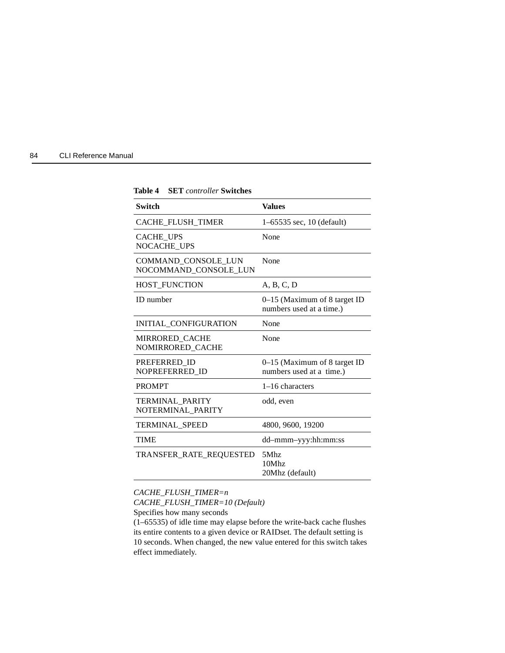<span id="page-97-0"></span>

| 84 | <b>CLI Reference Manual</b> |
|----|-----------------------------|

| Switch                                       | <b>Values</b>                                              |
|----------------------------------------------|------------------------------------------------------------|
| <b>CACHE_FLUSH_TIMER</b>                     | $1-65535$ sec, 10 (default)                                |
| <b>CACHE UPS</b><br>NOCACHE UPS              | None                                                       |
| COMMAND_CONSOLE_LUN<br>NOCOMMAND CONSOLE LUN | None                                                       |
| HOST_FUNCTION                                | A, B, C, D                                                 |
| <b>ID</b> number                             | $0-15$ (Maximum of 8 target ID<br>numbers used at a time.) |
| INITIAL CONFIGURATION                        | None                                                       |
| <b>MIRRORED CACHE</b><br>NOMIRRORED_CACHE    | None                                                       |
| PREFERRED ID<br>NOPREFERRED ID               | $0-15$ (Maximum of 8 target ID<br>numbers used at a time.) |
| <b>PROMPT</b>                                | 1-16 characters                                            |
| <b>TERMINAL PARITY</b><br>NOTERMINAL_PARITY  | odd, even                                                  |
| <b>TERMINAL SPEED</b>                        | 4800, 9600, 19200                                          |
| <b>TIME</b>                                  | dd-mmm-yyy:hh:mm:ss                                        |
| TRANSFER_RATE_REQUESTED                      | 5Mhz<br>10Mhz<br>20Mhz (default)                           |

**Table 4 SET** *controller* **Switches**

*CACHE\_FLUSH\_TIMER=n*

*CACHE\_FLUSH\_TIMER=10 (Default)*

Specifies how many seconds

(1–65535) of idle time may elapse before the write-back cache flushes its entire contents to a given device or RAIDset. The default setting is 10 seconds. When changed, the new value entered for this switch takes effect immediately.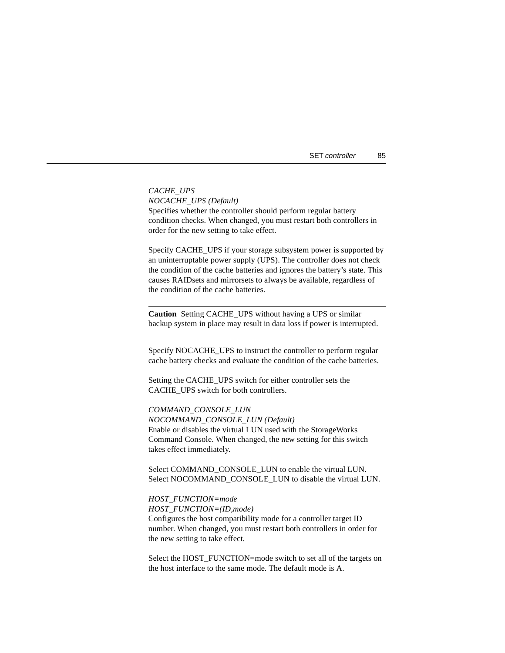|  |  | <b>SET</b> controller | 85 |
|--|--|-----------------------|----|
|--|--|-----------------------|----|

*CACHE\_UPS NOCACHE\_UPS (Default)* Specifies whether the controller should perform regular battery condition checks. When changed, you must restart both controllers in order for the new setting to take effect.

Specify CACHE\_UPS if your storage subsystem power is supported by an uninterruptable power supply (UPS). The controller does not check the condition of the cache batteries and ignores the battery's state. This causes RAIDsets and mirrorsets to always be available, regardless of the condition of the cache batteries.

**Caution** Setting CACHE\_UPS without having a UPS or similar backup system in place may result in data loss if power is interrupted.

Specify NOCACHE UPS to instruct the controller to perform regular cache battery checks and evaluate the condition of the cache batteries.

Setting the CACHE\_UPS switch for either controller sets the CACHE\_UPS switch for both controllers.

*COMMAND\_CONSOLE\_LUN NOCOMMAND\_CONSOLE\_LUN (Default)* Enable or disables the virtual LUN used with the StorageWorks Command Console. When changed, the new setting for this switch takes effect immediately.

Select COMMAND\_CONSOLE\_LUN to enable the virtual LUN. Select NOCOMMAND\_CONSOLE\_LUN to disable the virtual LUN.

*HOST\_FUNCTION=mode HOST\_FUNCTION=(ID,mode)* Configures the host compatibility mode for a controller target ID number. When changed, you must restart both controllers in order for the new setting to take effect.

Select the HOST\_FUNCTION=mode switch to set all of the targets on the host interface to the same mode. The default mode is A.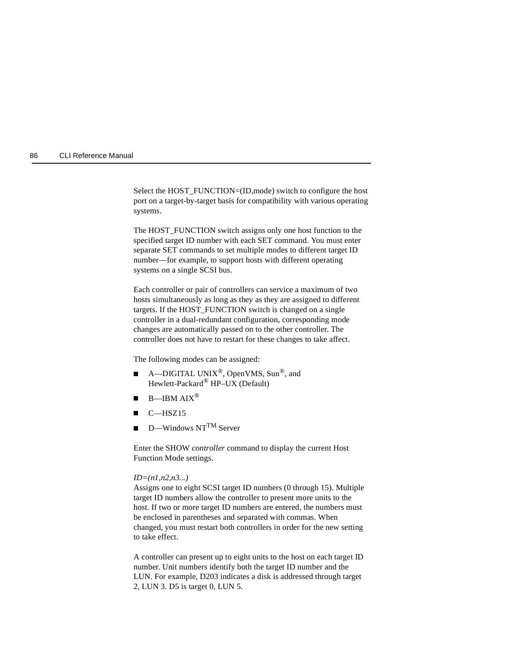Select the HOST\_FUNCTION=(ID,mode) switch to configure the host port on a target-by-target basis for compatibility with various operating systems.

The HOST\_FUNCTION switch assigns only one host function to the specified target ID number with each SET command. You must enter separate SET commands to set multiple modes to different target ID number—for example, to support hosts with different operating systems on a single SCSI bus.

Each controller or pair of controllers can service a maximum of two hosts simultaneously as long as they as they are assigned to different targets. If the HOST\_FUNCTION switch is changed on a single controller in a dual-redundant configuration, corresponding mode changes are automatically passed on to the other controller. The controller does not have to restart for these changes to take affect.

The following modes can be assigned:

- $\blacksquare$  $\blacksquare$  A—DIGITAL UNIX<sup>®</sup>, OpenVMS, Sun<sup>®</sup>, and Hewlett-Packard<sup>®</sup> HP–UX (Default)
- $\blacksquare$ B—IBM AIX®
- $\blacksquare$ C—HSZ15
- $\blacksquare$ D—Windows NTTM Server

Enter the SHOW *controller* command to display the current Host Function Mode settings.

#### *ID=(n1,n2,n3...)*

Assigns one to eight SCSI target ID numbers (0 through 15). Multiple target ID numbers allow the controller to present more units to the host. If two or more target ID numbers are entered, the numbers must be enclosed in parentheses and separated with commas. When changed, you must restart both controllers in order for the new setting to take effect.

A controller can present up to eight units to the host on each target ID number. Unit numbers identify both the target ID number and the LUN. For example, D203 indicates a disk is addressed through target 2, LUN 3. D5 is target 0, LUN 5.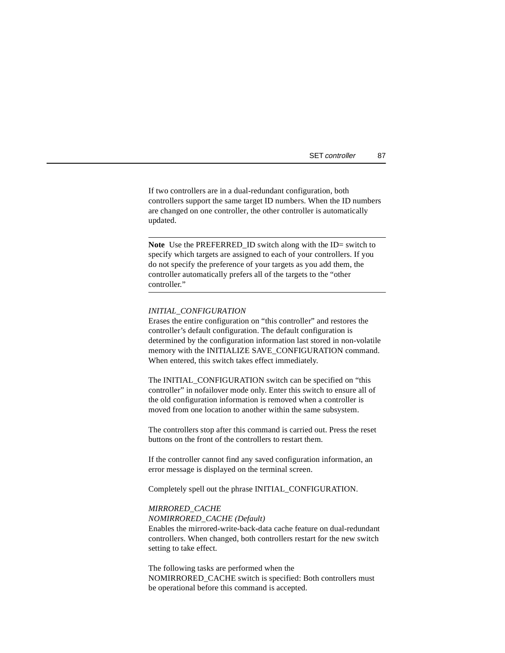| SET controller | 87 |
|----------------|----|
|----------------|----|

<span id="page-100-0"></span>If two controllers are in a dual-redundant configuration, both controllers support the same target ID numbers. When the ID numbers are changed on one controller, the other controller is automatically updated.

**Note** Use the PREFERRED\_ID switch along with the ID= switch to specify which targets are assigned to each of your controllers. If you do not specify the preference of your targets as you add them, the controller automatically prefers all of the targets to the "other controller."

#### *INITIAL\_CONFIGURATION*

Erases the entire configuration on "this controller" and restores the controller's default configuration. The default configuration is determined by the configuration information last stored in non-volatile memory with the INITIALIZE SAVE\_CONFIGURATION command. When entered, this switch takes effect immediately.

The INITIAL\_CONFIGURATION switch can be specified on "this controller" in nofailover mode only. Enter this switch to ensure all of the old configuration information is removed when a controller is moved from one location to another within the same subsystem.

The controllers stop after this command is carried out. Press the reset buttons on the front of the controllers to restart them.

If the controller cannot find any saved configuration information, an error message is displayed on the terminal screen.

Completely spell out the phrase INITIAL\_CONFIGURATION.

#### *MIRRORED\_CACHE*

*NOMIRRORED\_CACHE (Default)*

Enables the mirrored-write-back-data cache feature on dual-redundant controllers. When changed, both controllers restart for the new switch setting to take effect.

The following tasks are performed when the NOMIRRORED\_CACHE switch is specified: Both controllers must be operational before this command is accepted.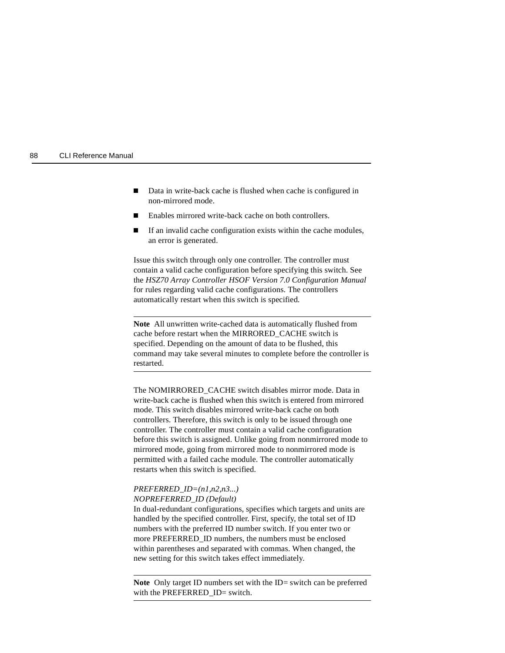- F Data in write-back cache is flushed when cache is configured in non-mirrored mode.
- $\blacksquare$ Enables mirrored write-back cache on both controllers.
- $\blacksquare$  If an invalid cache configuration exists within the cache modules, an error is generated.

Issue this switch through only one controller. The controller must contain a valid cache configuration before specifying this switch. See the *HSZ70 Array Controller HSOF Version 7.0 Configuration Manual* for rules regarding valid cache configurations. The controllers automatically restart when this switch is specified.

**Note** All unwritten write-cached data is automatically flushed from cache before restart when the MIRRORED\_CACHE switch is specified. Depending on the amount of data to be flushed, this command may take several minutes to complete before the controller is restarted.

The NOMIRRORED\_CACHE switch disables mirror mode. Data in write-back cache is flushed when this switch is entered from mirrored mode. This switch disables mirrored write-back cache on both controllers. Therefore, this switch is only to be issued through one controller. The controller must contain a valid cache configuration before this switch is assigned. Unlike going from nonmirrored mode to mirrored mode, going from mirrored mode to nonmirrored mode is permitted with a failed cache module. The controller automatically restarts when this switch is specified.

## *PREFERRED\_ID=(n1,n2,n3...) NOPREFERRED\_ID (Default)*

In dual-redundant configurations, specifies which targets and units are handled by the specified controller. First, specify, the total set of ID numbers with the preferred ID number switch. If you enter two or more PREFERRED\_ID numbers, the numbers must be enclosed within parentheses and separated with commas. When changed, the new setting for this switch takes effect immediately.

**Note** Only target ID numbers set with the ID= switch can be preferred with the PREFERRED\_ID= switch.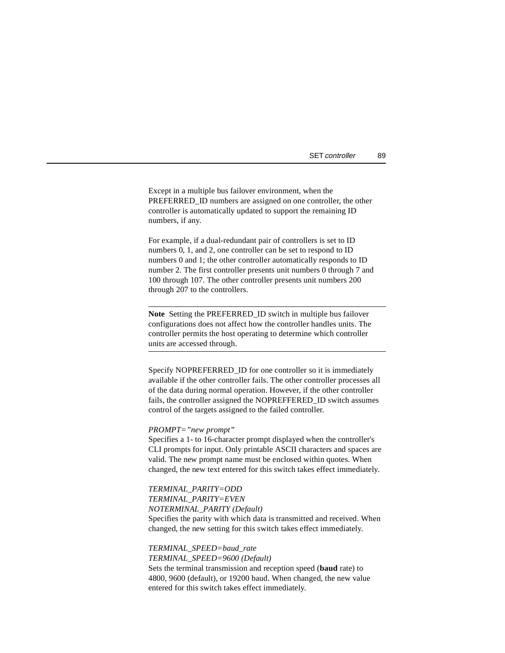| SET controller<br>89 |
|----------------------|
|----------------------|

Except in a multiple bus failover environment, when the PREFERRED ID numbers are assigned on one controller, the other controller is automatically updated to support the remaining ID numbers, if any.

For example, if a dual-redundant pair of controllers is set to ID numbers 0, 1, and 2, one controller can be set to respond to ID numbers 0 and 1; the other controller automatically responds to ID number 2. The first controller presents unit numbers 0 through 7 and 100 through 107. The other controller presents unit numbers 200 through 207 to the controllers.

**Note** Setting the PREFERRED\_ID switch in multiple bus failover configurations does not affect how the controller handles units. The controller permits the host operating to determine which controller units are accessed through.

Specify NOPREFERRED ID for one controller so it is immediately available if the other controller fails. The other controller processes all of the data during normal operation. However, if the other controller fails, the controller assigned the NOPREFFERED\_ID switch assumes control of the targets assigned to the failed controller.

#### *PROMPT="new prompt"*

Specifies a 1- to 16-character prompt displayed when the controller's CLI prompts for input. Only printable ASCII characters and spaces are valid. The new prompt name must be enclosed within quotes. When changed, the new text entered for this switch takes effect immediately.

*TERMINAL\_PARITY=ODD TERMINAL\_PARITY=EVEN NOTERMINAL\_PARITY (Default)* Specifies the parity with which data is transmitted and received. When changed, the new setting for this switch takes effect immediately.

*TERMINAL\_SPEED=baud\_rate TERMINAL\_SPEED=9600 (Default)* Sets the terminal transmission and reception speed (**baud** rate) to 4800, 9600 (default), or 19200 baud. When changed, the new value entered for this switch takes effect immediately.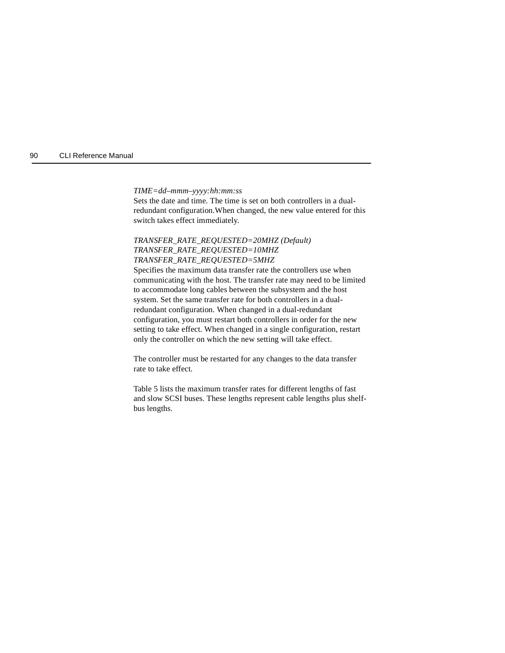*TIME=dd*–*mmm*–*yyyy:hh:mm:ss*

Sets the date and time. The time is set on both controllers in a dualredundant configuration.When changed, the new value entered for this switch takes effect immediately.

## *TRANSFER\_RATE\_REQUESTED=20MHZ (Default) TRANSFER\_RATE\_REQUESTED=10MHZ TRANSFER\_RATE\_REQUESTED=5MHZ*

Specifies the maximum data transfer rate the controllers use when communicating with the host. The transfer rate may need to be limited to accommodate long cables between the subsystem and the host system. Set the same transfer rate for both controllers in a dualredundant configuration. When changed in a dual-redundant configuration, you must restart both controllers in order for the new setting to take effect. When changed in a single configuration, restart only the controller on which the new setting will take effect.

The controller must be restarted for any changes to the data transfer rate to take effect.

Table 5 lists the maximum transfer rates for different lengths of fast and slow SCSI buses. These lengths represent cable lengths plus shelfbus lengths.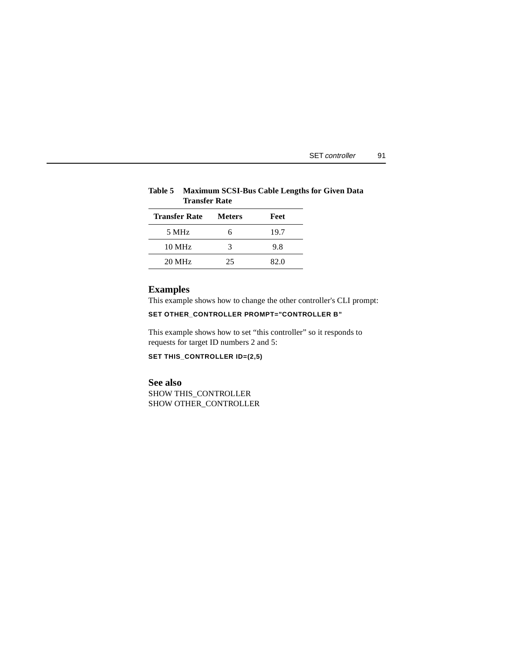| SET controller |  |
|----------------|--|
|                |  |

## **Table 5 Maximum SCSI-Bus Cable Lengths for Given Data Transfer Rate**

| <b>Transfer Rate</b> | <b>Meters</b> | Feet |
|----------------------|---------------|------|
| 5 MHz                | h             | 19.7 |
| $10 \text{ MHz}$     | 3             | 9.8  |
| $20 \text{ MHz}$     | 25            | 82.0 |

# **Examples**

This example shows how to change the other controller's CLI prompt:

# **SET OTHER\_CONTROLLER PROMPT="CONTROLLER B"**

This example shows how to set "this controller" so it responds to requests for target ID numbers 2 and 5:

**SET THIS\_CONTROLLER ID=(2,5)**

## **See also**

SHOW THIS\_CONTROLLER SHOW OTHER\_CONTROLLER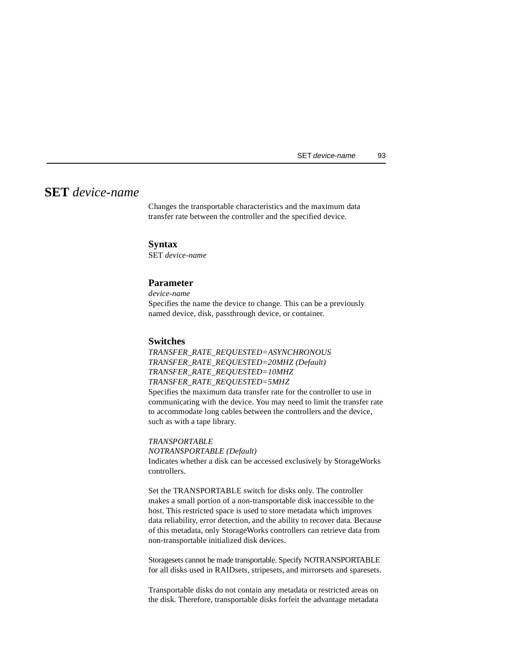# **SET** *device-name*

Changes the transportable characteristics and the maximum data transfer rate between the controller and the specified device.

## **Syntax**

SET *device-name*

## **Parameter**

*device-name* Specifies the name the device to change. This can be a previously named device, disk, passthrough device, or container.

#### **Switches**

*TRANSFER\_RATE\_REQUESTED=ASYNCHRONOUS TRANSFER\_RATE\_REQUESTED=20MHZ (Default) TRANSFER\_RATE\_REQUESTED=10MHZ TRANSFER\_RATE\_REQUESTED=5MHZ* Specifies the maximum data transfer rate for the controller to use in communicating with the device. You may need to limit the transfer rate to accommodate long cables between the controllers and the device, such as with a tape library.

*TRANSPORTABLE NOTRANSPORTABLE (Default)* Indicates whether a disk can be accessed exclusively by StorageWorks controllers.

Set the TRANSPORTABLE switch for disks only. The controller makes a small portion of a non-transportable disk inaccessible to the host. This restricted space is used to store metadata which improves data reliability, error detection, and the ability to recover data. Because of this metadata, only StorageWorks controllers can retrieve data from non-transportable initialized disk devices.

Storagesets cannot be made transportable. Specify NOTRANSPORTABLE for all disks used in RAIDsets, stripesets, and mirrorsets and sparesets.

Transportable disks do not contain any metadata or restricted areas on the disk. Therefore, transportable disks forfeit the advantage metadata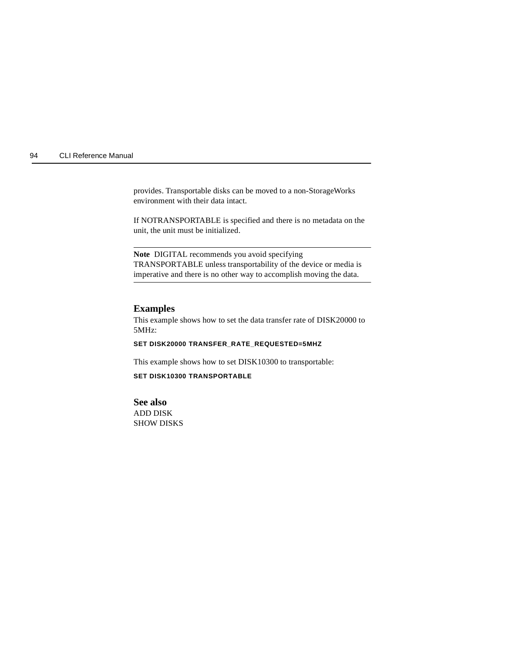provides. Transportable disks can be moved to a non-StorageWorks environment with their data intact.

If NOTRANSPORTABLE is specified and there is no metadata on the unit, the unit must be initialized.

**Note** DIGITAL recommends you avoid specifying TRANSPORTABLE unless transportability of the device or media is imperative and there is no other way to accomplish moving the data.

## **Examples**

This example shows how to set the data transfer rate of DISK20000 to 5MHz:

#### **SET DISK20000 TRANSFER\_RATE\_REQUESTED=5MHZ**

This example shows how to set DISK10300 to transportable:

#### **SET DISK10300 TRANSPORTABLE**

**See also** ADD DISK SHOW DISKS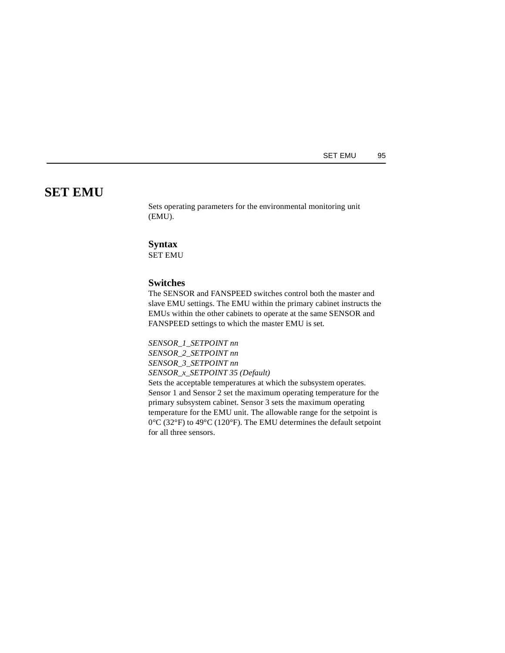SET EMU 95

# **SET EMU**

Sets operating parameters for the environmental monitoring unit (EMU).

## **Syntax**

SET EMU

## **Switches**

The SENSOR and FANSPEED switches control both the master and slave EMU settings. The EMU within the primary cabinet instructs the EMUs within the other cabinets to operate at the same SENSOR and FANSPEED settings to which the master EMU is set.

*SENSOR\_1\_SETPOINT nn SENSOR\_2\_SETPOINT nn SENSOR\_3\_SETPOINT nn SENSOR\_x\_SETPOINT 35 (Default)*

Sets the acceptable temperatures at which the subsystem operates. Sensor 1 and Sensor 2 set the maximum operating temperature for the primary subsystem cabinet. Sensor 3 sets the maximum operating temperature for the EMU unit. The allowable range for the setpoint is 0°C (32°F) to 49°C (120°F). The EMU determines the default setpoint for all three sensors.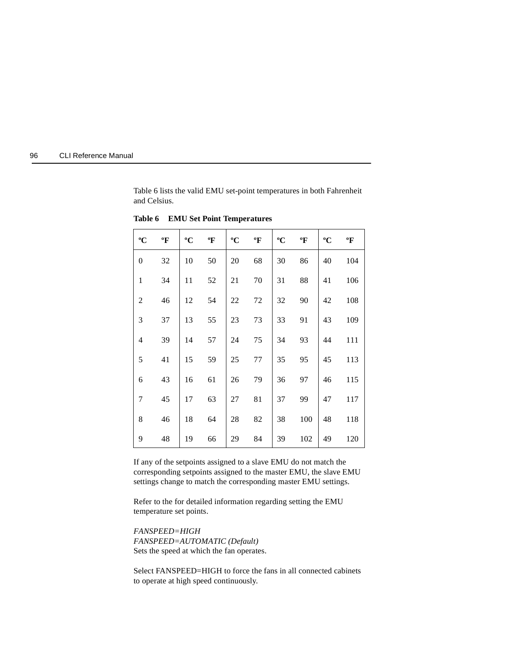

Table 6 lists the valid EMU set-point temperatures in both Fahrenheit and Celsius.

| $\rm ^{o}C$      | $\boldsymbol{P}$ | $\rm ^{o}C$ | $\boldsymbol{P}$ | $\rm ^{o}C$ | $\boldsymbol{\mathrm{P}}$ | $\rm ^{o}C$ | $\boldsymbol{P}$ | $\rm ^{o}C$ | $\boldsymbol{P}$ |
|------------------|------------------|-------------|------------------|-------------|---------------------------|-------------|------------------|-------------|------------------|
| $\boldsymbol{0}$ | 32               | 10          | 50               | 20          | 68                        | 30          | 86               | 40          | 104              |
| $\mathbf{1}$     | 34               | 11          | 52               | 21          | 70                        | 31          | 88               | 41          | 106              |
| $\overline{c}$   | 46               | 12          | 54               | 22          | 72                        | 32          | 90               | 42          | 108              |
| 3                | 37               | 13          | 55               | 23          | 73                        | 33          | 91               | 43          | 109              |
| $\overline{4}$   | 39               | 14          | 57               | 24          | 75                        | 34          | 93               | 44          | 111              |
| 5                | 41               | 15          | 59               | 25          | 77                        | 35          | 95               | 45          | 113              |
| 6                | 43               | 16          | 61               | 26          | 79                        | 36          | 97               | 46          | 115              |
| 7                | 45               | 17          | 63               | 27          | 81                        | 37          | 99               | 47          | 117              |
| $8\,$            | 46               | 18          | 64               | 28          | 82                        | 38          | 100              | 48          | 118              |
| 9                | 48               | 19          | 66               | 29          | 84                        | 39          | 102              | 49          | 120              |

**Table 6 EMU Set Point Temperatures**

If any of the setpoints assigned to a slave EMU do not match the corresponding setpoints assigned to the master EMU, the slave EMU settings change to match the corresponding master EMU settings.

Refer to the for detailed information regarding setting the EMU temperature set points.

*FANSPEED=HIGH FANSPEED=AUTOMATIC (Default)* Sets the speed at which the fan operates.

Select FANSPEED=HIGH to force the fans in all connected cabinets to operate at high speed continuously.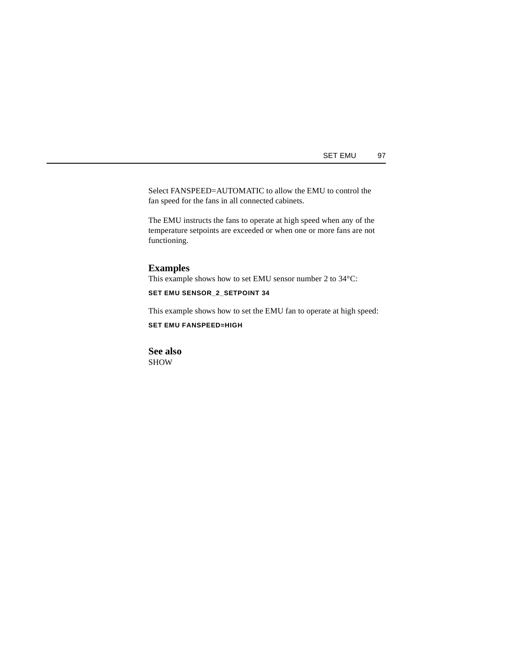Select FANSPEED=AUTOMATIC to allow the EMU to control the fan speed for the fans in all connected cabinets.

The EMU instructs the fans to operate at high speed when any of the temperature setpoints are exceeded or when one or more fans are not functioning.

## **Examples**

This example shows how to set EMU sensor number 2 to 34°C:

**SET EMU SENSOR\_2\_SETPOINT 34**

This example shows how to set the EMU fan to operate at high speed:

**SET EMU FANSPEED=HIGH**

**See also** SHOW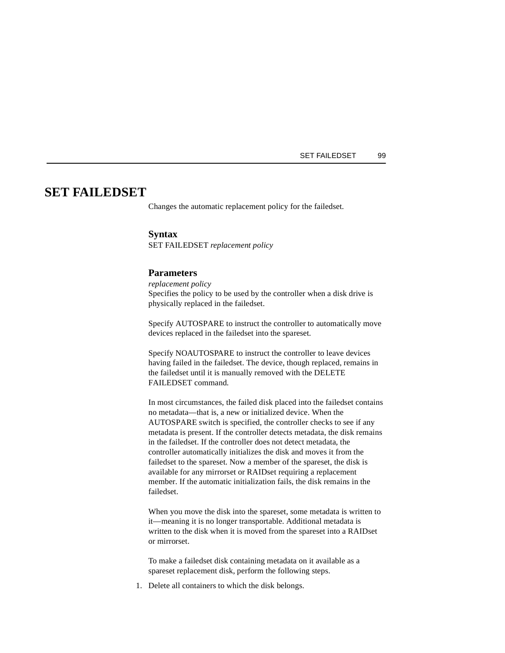# **SET FAILEDSET**

Changes the automatic replacement policy for the failedset.

#### **Syntax**

SET FAILEDSET *replacement policy*

## **Parameters**

*replacement policy* Specifies the policy to be used by the controller when a disk drive is physically replaced in the failedset.

Specify AUTOSPARE to instruct the controller to automatically move devices replaced in the failedset into the spareset.

Specify NOAUTOSPARE to instruct the controller to leave devices having failed in the failedset. The device, though replaced, remains in the failedset until it is manually removed with the DELETE FAILEDSET command.

In most circumstances, the failed disk placed into the failedset contains no metadata—that is, a new or initialized device. When the AUTOSPARE switch is specified, the controller checks to see if any metadata is present. If the controller detects metadata, the disk remains in the failedset. If the controller does not detect metadata, the controller automatically initializes the disk and moves it from the failedset to the spareset. Now a member of the spareset, the disk is available for any mirrorset or RAIDset requiring a replacement member. If the automatic initialization fails, the disk remains in the failedset.

When you move the disk into the spareset, some metadata is written to it—meaning it is no longer transportable. Additional metadata is written to the disk when it is moved from the spareset into a RAIDset or mirrorset.

To make a failedset disk containing metadata on it available as a spareset replacement disk, perform the following steps.

1. Delete all containers to which the disk belongs.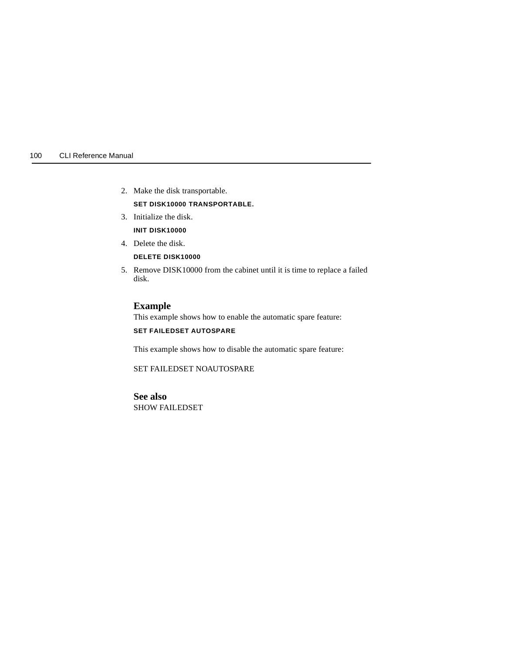- 2. Make the disk transportable. **SET DISK10000 TRANSPORTABLE.**
- 3. Initialize the disk.
	- **INIT DISK10000**
- 4. Delete the disk.
	- **DELETE DISK10000**
- 5. Remove DISK10000 from the cabinet until it is time to replace a failed disk.

## **Example**

This example shows how to enable the automatic spare feature:

## **SET FAILEDSET AUTOSPARE**

This example shows how to disable the automatic spare feature:

SET FAILEDSET NOAUTOSPARE

**See also** SHOW FAILEDSET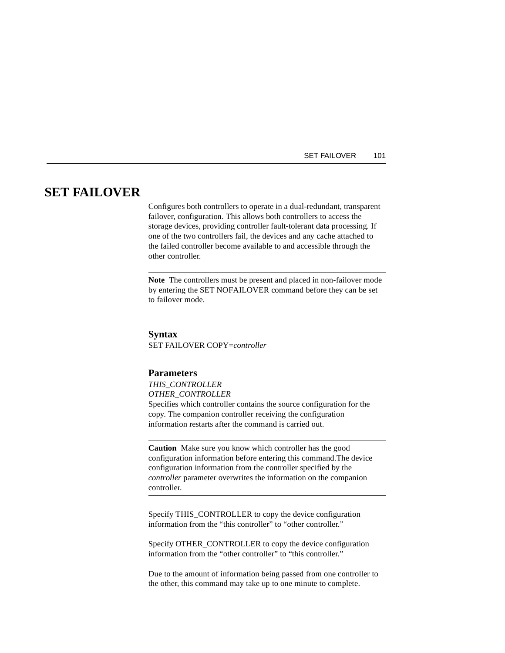#### SET FAILOVER 101

# **SET FAILOVER**

Configures both controllers to operate in a dual-redundant, transparent failover, configuration. This allows both controllers to access the storage devices, providing controller fault-tolerant data processing. If one of the two controllers fail, the devices and any cache attached to the failed controller become available to and accessible through the other controller.

**Note** The controllers must be present and placed in non-failover mode by entering the SET NOFAILOVER command before they can be set to failover mode.

#### **Syntax**

SET FAILOVER COPY=*controller*

## **Parameters**

*THIS\_CONTROLLER OTHER\_CONTROLLER* Specifies which controller contains the source configuration for the copy. The companion controller receiving the configuration information restarts after the command is carried out.

**Caution** Make sure you know which controller has the good configuration information before entering this command.The device configuration information from the controller specified by the *controller* parameter overwrites the information on the companion controller.

Specify THIS\_CONTROLLER to copy the device configuration information from the "this controller" to "other controller."

Specify OTHER\_CONTROLLER to copy the device configuration information from the "other controller" to "this controller."

Due to the amount of information being passed from one controller to the other, this command may take up to one minute to complete.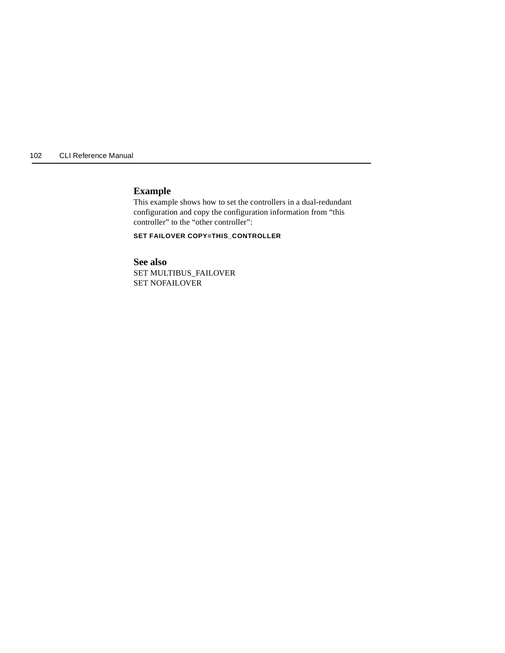## **Example**

This example shows how to set the controllers in a dual-redundant configuration and copy the configuration information from "this controller" to the "other controller":

**SET FAILOVER COPY=THIS\_CONTROLLER**

**See also** SET MULTIBUS\_FAILOVER SET NOFAILOVER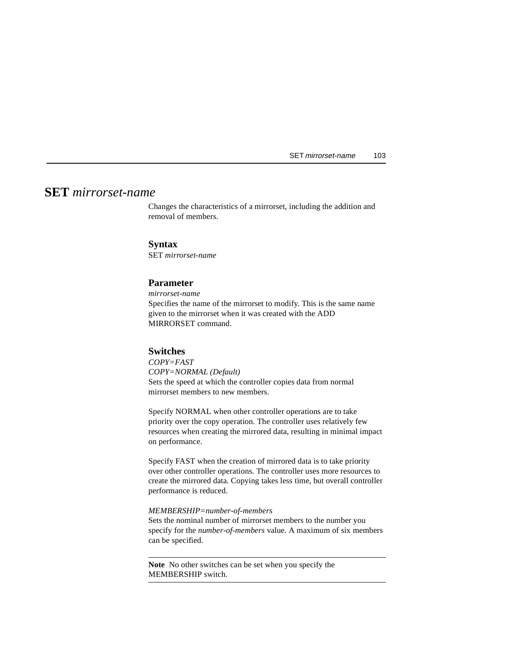# **SET** *mirrorset-name*

Changes the characteristics of a mirrorset, including the addition and removal of members.

## **Syntax**

SET *mirrorset-name*

## **Parameter**

*mirrorset-name* Specifies the name of the mirrorset to modify. This is the same name given to the mirrorset when it was created with the ADD MIRRORSET command.

### **Switches**

*COPY=FAST COPY=NORMAL (Default)*  Sets the speed at which the controller copies data from normal mirrorset members to new members.

Specify NORMAL when other controller operations are to take priority over the copy operation. The controller uses relatively few resources when creating the mirrored data, resulting in minimal impact on performance.

Specify FAST when the creation of mirrored data is to take priority over other controller operations. The controller uses more resources to create the mirrored data. Copying takes less time, but overall controller performance is reduced.

#### *MEMBERSHIP=number-of-members*

Sets the nominal number of mirrorset members to the number you specify for the *number-of-members* value. A maximum of six members can be specified.

**Note** No other switches can be set when you specify the MEMBERSHIP switch.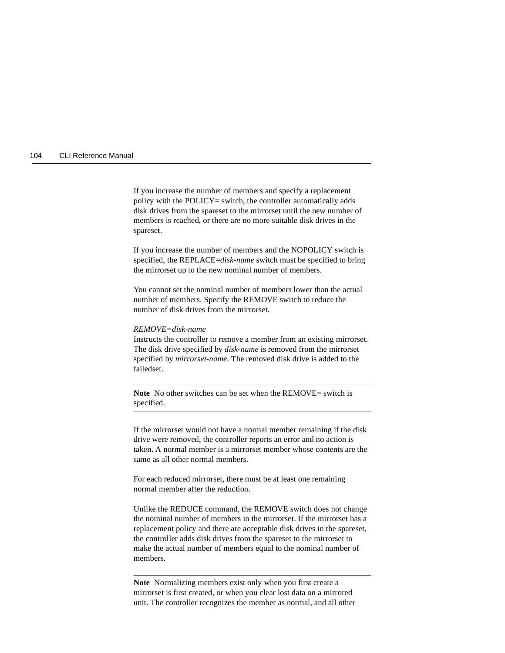If you increase the number of members and specify a replacement policy with the POLICY= switch, the controller automatically adds disk drives from the spareset to the mirrorset until the new number of members is reached, or there are no more suitable disk drives in the spareset.

If you increase the number of members and the NOPOLICY switch is specified, the REPLACE=*disk-name* switch must be specified to bring the mirrorset up to the new nominal number of members.

You cannot set the nominal number of members lower than the actual number of members. Specify the REMOVE switch to reduce the number of disk drives from the mirrorset.

#### *REMOVE=disk-name*

Instructs the controller to remove a member from an existing mirrorset. The disk drive specified by *disk-name* is removed from the mirrorset specified by *mirrorset-name*. The removed disk drive is added to the failedset.

**Note** No other switches can be set when the REMOVE= switch is specified.

If the mirrorset would not have a normal member remaining if the disk drive were removed, the controller reports an error and no action is taken. A normal member is a mirrorset member whose contents are the same as all other normal members.

For each reduced mirrorset, there must be at least one remaining normal member after the reduction.

Unlike the REDUCE command, the REMOVE switch does not change the nominal number of members in the mirrorset. If the mirrorset has a replacement policy and there are acceptable disk drives in the spareset, the controller adds disk drives from the spareset to the mirrorset to make the actual number of members equal to the nominal number of members.

**Note** Normalizing members exist only when you first create a mirrorset is first created, or when you clear lost data on a mirrored unit. The controller recognizes the member as normal, and all other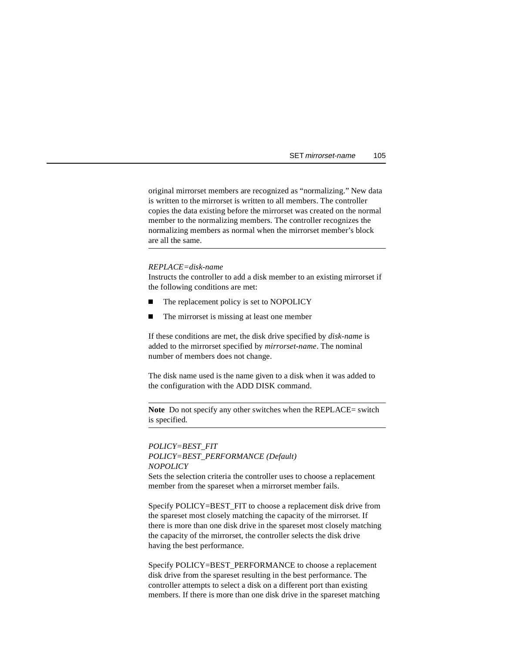original mirrorset members are recognized as "normalizing." New data is written to the mirrorset is written to all members. The controller copies the data existing before the mirrorset was created on the normal member to the normalizing members. The controller recognizes the normalizing members as normal when the mirrorset member's block are all the same.

#### *REPLACE=disk-name*

Instructs the controller to add a disk member to an existing mirrorset if the following conditions are met:

- П The replacement policy is set to NOPOLICY
- $\blacksquare$ The mirrorset is missing at least one member

If these conditions are met, the disk drive specified by *disk-name* is added to the mirrorset specified by *mirrorset-name*. The nominal number of members does not change.

The disk name used is the name given to a disk when it was added to the configuration with the ADD DISK command.

**Note** Do not specify any other switches when the REPLACE= switch is specified.

*POLICY=BEST\_FIT POLICY=BEST\_PERFORMANCE (Default) NOPOLICY* Sets the selection criteria the controller uses to choose a replacement member from the spareset when a mirrorset member fails.

Specify POLICY=BEST\_FIT to choose a replacement disk drive from the spareset most closely matching the capacity of the mirrorset. If there is more than one disk drive in the spareset most closely matching the capacity of the mirrorset, the controller selects the disk drive having the best performance.

Specify POLICY=BEST\_PERFORMANCE to choose a replacement disk drive from the spareset resulting in the best performance. The controller attempts to select a disk on a different port than existing members. If there is more than one disk drive in the spareset matching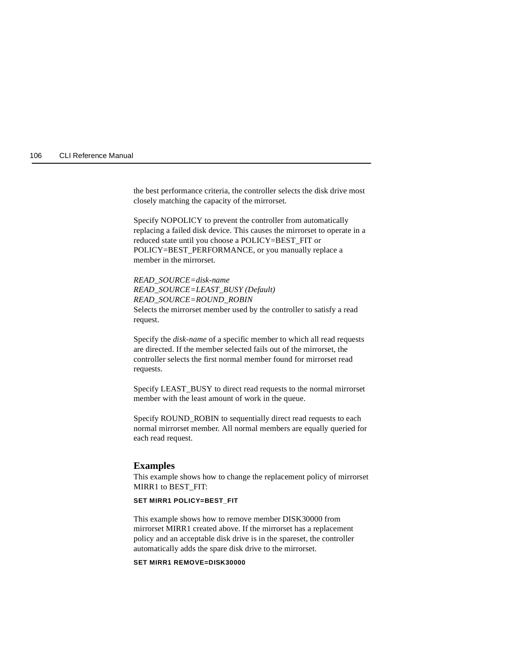the best performance criteria, the controller selects the disk drive most closely matching the capacity of the mirrorset.

Specify NOPOLICY to prevent the controller from automatically replacing a failed disk device. This causes the mirrorset to operate in a reduced state until you choose a POLICY=BEST\_FIT or POLICY=BEST\_PERFORMANCE, or you manually replace a member in the mirrorset.

*READ\_SOURCE=disk-name READ\_SOURCE=LEAST\_BUSY (Default) READ\_SOURCE=ROUND\_ROBIN* Selects the mirrorset member used by the controller to satisfy a read request.

Specify the *disk-name* of a specific member to which all read requests are directed. If the member selected fails out of the mirrorset, the controller selects the first normal member found for mirrorset read requests.

Specify LEAST\_BUSY to direct read requests to the normal mirrorset member with the least amount of work in the queue.

Specify ROUND\_ROBIN to sequentially direct read requests to each normal mirrorset member. All normal members are equally queried for each read request.

#### **Examples**

This example shows how to change the replacement policy of mirrorset MIRR1 to BEST\_FIT:

#### **SET MIRR1 POLICY=BEST\_FIT**

This example shows how to remove member DISK30000 from mirrorset MIRR1 created above. If the mirrorset has a replacement policy and an acceptable disk drive is in the spareset, the controller automatically adds the spare disk drive to the mirrorset.

## **SET MIRR1 REMOVE=DISK30000**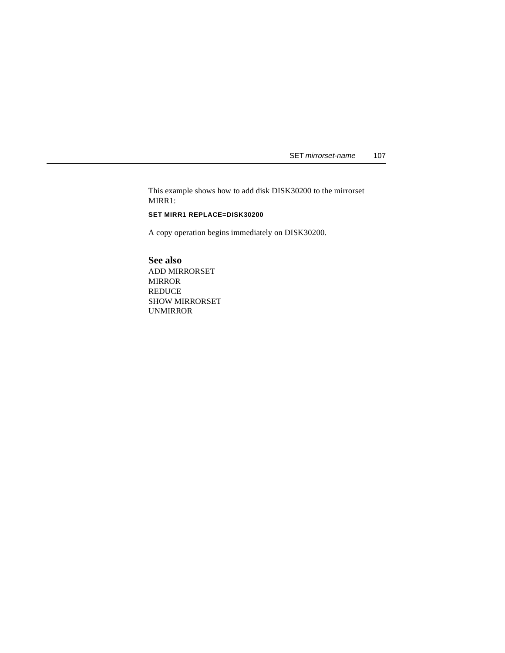SET mirrorset-name 107

This example shows how to add disk DISK30200 to the mirrorset MIRR1:

## **SET MIRR1 REPLACE=DISK30200**

A copy operation begins immediately on DISK30200.

**See also** ADD MIRRORSET MIRROR REDUCE SHOW MIRRORSET UNMIRROR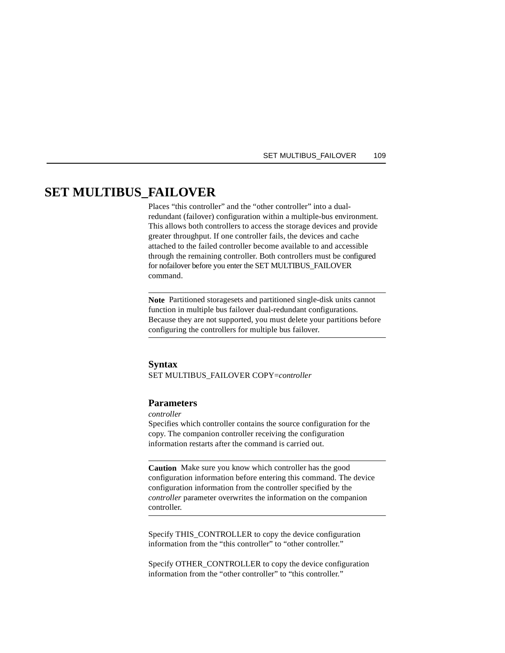#### SET MULTIBUS\_FAILOVER 109

# **SET MULTIBUS\_FAILOVER**

Places "this controller" and the "other controller" into a dualredundant (failover) configuration within a multiple-bus environment. This allows both controllers to access the storage devices and provide greater throughput. If one controller fails, the devices and cache attached to the failed controller become available to and accessible through the remaining controller. Both controllers must be configured for nofailover before you enter the SET MULTIBUS\_FAILOVER command.

**Note** Partitioned storagesets and partitioned single-disk units cannot function in multiple bus failover dual-redundant configurations. Because they are not supported, you must delete your partitions before configuring the controllers for multiple bus failover.

#### **Syntax**

SET MULTIBUS\_FAILOVER COPY=*controller*

## **Parameters**

*controller*

Specifies which controller contains the source configuration for the copy. The companion controller receiving the configuration information restarts after the command is carried out.

**Caution** Make sure you know which controller has the good configuration information before entering this command. The device configuration information from the controller specified by the *controller* parameter overwrites the information on the companion controller.

Specify THIS\_CONTROLLER to copy the device configuration information from the "this controller" to "other controller."

Specify OTHER\_CONTROLLER to copy the device configuration information from the "other controller" to "this controller."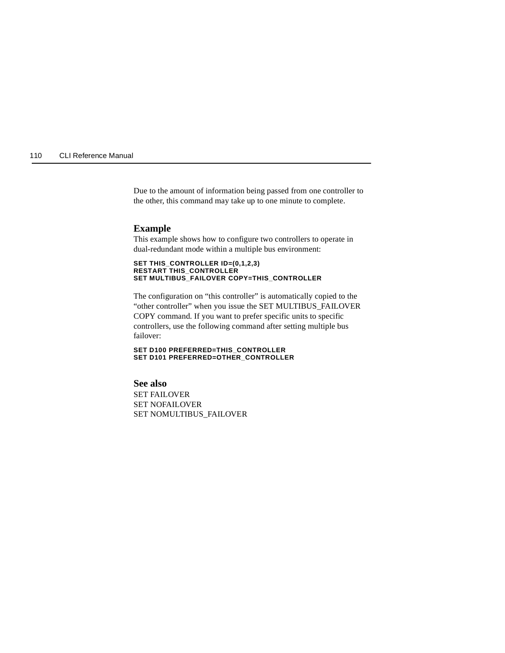Due to the amount of information being passed from one controller to the other, this command may take up to one minute to complete.

#### **Example**

This example shows how to configure two controllers to operate in dual-redundant mode within a multiple bus environment:

#### **SET THIS\_CONTROLLER ID=(0,1,2,3) RESTART THIS\_CONTROLLER SET MULTIBUS\_FAILOVER COPY=THIS\_CONTROLLER**

The configuration on "this controller" is automatically copied to the "other controller" when you issue the SET MULTIBUS\_FAILOVER COPY command. If you want to prefer specific units to specific controllers, use the following command after setting multiple bus failover:

**SET D100 PREFERRED=THIS\_CONTROLLER SET D101 PREFERRED=OTHER\_CONTROLLER**

**See also** SET FAILOVER SET NOFAILOVER SET NOMULTIBUS\_FAILOVER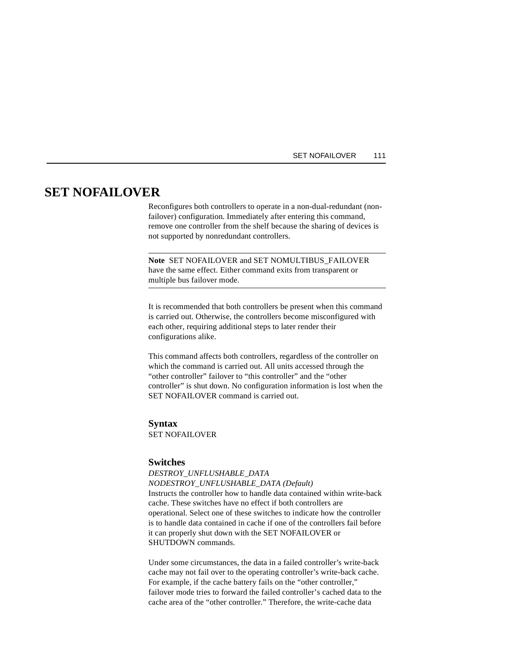#### SET NOFAILOVER 111

# **SET NOFAILOVER**

Reconfigures both controllers to operate in a non-dual-redundant (nonfailover) configuration. Immediately after entering this command, remove one controller from the shelf because the sharing of devices is not supported by nonredundant controllers.

**Note** SET NOFAILOVER and SET NOMULTIBUS\_FAILOVER have the same effect. Either command exits from transparent or multiple bus failover mode.

It is recommended that both controllers be present when this command is carried out. Otherwise, the controllers become misconfigured with each other, requiring additional steps to later render their configurations alike.

This command affects both controllers, regardless of the controller on which the command is carried out. All units accessed through the "other controller" failover to "this controller" and the "other controller" is shut down. No configuration information is lost when the SET NOFAILOVER command is carried out.

## **Syntax** SET NOFAILOVER

## **Switches**

*DESTROY\_UNFLUSHABLE\_DATA NODESTROY\_UNFLUSHABLE\_DATA (Default)* Instructs the controller how to handle data contained within write-back cache. These switches have no effect if both controllers are operational. Select one of these switches to indicate how the controller is to handle data contained in cache if one of the controllers fail before it can properly shut down with the SET NOFAILOVER or SHUTDOWN commands.

Under some circumstances, the data in a failed controller's write-back cache may not fail over to the operating controller's write-back cache. For example, if the cache battery fails on the "other controller," failover mode tries to forward the failed controller's cached data to the cache area of the "other controller." Therefore, the write-cache data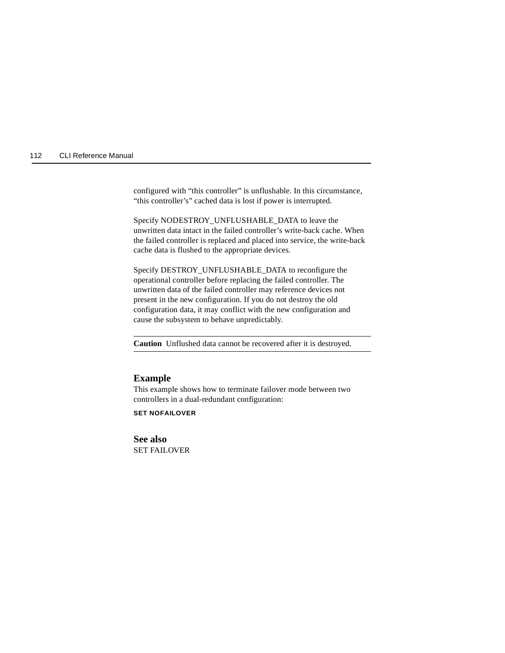configured with "this controller" is unflushable. In this circumstance, "this controller's" cached data is lost if power is interrupted.

Specify NODESTROY\_UNFLUSHABLE\_DATA to leave the unwritten data intact in the failed controller's write-back cache. When the failed controller is replaced and placed into service, the write-back cache data is flushed to the appropriate devices.

Specify DESTROY\_UNFLUSHABLE\_DATA to reconfigure the operational controller before replacing the failed controller. The unwritten data of the failed controller may reference devices not present in the new configuration. If you do not destroy the old configuration data, it may conflict with the new configuration and cause the subsystem to behave unpredictably.

**Caution** Unflushed data cannot be recovered after it is destroyed.

#### **Example**

This example shows how to terminate failover mode between two controllers in a dual-redundant configuration:

**SET NOFAILOVER**

**See also** SET FAILOVER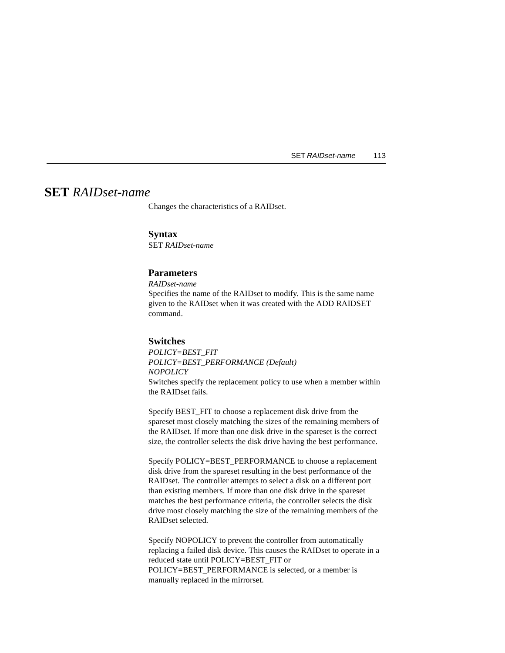SET RAIDset-name 113

# <span id="page-126-0"></span>**SET** *RAIDset-name*

Changes the characteristics of a RAIDset.

#### **Syntax**

SET *RAIDset-name*

## **Parameters**

*RAIDset-name*

Specifies the name of the RAIDset to modify. This is the same name given to the RAIDset when it was created with the ADD RAIDSET command.

#### **Switches**

*POLICY=BEST\_FIT POLICY=BEST\_PERFORMANCE (Default) NOPOLICY* Switches specify the replacement policy to use when a member within the RAIDset fails.

Specify BEST\_FIT to choose a replacement disk drive from the spareset most closely matching the sizes of the remaining members of the RAIDset. If more than one disk drive in the spareset is the correct size, the controller selects the disk drive having the best performance.

Specify POLICY=BEST\_PERFORMANCE to choose a replacement disk drive from the spareset resulting in the best performance of the RAIDset. The controller attempts to select a disk on a different port than existing members. If more than one disk drive in the spareset matches the best performance criteria, the controller selects the disk drive most closely matching the size of the remaining members of the RAIDset selected.

Specify NOPOLICY to prevent the controller from automatically replacing a failed disk device. This causes the RAIDset to operate in a reduced state until POLICY=BEST\_FIT or POLICY=BEST\_PERFORMANCE is selected, or a member is manually replaced in the mirrorset.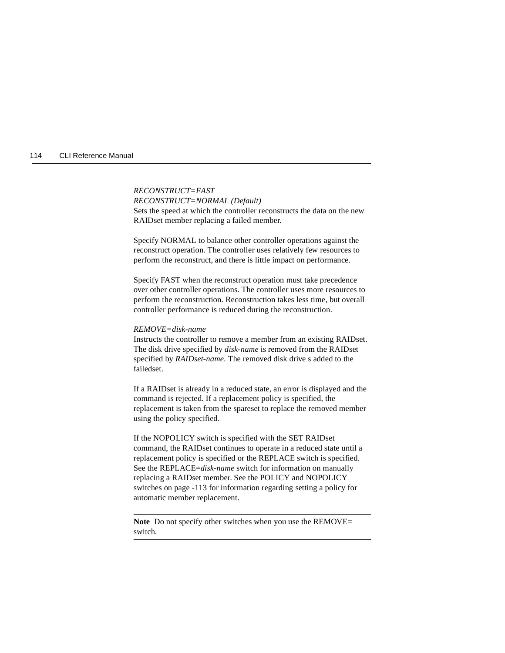### *RECONSTRUCT=FAST*

*RECONSTRUCT=NORMAL (Default)* Sets the speed at which the controller reconstructs the data on the new RAIDset member replacing a failed member.

Specify NORMAL to balance other controller operations against the reconstruct operation. The controller uses relatively few resources to perform the reconstruct, and there is little impact on performance.

Specify FAST when the reconstruct operation must take precedence over other controller operations. The controller uses more resources to perform the reconstruction. Reconstruction takes less time, but overall controller performance is reduced during the reconstruction.

#### *REMOVE=disk-name*

Instructs the controller to remove a member from an existing RAIDset. The disk drive specified by *disk-name* is removed from the RAIDset specified by *RAIDset-name*. The removed disk drive s added to the failedset.

If a RAIDset is already in a reduced state, an error is displayed and the command is rejected. If a replacement policy is specified, the replacement is taken from the spareset to replace the removed member using the policy specified.

If the NOPOLICY switch is specified with the SET RAIDset command, the RAIDset continues to operate in a reduced state until a replacement policy is specified or the REPLACE switch is specified. See the REPLACE=*disk-name* switch for information on manually replacing a RAIDset member. See the POLICY and NOPOLICY switches on [page -113](#page-126-0) for information regarding setting a policy for automatic member replacement.

**Note** Do not specify other switches when you use the REMOVE= switch.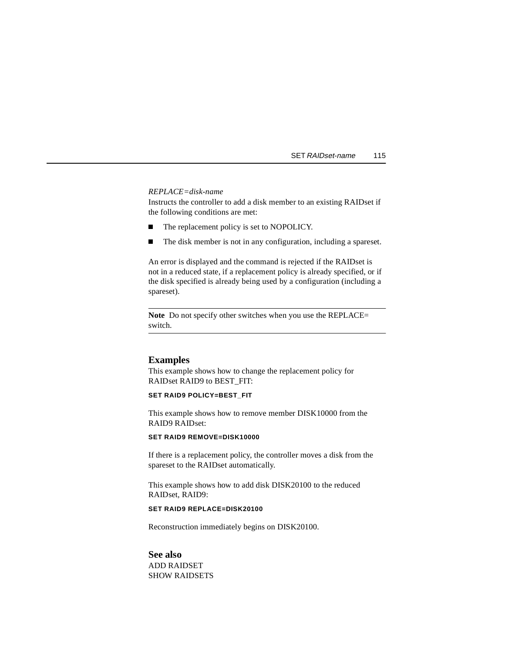#### *REPLACE=disk-name*

Instructs the controller to add a disk member to an existing RAIDset if the following conditions are met:

- $\blacksquare$ The replacement policy is set to NOPOLICY.
- $\blacksquare$ The disk member is not in any configuration, including a spareset.

An error is displayed and the command is rejected if the RAIDset is not in a reduced state, if a replacement policy is already specified, or if the disk specified is already being used by a configuration (including a spareset).

**Note** Do not specify other switches when you use the REPLACE= switch.

### **Examples**

This example shows how to change the replacement policy for RAIDset RAID9 to BEST\_FIT:

#### **SET RAID9 POLICY=BEST\_FIT**

This example shows how to remove member DISK10000 from the RAID9 RAIDset:

#### **SET RAID9 REMOVE=DISK10000**

If there is a replacement policy, the controller moves a disk from the spareset to the RAIDset automatically.

This example shows how to add disk DISK20100 to the reduced RAIDset, RAID9:

#### **SET RAID9 REPLACE=DISK20100**

Reconstruction immediately begins on DISK20100.

#### **See also**

ADD RAIDSET SHOW RAIDSETS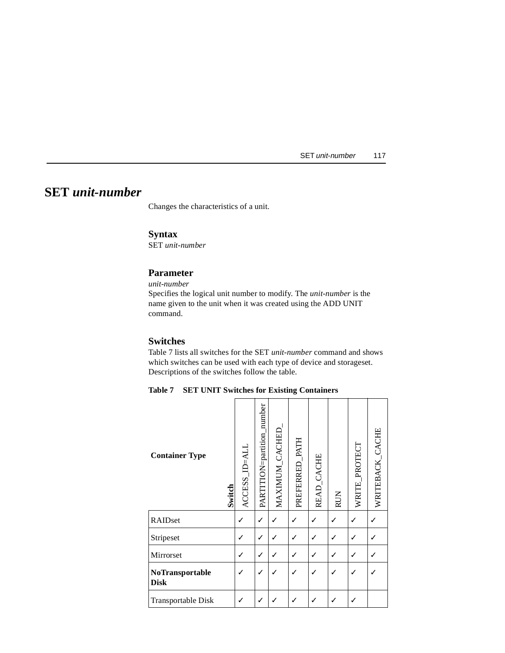SET unit-number 117

# **SET** *unit-number*

Changes the characteristics of a unit.

## **Syntax**

SET *unit-number*

## **Parameter**

*unit-number*

Specifies the logical unit number to modify. The *unit-number* is the name given to the unit when it was created using the ADD UNIT command.

## **Switches**

Table 7 lists all switches for the SET *unit-number* command and shows which switches can be used with each type of device and storageset. Descriptions of the switches follow the table.

**Table 7 SET UNIT Switches for Existing Containers**

| <b>Container Type</b><br>Switch | ACCESS_ID=ALL | PARTITION=partition_number | MAXIMUM_CACHED | PREFERRED_PATH | READ_CACHE | <b>RUN</b>   | WRITE_PROTECT | WRITEBACK_CACHE |
|---------------------------------|---------------|----------------------------|----------------|----------------|------------|--------------|---------------|-----------------|
| RAIDset                         | ✓             | $\checkmark$               |                |                |            |              |               |                 |
| Stripeset                       | ✓             | $\checkmark$               |                |                |            |              |               |                 |
| Mirrorset                       |               | √                          |                |                |            | $\checkmark$ |               |                 |
| NoTransportable<br><b>Disk</b>  |               |                            |                |                |            |              |               |                 |
| Transportable Disk              |               |                            |                |                |            |              |               |                 |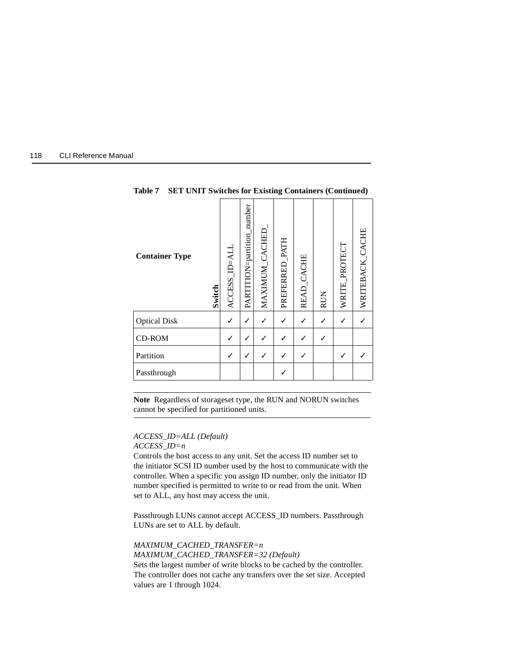| 118 | <b>CLI Reference Manual</b> |  |
|-----|-----------------------------|--|
|-----|-----------------------------|--|

| <b>Container Type</b><br>Switch | ACCESS_ID=ALI | PARTITION=partition_number | MAXIMUM_CACHED | PREFERRED_PATH | READ_CACHE | <b>RUN</b> | WRITE_PROTECT | WRITEBACK_CACHE |
|---------------------------------|---------------|----------------------------|----------------|----------------|------------|------------|---------------|-----------------|
| <b>Optical Disk</b>             |               |                            |                |                |            |            |               |                 |
| <b>CD-ROM</b>                   |               | ✓                          |                |                |            |            |               |                 |
| Partition                       |               |                            |                |                |            |            |               |                 |
| Passthrough                     |               |                            |                |                |            |            |               |                 |

**Table 7 SET UNIT Switches for Existing Containers (Continued)**

**Note** Regardless of storageset type, the RUN and NORUN switches cannot be specified for partitioned units.

# *ACCESS\_ID=ALL (Default)*

values are 1 through 1024.

*ACCESS\_ID=n*

Controls the host access to any unit. Set the access ID number set to the initiator SCSI ID number used by the host to communicate with the controller. When a specific you assign ID number, only the initiator ID number specified is permitted to write to or read from the unit. When set to ALL, any host may access the unit.

Passthrough LUNs cannot accept ACCESS\_ID numbers. Passthrough LUNs are set to ALL by default.

*MAXIMUM\_CACHED\_TRANSFER=n MAXIMUM\_CACHED\_TRANSFER=32 (Default)* Sets the largest number of write blocks to be cached by the controller. The controller does not cache any transfers over the set size. Accepted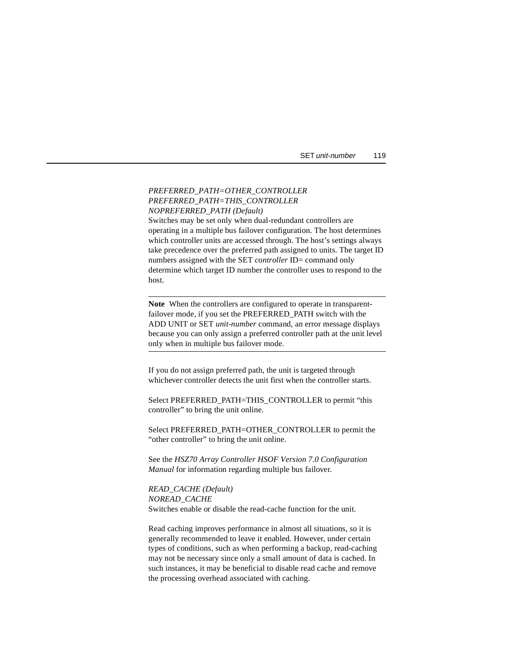SET unit-number 119

### *PREFERRED\_PATH=OTHER\_CONTROLLER PREFERRED\_PATH=THIS\_CONTROLLER NOPREFERRED\_PATH (Default)*

Switches may be set only when dual-redundant controllers are operating in a multiple bus failover configuration. The host determines which controller units are accessed through. The host's settings always take precedence over the preferred path assigned to units. The target ID numbers assigned with the SET *controller* ID= command only determine which target ID number the controller uses to respond to the host.

**Note** When the controllers are configured to operate in transparentfailover mode, if you set the PREFERRED\_PATH switch with the ADD UNIT or SET *unit-number* command, an error message displays because you can only assign a preferred controller path at the unit level only when in multiple bus failover mode.

If you do not assign preferred path, the unit is targeted through whichever controller detects the unit first when the controller starts.

Select PREFERRED\_PATH=THIS\_CONTROLLER to permit "this controller" to bring the unit online.

Select PREFERRED\_PATH=OTHER\_CONTROLLER to permit the "other controller" to bring the unit online.

See the *HSZ70 Array Controller HSOF Version 7.0 Configuration Manual* for information regarding multiple bus failover.

*READ\_CACHE (Default) NOREAD\_CACHE* Switches enable or disable the read-cache function for the unit.

Read caching improves performance in almost all situations, so it is generally recommended to leave it enabled. However, under certain types of conditions, such as when performing a backup, read-caching may not be necessary since only a small amount of data is cached. In such instances, it may be beneficial to disable read cache and remove the processing overhead associated with caching.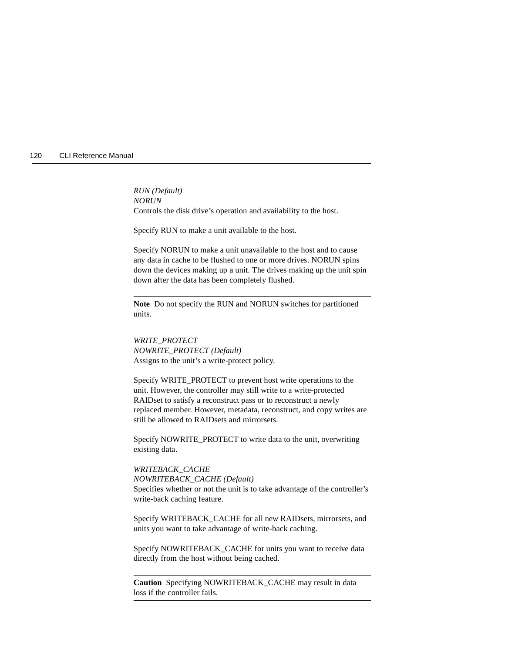*RUN (Default) NORUN* Controls the disk drive's operation and availability to the host.

Specify RUN to make a unit available to the host.

Specify NORUN to make a unit unavailable to the host and to cause any data in cache to be flushed to one or more drives. NORUN spins down the devices making up a unit. The drives making up the unit spin down after the data has been completely flushed.

**Note** Do not specify the RUN and NORUN switches for partitioned units.

*WRITE\_PROTECT NOWRITE\_PROTECT (Default)* Assigns to the unit's a write-protect policy.

Specify WRITE\_PROTECT to prevent host write operations to the unit. However, the controller may still write to a write-protected RAIDset to satisfy a reconstruct pass or to reconstruct a newly replaced member. However, metadata, reconstruct, and copy writes are still be allowed to RAIDsets and mirrorsets.

Specify NOWRITE\_PROTECT to write data to the unit, overwriting existing data.

### *WRITEBACK\_CACHE*

*NOWRITEBACK\_CACHE (Default)* Specifies whether or not the unit is to take advantage of the controller's write-back caching feature.

Specify WRITEBACK\_CACHE for all new RAIDsets, mirrorsets, and units you want to take advantage of write-back caching.

Specify NOWRITEBACK\_CACHE for units you want to receive data directly from the host without being cached.

**Caution** Specifying NOWRITEBACK\_CACHE may result in data loss if the controller fails.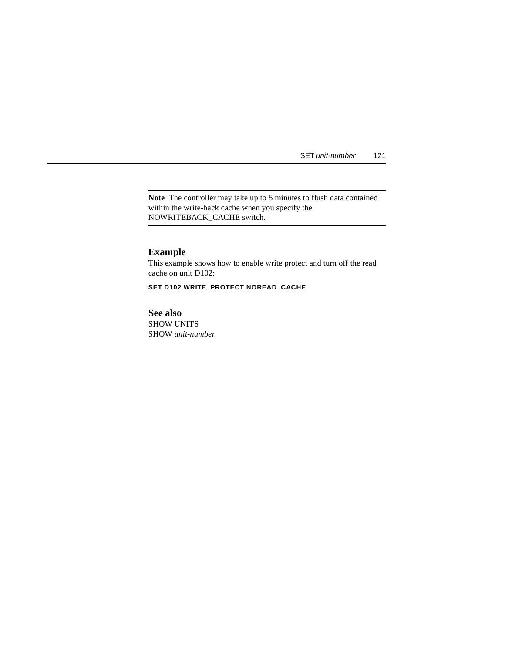SET unit-number 121

**Note** The controller may take up to 5 minutes to flush data contained within the write-back cache when you specify the NOWRITEBACK\_CACHE switch.

## **Example**

This example shows how to enable write protect and turn off the read cache on unit D102:

**SET D102 WRITE\_PROTECT NOREAD\_CACHE**

**See also** SHOW UNITS SHOW *unit-number*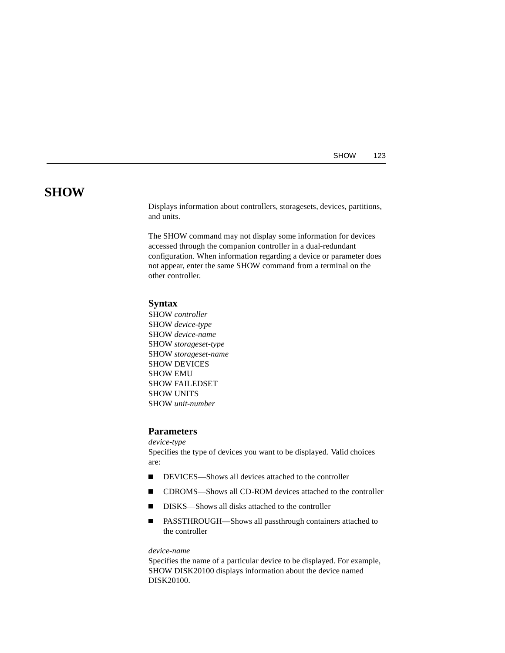## **SHOW**

Displays information about controllers, storagesets, devices, partitions, and units.

The SHOW command may not display some information for devices accessed through the companion controller in a dual-redundant configuration. When information regarding a device or parameter does not appear, enter the same SHOW command from a terminal on the other controller.

## **Syntax**

SHOW *controller* SHOW *device-type* SHOW *device-name* SHOW *storageset-type* SHOW *storageset-name* SHOW DEVICES SHOW EMU SHOW FAILEDSET SHOW UNITS SHOW *unit-number*

## **Parameters**

*device-type* Specifies the type of devices you want to be displayed. Valid choices are:

- $\blacksquare$ DEVICES—Shows all devices attached to the controller
- $\blacksquare$ CDROMS—Shows all CD-ROM devices attached to the controller
- $\blacksquare$ DISKS—Shows all disks attached to the controller
- $\blacksquare$  PASSTHROUGH—Shows all passthrough containers attached to the controller

#### *device-name*

Specifies the name of a particular device to be displayed. For example, SHOW DISK20100 displays information about the device named DISK20100.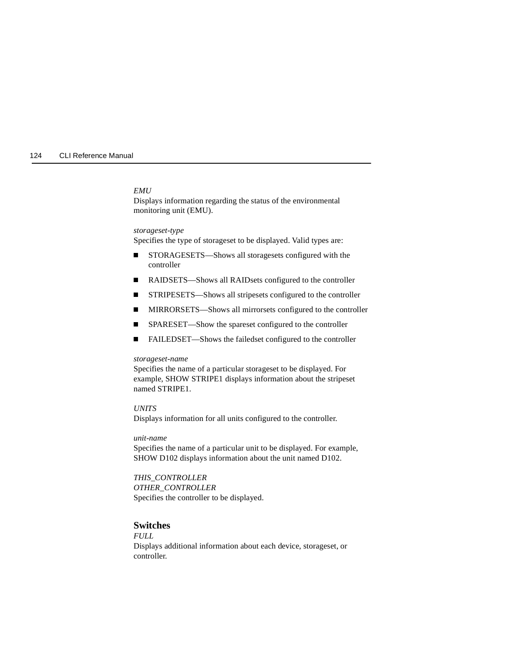#### *EMU*

Displays information regarding the status of the environmental monitoring unit (EMU).

#### *storageset-type*

Specifies the type of storageset to be displayed. Valid types are:

- $\blacksquare$  STORAGESETS—Shows all storagesets configured with the controller
- $\blacksquare$ RAIDSETS—Shows all RAIDsets configured to the controller
- $\blacksquare$ STRIPESETS—Shows all stripesets configured to the controller
- П MIRRORSETS—Shows all mirrorsets configured to the controller
- Г SPARESET—Show the spareset configured to the controller
- Г FAILEDSET—Shows the failedset configured to the controller

#### *storageset-name*

Specifies the name of a particular storageset to be displayed. For example, SHOW STRIPE1 displays information about the stripeset named STRIPE1.

### *UNITS*

Displays information for all units configured to the controller.

#### *unit-name*

Specifies the name of a particular unit to be displayed. For example, SHOW D102 displays information about the unit named D102.

### *THIS\_CONTROLLER OTHER\_CONTROLLER* Specifies the controller to be displayed.

## **Switches**

*FULL*  Displays additional information about each device, storageset, or controller.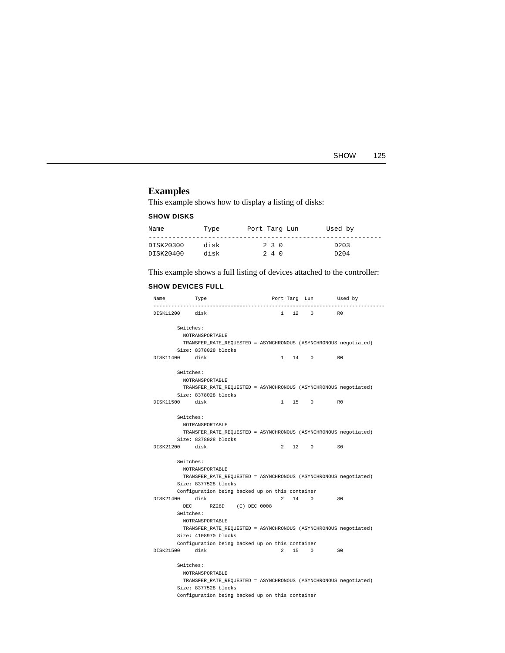| SHOW | 125 |
|------|-----|
|------|-----|

# **Examples**

This example shows how to display a listing of disks:

### **SHOW DISKS**

| Name      | Type | Port Targ Lun |       | Used by          |  |
|-----------|------|---------------|-------|------------------|--|
| DISK20300 | disk |               | 230   | D <sub>203</sub> |  |
| DISK20400 | disk |               | 2 4 0 | D <sub>204</sub> |  |

This example shows a full listing of devices attached to the controller:

## **SHOW DEVICES FULL**

| Name           | Type                                                             | Port Targ Lun | -----------          | Used by<br>.   |
|----------------|------------------------------------------------------------------|---------------|----------------------|----------------|
| DISK11200 disk |                                                                  |               | 1 12 0 RO            |                |
| Switches:      |                                                                  |               |                      |                |
|                | NOTRANSPORTABLE                                                  |               |                      |                |
|                | TRANSFER_RATE_REQUESTED = ASYNCHRONOUS (ASYNCHRONOUS negotiated) |               |                      |                |
|                | Size: 8378028 blocks                                             |               |                      |                |
| DISK11400 disk |                                                                  |               | 1 14 0               | R0             |
|                |                                                                  |               |                      |                |
| Switches:      |                                                                  |               |                      |                |
|                | NOTRANSPORTABLE                                                  |               |                      |                |
|                | TRANSFER_RATE_REQUESTED = ASYNCHRONOUS (ASYNCHRONOUS negotiated) |               |                      |                |
|                | Size: 8378028 blocks                                             |               |                      |                |
| DISK11500 disk |                                                                  | $1 \quad$     | 15 0                 | R <sub>0</sub> |
|                |                                                                  |               |                      |                |
| Switches:      |                                                                  |               |                      |                |
|                | NOTRANSPORTABLE                                                  |               |                      |                |
|                | TRANSFER_RATE_REQUESTED = ASYNCHRONOUS (ASYNCHRONOUS negotiated) |               |                      |                |
| DISK21200 disk | Size: 8378028 blocks                                             |               | $2 \quad 12 \quad 0$ | SO             |
|                |                                                                  |               |                      |                |
| Switches:      |                                                                  |               |                      |                |
|                | NOTRANSPORTABLE                                                  |               |                      |                |
|                | TRANSFER RATE REQUESTED = ASYNCHRONOUS (ASYNCHRONOUS negotiated) |               |                      |                |
|                | Size: 8377528 blocks                                             |               |                      |                |
|                | Configuration being backed up on this container                  |               |                      |                |
| DISK21400 disk |                                                                  |               | 2 14 0               | SO             |
|                | DEC RZ28D (C) DEC 0008                                           |               |                      |                |
| Switches:      |                                                                  |               |                      |                |
|                | NOTRANSPORTABLE                                                  |               |                      |                |
|                | TRANSFER RATE REQUESTED = ASYNCHRONOUS (ASYNCHRONOUS negotiated) |               |                      |                |
|                | Size: 4108970 blocks                                             |               |                      |                |
|                | Configuration being backed up on this container                  |               |                      |                |
| DISK21500 disk |                                                                  |               | 2 15 0 SO            |                |
| Switches:      |                                                                  |               |                      |                |
|                | NOTRANSPORTABLE                                                  |               |                      |                |
|                | TRANSFER_RATE_REQUESTED = ASYNCHRONOUS (ASYNCHRONOUS negotiated) |               |                      |                |
|                | Size: 8377528 blocks                                             |               |                      |                |
|                | Configuration being backed up on this container                  |               |                      |                |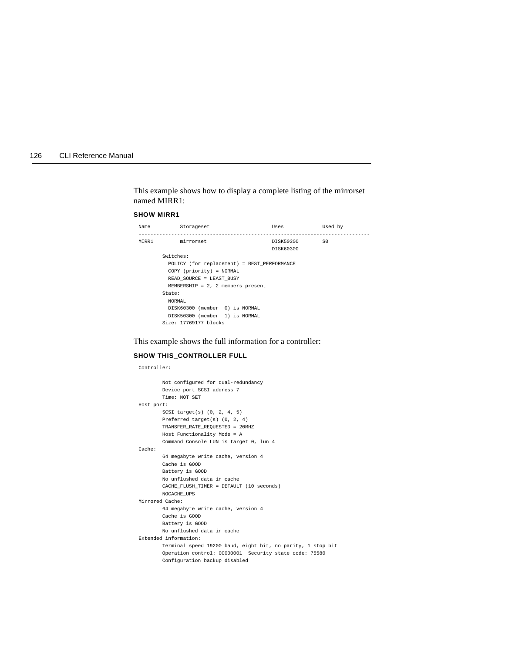This example shows how to display a complete listing of the mirrorset named MIRR1:

#### **SHOW MIRR1**

| Name | Storageset                                  | Uses      | Used by |  |
|------|---------------------------------------------|-----------|---------|--|
|      | MIRR1 mirrorset                             | DISK50300 | S0      |  |
|      |                                             | DISK60300 |         |  |
|      | Switches:                                   |           |         |  |
|      | POLICY (for replacement) = BEST PERFORMANCE |           |         |  |
|      | COPY (priority) = NORMAL                    |           |         |  |
|      | READ SOURCE = LEAST BUSY                    |           |         |  |
|      | $MEMBERSHIP = 2, 2 members present$         |           |         |  |
|      | State:                                      |           |         |  |
|      | NORMAL                                      |           |         |  |
|      | DISK60300 (member 0) is NORMAL              |           |         |  |
|      | DISK50300 (member 1) is NORMAL              |           |         |  |
|      | Size: 17769177 blocks                       |           |         |  |

This example shows the full information for a controller:

## **SHOW THIS\_CONTROLLER FULL**

Controller:

| Not configured for dual-redundancy                          |
|-------------------------------------------------------------|
| Device port SCSI address 7                                  |
| Time: NOT SET                                               |
| Host port:                                                  |
| SCSI target(s) $(0, 2, 4, 5)$                               |
| Preferred target(s) $(0, 2, 4)$                             |
| TRANSFER RATE REQUESTED = 20MHZ                             |
| Host Functionality Mode = A                                 |
| Command Console LUN is target 0, lun 4                      |
| Cache:                                                      |
| 64 megabyte write cache, version 4                          |
| Cache is GOOD                                               |
| Battery is GOOD                                             |
| No unflushed data in cache                                  |
| CACHE FLUSH TIMER = DEFAULT (10 seconds)                    |
| NOCACHE UPS                                                 |
| Mirrored Cache:                                             |
| 64 megabyte write cache, version 4                          |
| Cache is GOOD                                               |
| Battery is GOOD                                             |
| No unflushed data in cache                                  |
| Extended information:                                       |
| Terminal speed 19200 baud, eight bit, no parity, 1 stop bit |
| Operation control: 00000001 Security state code: 75580      |
| Configuration backup disabled                               |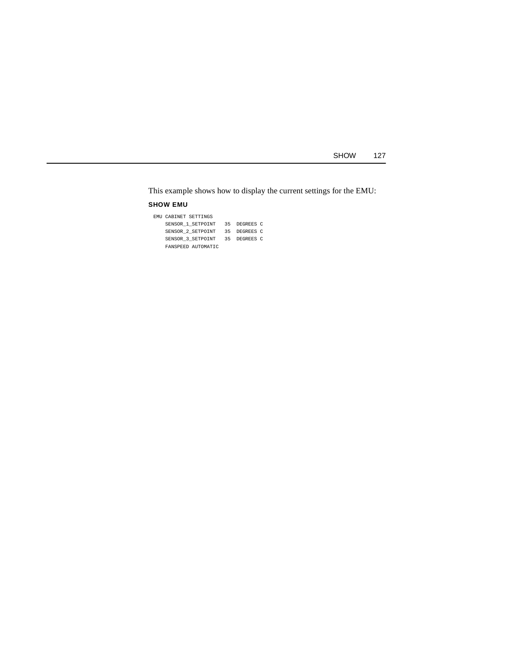SHOW 127

This example shows how to display the current settings for the EMU:

## **SHOW EMU**

| EMU CABINET SETTINGS |              |
|----------------------|--------------|
| SENSOR 1 SETPOINT    | 35 DEGREES C |
| SENSOR 2 SETPOINT    | 35 DEGREES C |
| SENSOR 3 SETPOINT    | 35 DEGREES C |
| FANSPEED AUTOMATIC   |              |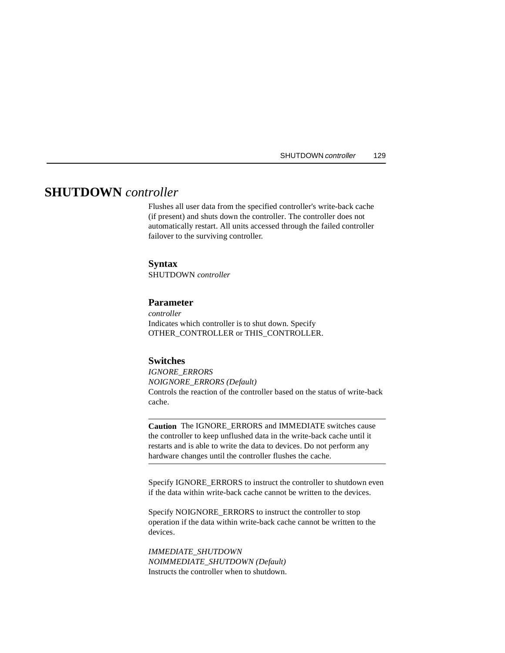# **SHUTDOWN** *controller*

Flushes all user data from the specified controller's write-back cache (if present) and shuts down the controller. The controller does not automatically restart. All units accessed through the failed controller failover to the surviving controller.

#### **Syntax**

SHUTDOWN *controller*

## **Parameter**

*controller* Indicates which controller is to shut down. Specify OTHER\_CONTROLLER or THIS\_CONTROLLER.

### **Switches**

*IGNORE\_ERRORS NOIGNORE\_ERRORS (Default)* Controls the reaction of the controller based on the status of write-back cache.

**Caution** The IGNORE\_ERRORS and IMMEDIATE switches cause the controller to keep unflushed data in the write-back cache until it restarts and is able to write the data to devices. Do not perform any hardware changes until the controller flushes the cache.

Specify IGNORE\_ERRORS to instruct the controller to shutdown even if the data within write-back cache cannot be written to the devices.

Specify NOIGNORE\_ERRORS to instruct the controller to stop operation if the data within write-back cache cannot be written to the devices.

*IMMEDIATE\_SHUTDOWN NOIMMEDIATE\_SHUTDOWN (Default)* Instructs the controller when to shutdown.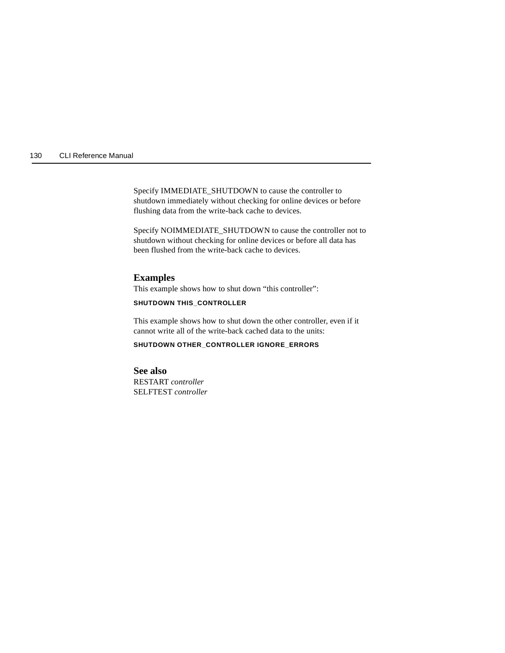Specify IMMEDIATE\_SHUTDOWN to cause the controller to shutdown immediately without checking for online devices or before flushing data from the write-back cache to devices.

Specify NOIMMEDIATE\_SHUTDOWN to cause the controller not to shutdown without checking for online devices or before all data has been flushed from the write-back cache to devices.

#### **Examples**

This example shows how to shut down "this controller":

#### **SHUTDOWN THIS\_CONTROLLER**

This example shows how to shut down the other controller, even if it cannot write all of the write-back cached data to the units:

### **SHUTDOWN OTHER\_CONTROLLER IGNORE\_ERRORS**

**See also** RESTART *controller* SELFTEST *controller*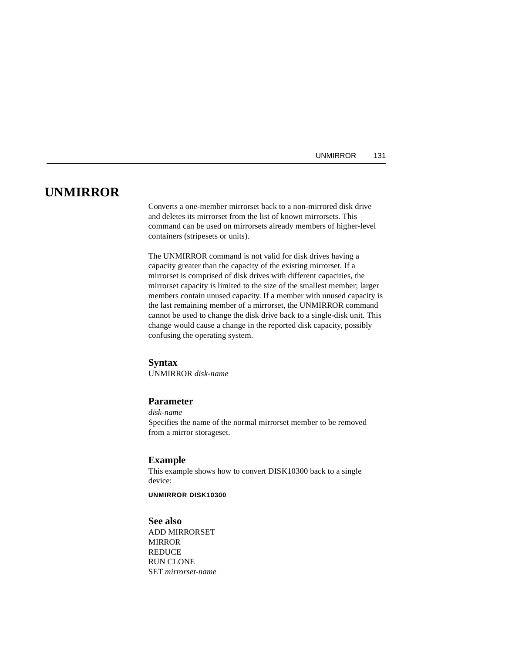### <span id="page-144-0"></span>**UNMIRROR**

Converts a one-member mirrorset back to a non-mirrored disk drive and deletes its mirrorset from the list of known mirrorsets. This command can be used on mirrorsets already members of higher-level containers (stripesets or units).

The UNMIRROR command is not valid for disk drives having a capacity greater than the capacity of the existing mirrorset. If a mirrorset is comprised of disk drives with different capacities, the mirrorset capacity is limited to the size of the smallest member; larger members contain unused capacity. If a member with unused capacity is the last remaining member of a mirrorset, the UNMIRROR command cannot be used to change the disk drive back to a single-disk unit. This change would cause a change in the reported disk capacity, possibly confusing the operating system.

#### **Syntax**

UNMIRROR *disk-name*

#### **Parameter**

*disk-name* Specifies the name of the normal mirrorset member to be removed from a mirror storageset.

#### **Example**

This example shows how to convert DISK10300 back to a single device:

#### **UNMIRROR DISK10300**

#### **See also**

ADD MIRRORSET MIRROR REDUCE RUN CLONE SET *mirrorset-name*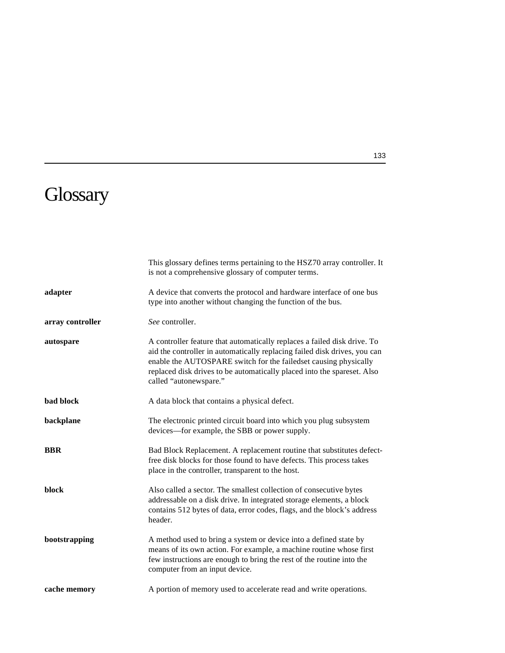# <span id="page-146-0"></span>**Glossary**

|                  | This glossary defines terms pertaining to the HSZ70 array controller. It<br>is not a comprehensive glossary of computer terms.                                                                                                                                                                                                 |
|------------------|--------------------------------------------------------------------------------------------------------------------------------------------------------------------------------------------------------------------------------------------------------------------------------------------------------------------------------|
| adapter          | A device that converts the protocol and hardware interface of one bus<br>type into another without changing the function of the bus.                                                                                                                                                                                           |
| array controller | See controller.                                                                                                                                                                                                                                                                                                                |
| autospare        | A controller feature that automatically replaces a failed disk drive. To<br>aid the controller in automatically replacing failed disk drives, you can<br>enable the AUTOSPARE switch for the failedset causing physically<br>replaced disk drives to be automatically placed into the spareset. Also<br>called "autonewspare." |
| bad block        | A data block that contains a physical defect.                                                                                                                                                                                                                                                                                  |
| backplane        | The electronic printed circuit board into which you plug subsystem<br>devices—for example, the SBB or power supply.                                                                                                                                                                                                            |
| <b>BBR</b>       | Bad Block Replacement. A replacement routine that substitutes defect-<br>free disk blocks for those found to have defects. This process takes<br>place in the controller, transparent to the host.                                                                                                                             |
| block            | Also called a sector. The smallest collection of consecutive bytes<br>addressable on a disk drive. In integrated storage elements, a block<br>contains 512 bytes of data, error codes, flags, and the block's address<br>header.                                                                                               |
| bootstrapping    | A method used to bring a system or device into a defined state by<br>means of its own action. For example, a machine routine whose first<br>few instructions are enough to bring the rest of the routine into the<br>computer from an input device.                                                                            |
| cache memory     | A portion of memory used to accelerate read and write operations.                                                                                                                                                                                                                                                              |

133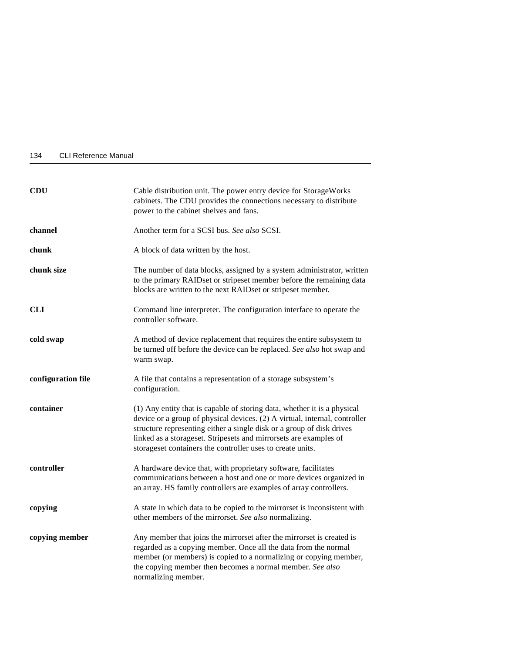<span id="page-147-0"></span>

| 134 | <b>CLI Reference Manual</b> |  |
|-----|-----------------------------|--|
|     |                             |  |

| <b>CDU</b>         | Cable distribution unit. The power entry device for StorageWorks<br>cabinets. The CDU provides the connections necessary to distribute<br>power to the cabinet shelves and fans.                                                                                                                                                                                   |  |  |
|--------------------|--------------------------------------------------------------------------------------------------------------------------------------------------------------------------------------------------------------------------------------------------------------------------------------------------------------------------------------------------------------------|--|--|
| channel            | Another term for a SCSI bus. See also SCSI.                                                                                                                                                                                                                                                                                                                        |  |  |
| chunk              | A block of data written by the host.                                                                                                                                                                                                                                                                                                                               |  |  |
| chunk size         | The number of data blocks, assigned by a system administrator, written<br>to the primary RAIDset or stripeset member before the remaining data<br>blocks are written to the next RAIDset or stripeset member.                                                                                                                                                      |  |  |
| <b>CLI</b>         | Command line interpreter. The configuration interface to operate the<br>controller software.                                                                                                                                                                                                                                                                       |  |  |
| cold swap          | A method of device replacement that requires the entire subsystem to<br>be turned off before the device can be replaced. See also hot swap and<br>warm swap.                                                                                                                                                                                                       |  |  |
| configuration file | A file that contains a representation of a storage subsystem's<br>configuration.                                                                                                                                                                                                                                                                                   |  |  |
| container          | (1) Any entity that is capable of storing data, whether it is a physical<br>device or a group of physical devices. (2) A virtual, internal, controller<br>structure representing either a single disk or a group of disk drives<br>linked as a storageset. Stripesets and mirrorsets are examples of<br>storageset containers the controller uses to create units. |  |  |
| controller         | A hardware device that, with proprietary software, facilitates<br>communications between a host and one or more devices organized in<br>an array. HS family controllers are examples of array controllers.                                                                                                                                                         |  |  |
| copying            | A state in which data to be copied to the mirrorset is inconsistent with<br>other members of the mirrorset. See also normalizing.                                                                                                                                                                                                                                  |  |  |
| copying member     | Any member that joins the mirrorset after the mirrorset is created is<br>regarded as a copying member. Once all the data from the normal<br>member (or members) is copied to a normalizing or copying member,<br>the copying member then becomes a normal member. See also<br>normalizing member.                                                                  |  |  |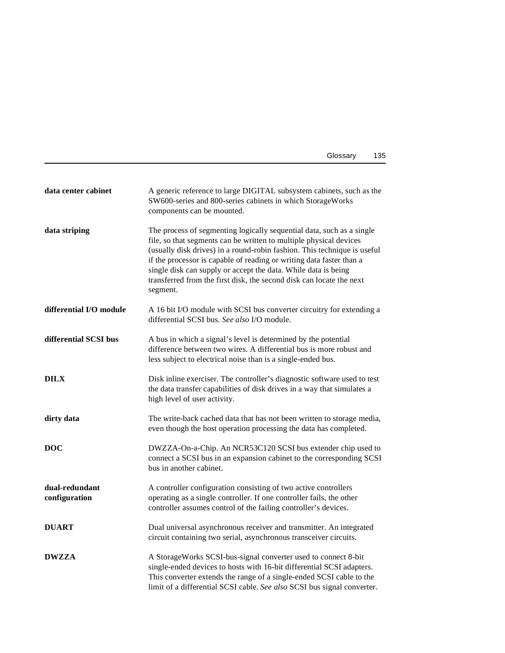| Glossary | 135 |
|----------|-----|
|----------|-----|

<span id="page-148-0"></span>

| data center cabinet             | A generic reference to large DIGITAL subsystem cabinets, such as the<br>SW600-series and 800-series cabinets in which StorageWorks<br>components can be mounted.                                                                                                                                                                                                                                                                                      |
|---------------------------------|-------------------------------------------------------------------------------------------------------------------------------------------------------------------------------------------------------------------------------------------------------------------------------------------------------------------------------------------------------------------------------------------------------------------------------------------------------|
| data striping                   | The process of segmenting logically sequential data, such as a single<br>file, so that segments can be written to multiple physical devices<br>(usually disk drives) in a round-robin fashion. This technique is useful<br>if the processor is capable of reading or writing data faster than a<br>single disk can supply or accept the data. While data is being<br>transferred from the first disk, the second disk can locate the next<br>segment. |
| differential I/O module         | A 16 bit I/O module with SCSI bus converter circuitry for extending a<br>differential SCSI bus. See also I/O module.                                                                                                                                                                                                                                                                                                                                  |
| differential SCSI bus           | A bus in which a signal's level is determined by the potential<br>difference between two wires. A differential bus is more robust and<br>less subject to electrical noise than is a single-ended bus.                                                                                                                                                                                                                                                 |
| <b>DILX</b>                     | Disk inline exerciser. The controller's diagnostic software used to test<br>the data transfer capabilities of disk drives in a way that simulates a<br>high level of user activity.                                                                                                                                                                                                                                                                   |
| dirty data                      | The write-back cached data that has not been written to storage media,<br>even though the host operation processing the data has completed.                                                                                                                                                                                                                                                                                                           |
| <b>DOC</b>                      | DWZZA-On-a-Chip. An NCR53C120 SCSI bus extender chip used to<br>connect a SCSI bus in an expansion cabinet to the corresponding SCSI<br>bus in another cabinet.                                                                                                                                                                                                                                                                                       |
| dual-redundant<br>configuration | A controller configuration consisting of two active controllers<br>operating as a single controller. If one controller fails, the other<br>controller assumes control of the failing controller's devices.                                                                                                                                                                                                                                            |
| <b>DUART</b>                    | Dual universal asynchronous receiver and transmitter. An integrated<br>circuit containing two serial, asynchronous transceiver circuits.                                                                                                                                                                                                                                                                                                              |
| <b>DWZZA</b>                    | A StorageWorks SCSI-bus-signal converter used to connect 8-bit<br>single-ended devices to hosts with 16-bit differential SCSI adapters.<br>This converter extends the range of a single-ended SCSI cable to the<br>limit of a differential SCSI cable. See also SCSI bus signal converter.                                                                                                                                                            |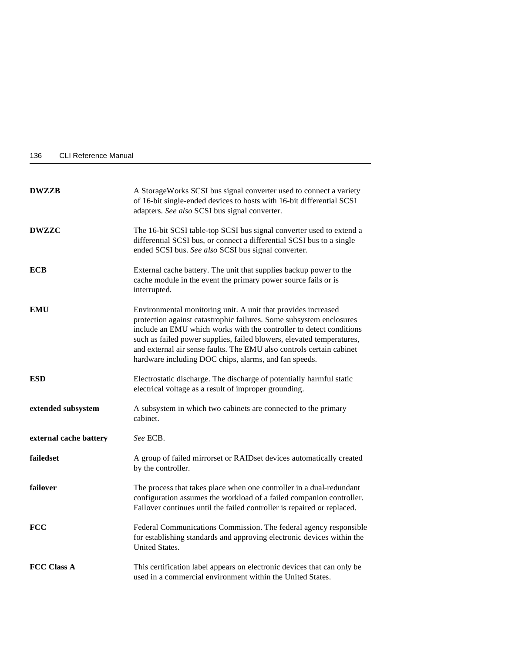<span id="page-149-0"></span>

| 136 | <b>CLI Reference Manual</b> |  |
|-----|-----------------------------|--|
|     |                             |  |

| <b>DWZZB</b>           | A StorageWorks SCSI bus signal converter used to connect a variety<br>of 16-bit single-ended devices to hosts with 16-bit differential SCSI<br>adapters. See also SCSI bus signal converter.                                                                                                                                                                                                                          |  |
|------------------------|-----------------------------------------------------------------------------------------------------------------------------------------------------------------------------------------------------------------------------------------------------------------------------------------------------------------------------------------------------------------------------------------------------------------------|--|
| <b>DWZZC</b>           | The 16-bit SCSI table-top SCSI bus signal converter used to extend a<br>differential SCSI bus, or connect a differential SCSI bus to a single<br>ended SCSI bus. See also SCSI bus signal converter.                                                                                                                                                                                                                  |  |
| <b>ECB</b>             | External cache battery. The unit that supplies backup power to the<br>cache module in the event the primary power source fails or is<br>interrupted.                                                                                                                                                                                                                                                                  |  |
| <b>EMU</b>             | Environmental monitoring unit. A unit that provides increased<br>protection against catastrophic failures. Some subsystem enclosures<br>include an EMU which works with the controller to detect conditions<br>such as failed power supplies, failed blowers, elevated temperatures,<br>and external air sense faults. The EMU also controls certain cabinet<br>hardware including DOC chips, alarms, and fan speeds. |  |
| <b>ESD</b>             | Electrostatic discharge. The discharge of potentially harmful static<br>electrical voltage as a result of improper grounding.                                                                                                                                                                                                                                                                                         |  |
| extended subsystem     | A subsystem in which two cabinets are connected to the primary<br>cabinet.                                                                                                                                                                                                                                                                                                                                            |  |
| external cache battery | See ECB.                                                                                                                                                                                                                                                                                                                                                                                                              |  |
| failedset              | A group of failed mirrorset or RAIDset devices automatically created<br>by the controller.                                                                                                                                                                                                                                                                                                                            |  |
| failover               | The process that takes place when one controller in a dual-redundant<br>configuration assumes the workload of a failed companion controller.<br>Failover continues until the failed controller is repaired or replaced.                                                                                                                                                                                               |  |
| <b>FCC</b>             | Federal Communications Commission. The federal agency responsible<br>for establishing standards and approving electronic devices within the<br><b>United States.</b>                                                                                                                                                                                                                                                  |  |
| <b>FCC Class A</b>     | This certification label appears on electronic devices that can only be<br>used in a commercial environment within the United States.                                                                                                                                                                                                                                                                                 |  |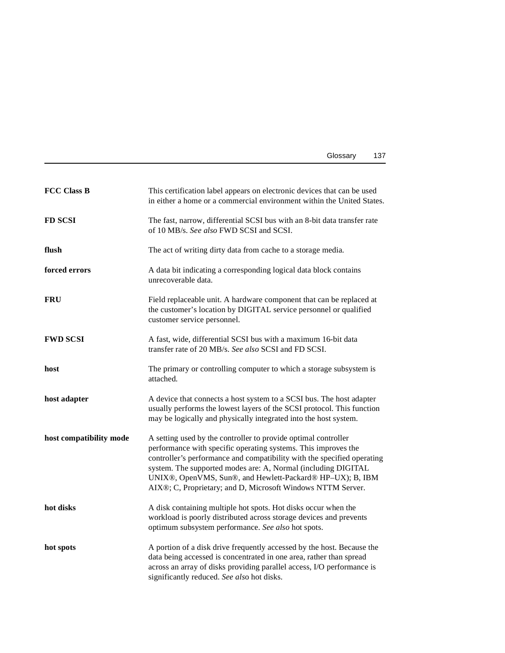| Glossary | 137 |
|----------|-----|
|----------|-----|

<span id="page-150-0"></span>

| <b>FCC Class B</b>      | This certification label appears on electronic devices that can be used<br>in either a home or a commercial environment within the United States.                                                                                                                                                                                                                                                        |  |
|-------------------------|----------------------------------------------------------------------------------------------------------------------------------------------------------------------------------------------------------------------------------------------------------------------------------------------------------------------------------------------------------------------------------------------------------|--|
| <b>FD SCSI</b>          | The fast, narrow, differential SCSI bus with an 8-bit data transfer rate<br>of 10 MB/s. See also FWD SCSI and SCSI.                                                                                                                                                                                                                                                                                      |  |
| flush                   | The act of writing dirty data from cache to a storage media.                                                                                                                                                                                                                                                                                                                                             |  |
| forced errors           | A data bit indicating a corresponding logical data block contains<br>unrecoverable data.                                                                                                                                                                                                                                                                                                                 |  |
| <b>FRU</b>              | Field replaceable unit. A hardware component that can be replaced at<br>the customer's location by DIGITAL service personnel or qualified<br>customer service personnel.                                                                                                                                                                                                                                 |  |
| <b>FWD SCSI</b>         | A fast, wide, differential SCSI bus with a maximum 16-bit data<br>transfer rate of 20 MB/s. See also SCSI and FD SCSI.                                                                                                                                                                                                                                                                                   |  |
| host                    | The primary or controlling computer to which a storage subsystem is<br>attached.                                                                                                                                                                                                                                                                                                                         |  |
| host adapter            | A device that connects a host system to a SCSI bus. The host adapter<br>usually performs the lowest layers of the SCSI protocol. This function<br>may be logically and physically integrated into the host system.                                                                                                                                                                                       |  |
| host compatibility mode | A setting used by the controller to provide optimal controller<br>performance with specific operating systems. This improves the<br>controller's performance and compatibility with the specified operating<br>system. The supported modes are: A, Normal (including DIGITAL<br>UNIX®, OpenVMS, Sun®, and Hewlett-Packard® HP-UX); B, IBM<br>AIX®; C, Proprietary; and D, Microsoft Windows NTTM Server. |  |
| hot disks               | A disk containing multiple hot spots. Hot disks occur when the<br>workload is poorly distributed across storage devices and prevents<br>optimum subsystem performance. See also hot spots.                                                                                                                                                                                                               |  |
| hot spots               | A portion of a disk drive frequently accessed by the host. Because the<br>data being accessed is concentrated in one area, rather than spread<br>across an array of disks providing parallel access, I/O performance is<br>significantly reduced. See also hot disks.                                                                                                                                    |  |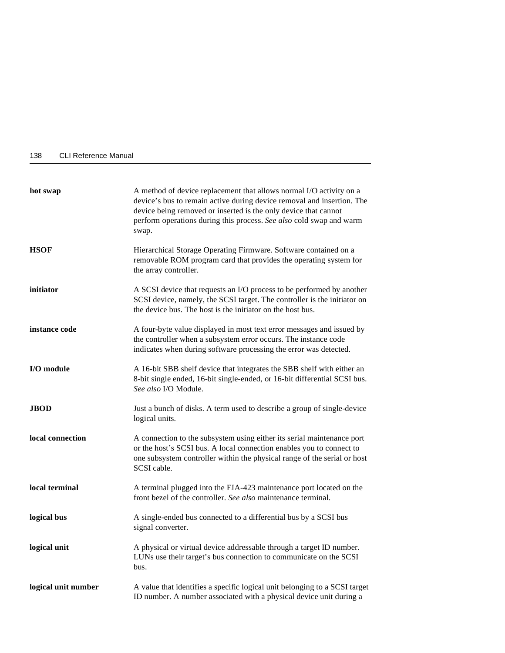<span id="page-151-0"></span>

| 138 | <b>CLI Reference Manual</b> |  |
|-----|-----------------------------|--|
|     |                             |  |

| hot swap            | A method of device replacement that allows normal I/O activity on a<br>device's bus to remain active during device removal and insertion. The<br>device being removed or inserted is the only device that cannot<br>perform operations during this process. See also cold swap and warm<br>swap. |  |
|---------------------|--------------------------------------------------------------------------------------------------------------------------------------------------------------------------------------------------------------------------------------------------------------------------------------------------|--|
| <b>HSOF</b>         | Hierarchical Storage Operating Firmware. Software contained on a<br>removable ROM program card that provides the operating system for<br>the array controller.                                                                                                                                   |  |
| initiator           | A SCSI device that requests an I/O process to be performed by another<br>SCSI device, namely, the SCSI target. The controller is the initiator on<br>the device bus. The host is the initiator on the host bus.                                                                                  |  |
| instance code       | A four-byte value displayed in most text error messages and issued by<br>the controller when a subsystem error occurs. The instance code<br>indicates when during software processing the error was detected.                                                                                    |  |
| I/O module          | A 16-bit SBB shelf device that integrates the SBB shelf with either an<br>8-bit single ended, 16-bit single-ended, or 16-bit differential SCSI bus.<br>See also I/O Module.                                                                                                                      |  |
| <b>JBOD</b>         | Just a bunch of disks. A term used to describe a group of single-device<br>logical units.                                                                                                                                                                                                        |  |
| local connection    | A connection to the subsystem using either its serial maintenance port<br>or the host's SCSI bus. A local connection enables you to connect to<br>one subsystem controller within the physical range of the serial or host<br>SCSI cable.                                                        |  |
| local terminal      | A terminal plugged into the EIA-423 maintenance port located on the<br>front bezel of the controller. See also maintenance terminal.                                                                                                                                                             |  |
| logical bus         | A single-ended bus connected to a differential bus by a SCSI bus<br>signal converter.                                                                                                                                                                                                            |  |
| logical unit        | A physical or virtual device addressable through a target ID number.<br>LUNs use their target's bus connection to communicate on the SCSI<br>bus.                                                                                                                                                |  |
| logical unit number | A value that identifies a specific logical unit belonging to a SCSI target<br>ID number. A number associated with a physical device unit during a                                                                                                                                                |  |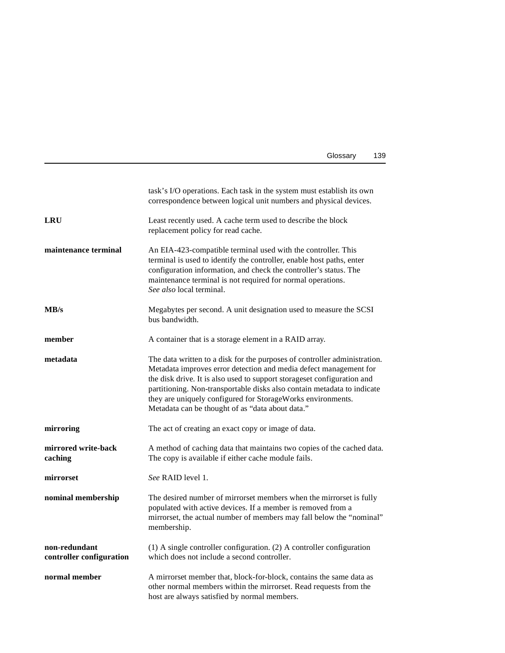| Glossary | 139 |
|----------|-----|
|----------|-----|

<span id="page-152-0"></span>

|                                           | task's I/O operations. Each task in the system must establish its own<br>correspondence between logical unit numbers and physical devices.                                                                                                                                                                                                                                                                              |
|-------------------------------------------|-------------------------------------------------------------------------------------------------------------------------------------------------------------------------------------------------------------------------------------------------------------------------------------------------------------------------------------------------------------------------------------------------------------------------|
| <b>LRU</b>                                | Least recently used. A cache term used to describe the block<br>replacement policy for read cache.                                                                                                                                                                                                                                                                                                                      |
| maintenance terminal                      | An EIA-423-compatible terminal used with the controller. This<br>terminal is used to identify the controller, enable host paths, enter<br>configuration information, and check the controller's status. The<br>maintenance terminal is not required for normal operations.<br>See also local terminal.                                                                                                                  |
| MB/s                                      | Megabytes per second. A unit designation used to measure the SCSI<br>bus bandwidth.                                                                                                                                                                                                                                                                                                                                     |
| member                                    | A container that is a storage element in a RAID array.                                                                                                                                                                                                                                                                                                                                                                  |
| metadata                                  | The data written to a disk for the purposes of controller administration.<br>Metadata improves error detection and media defect management for<br>the disk drive. It is also used to support storageset configuration and<br>partitioning. Non-transportable disks also contain metadata to indicate<br>they are uniquely configured for StorageWorks environments.<br>Metadata can be thought of as "data about data." |
| mirroring                                 | The act of creating an exact copy or image of data.                                                                                                                                                                                                                                                                                                                                                                     |
| mirrored write-back<br>caching            | A method of caching data that maintains two copies of the cached data.<br>The copy is available if either cache module fails.                                                                                                                                                                                                                                                                                           |
| mirrorset                                 | See RAID level 1.                                                                                                                                                                                                                                                                                                                                                                                                       |
| nominal membership                        | The desired number of mirrorset members when the mirrorset is fully<br>populated with active devices. If a member is removed from a<br>mirrorset, the actual number of members may fall below the "nominal"<br>membership.                                                                                                                                                                                              |
| non-redundant<br>controller configuration | (1) A single controller configuration. (2) A controller configuration<br>which does not include a second controller.                                                                                                                                                                                                                                                                                                    |
| normal member                             | A mirrorset member that, block-for-block, contains the same data as<br>other normal members within the mirrorset. Read requests from the<br>host are always satisfied by normal members.                                                                                                                                                                                                                                |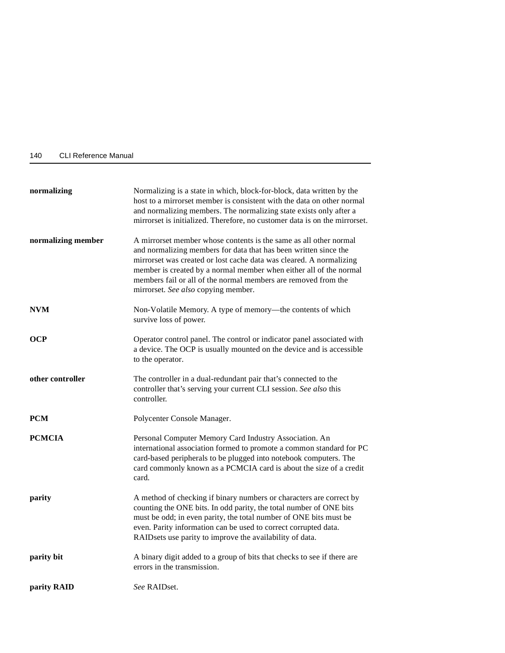<span id="page-153-0"></span>

| 140 | <b>CLI Reference Manual</b> |  |
|-----|-----------------------------|--|
|     |                             |  |

| normalizing        | Normalizing is a state in which, block-for-block, data written by the<br>host to a mirrorset member is consistent with the data on other normal<br>and normalizing members. The normalizing state exists only after a<br>mirrorset is initialized. Therefore, no customer data is on the mirrorset.                                                                                         |
|--------------------|---------------------------------------------------------------------------------------------------------------------------------------------------------------------------------------------------------------------------------------------------------------------------------------------------------------------------------------------------------------------------------------------|
| normalizing member | A mirrorset member whose contents is the same as all other normal<br>and normalizing members for data that has been written since the<br>mirrorset was created or lost cache data was cleared. A normalizing<br>member is created by a normal member when either all of the normal<br>members fail or all of the normal members are removed from the<br>mirrorset. See also copying member. |
| <b>NVM</b>         | Non-Volatile Memory. A type of memory-the contents of which<br>survive loss of power.                                                                                                                                                                                                                                                                                                       |
| <b>OCP</b>         | Operator control panel. The control or indicator panel associated with<br>a device. The OCP is usually mounted on the device and is accessible<br>to the operator.                                                                                                                                                                                                                          |
| other controller   | The controller in a dual-redundant pair that's connected to the<br>controller that's serving your current CLI session. See also this<br>controller.                                                                                                                                                                                                                                         |
| <b>PCM</b>         | Polycenter Console Manager.                                                                                                                                                                                                                                                                                                                                                                 |
| <b>PCMCIA</b>      | Personal Computer Memory Card Industry Association. An<br>international association formed to promote a common standard for PC<br>card-based peripherals to be plugged into notebook computers. The<br>card commonly known as a PCMCIA card is about the size of a credit<br>card.                                                                                                          |
| parity             | A method of checking if binary numbers or characters are correct by<br>counting the ONE bits. In odd parity, the total number of ONE bits<br>must be odd; in even parity, the total number of ONE bits must be<br>even. Parity information can be used to correct corrupted data.<br>RAIDsets use parity to improve the availability of data.                                               |
| parity bit         | A binary digit added to a group of bits that checks to see if there are<br>errors in the transmission.                                                                                                                                                                                                                                                                                      |
| parity RAID        | See RAIDset.                                                                                                                                                                                                                                                                                                                                                                                |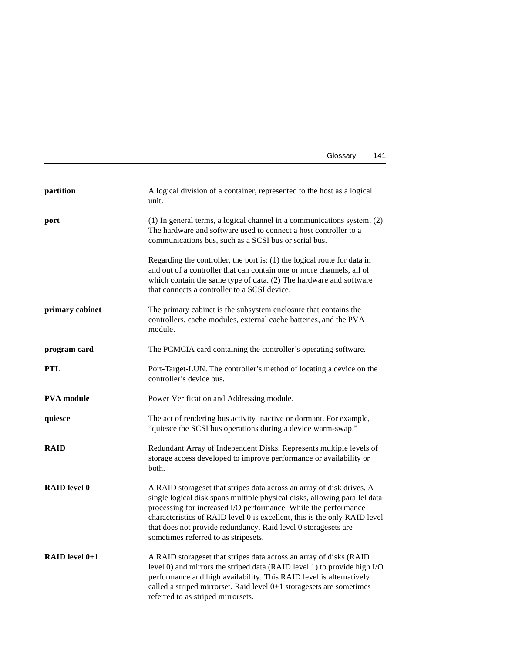| Glossary | 141 |
|----------|-----|
|----------|-----|

<span id="page-154-0"></span>

| partition           | A logical division of a container, represented to the host as a logical<br>unit.                                                                                                                                                                                                                                                                                                                             |
|---------------------|--------------------------------------------------------------------------------------------------------------------------------------------------------------------------------------------------------------------------------------------------------------------------------------------------------------------------------------------------------------------------------------------------------------|
| port                | (1) In general terms, a logical channel in a communications system. (2)<br>The hardware and software used to connect a host controller to a<br>communications bus, such as a SCSI bus or serial bus.                                                                                                                                                                                                         |
|                     | Regarding the controller, the port is: $(1)$ the logical route for data in<br>and out of a controller that can contain one or more channels, all of<br>which contain the same type of data. (2) The hardware and software<br>that connects a controller to a SCSI device.                                                                                                                                    |
| primary cabinet     | The primary cabinet is the subsystem enclosure that contains the<br>controllers, cache modules, external cache batteries, and the PVA<br>module.                                                                                                                                                                                                                                                             |
| program card        | The PCMCIA card containing the controller's operating software.                                                                                                                                                                                                                                                                                                                                              |
| <b>PTL</b>          | Port-Target-LUN. The controller's method of locating a device on the<br>controller's device bus.                                                                                                                                                                                                                                                                                                             |
| <b>PVA</b> module   | Power Verification and Addressing module.                                                                                                                                                                                                                                                                                                                                                                    |
| quiesce             | The act of rendering bus activity inactive or dormant. For example,<br>"quiesce the SCSI bus operations during a device warm-swap."                                                                                                                                                                                                                                                                          |
| <b>RAID</b>         | Redundant Array of Independent Disks. Represents multiple levels of<br>storage access developed to improve performance or availability or<br>both.                                                                                                                                                                                                                                                           |
| <b>RAID</b> level 0 | A RAID storageset that stripes data across an array of disk drives. A<br>single logical disk spans multiple physical disks, allowing parallel data<br>processing for increased I/O performance. While the performance<br>characteristics of RAID level 0 is excellent, this is the only RAID level<br>that does not provide redundancy. Raid level 0 storagesets are<br>sometimes referred to as stripesets. |
| RAID level $0+1$    | A RAID storageset that stripes data across an array of disks (RAID<br>level 0) and mirrors the striped data (RAID level 1) to provide high I/O<br>performance and high availability. This RAID level is alternatively<br>called a striped mirrorset. Raid level $0+1$ storagesets are sometimes<br>referred to as striped mirrorsets.                                                                        |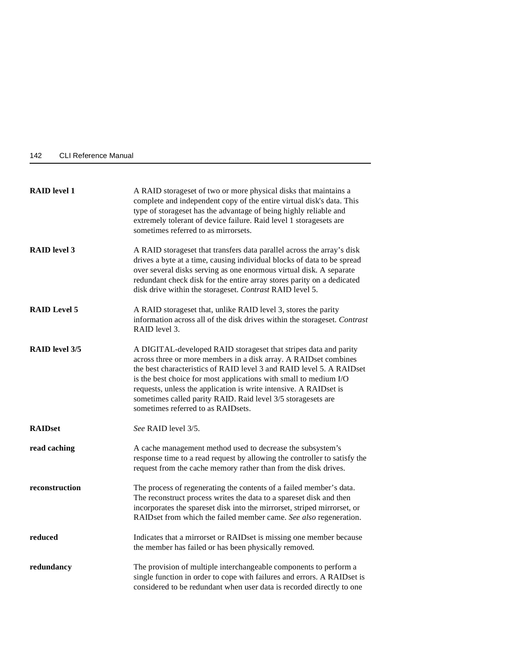<span id="page-155-0"></span>

| 142 | <b>CLI Reference Manual</b> |  |
|-----|-----------------------------|--|
|     |                             |  |

| <b>RAID</b> level 1   | A RAID storageset of two or more physical disks that maintains a<br>complete and independent copy of the entire virtual disk's data. This<br>type of storageset has the advantage of being highly reliable and<br>extremely tolerant of device failure. Raid level 1 storagesets are<br>sometimes referred to as mirrorsets.                                                                                                                                  |
|-----------------------|---------------------------------------------------------------------------------------------------------------------------------------------------------------------------------------------------------------------------------------------------------------------------------------------------------------------------------------------------------------------------------------------------------------------------------------------------------------|
| <b>RAID</b> level 3   | A RAID storageset that transfers data parallel across the array's disk<br>drives a byte at a time, causing individual blocks of data to be spread<br>over several disks serving as one enormous virtual disk. A separate<br>redundant check disk for the entire array stores parity on a dedicated<br>disk drive within the storageset. Contrast RAID level 5.                                                                                                |
| <b>RAID Level 5</b>   | A RAID storageset that, unlike RAID level 3, stores the parity<br>information across all of the disk drives within the storageset. Contrast<br>RAID level 3.                                                                                                                                                                                                                                                                                                  |
| <b>RAID</b> level 3/5 | A DIGITAL-developed RAID storageset that stripes data and parity<br>across three or more members in a disk array. A RAIDset combines<br>the best characteristics of RAID level 3 and RAID level 5. A RAID set<br>is the best choice for most applications with small to medium I/O<br>requests, unless the application is write intensive. A RAIDset is<br>sometimes called parity RAID. Raid level 3/5 storagesets are<br>sometimes referred to as RAIDsets. |
| <b>RAIDset</b>        | See RAID level 3/5.                                                                                                                                                                                                                                                                                                                                                                                                                                           |
| read caching          | A cache management method used to decrease the subsystem's<br>response time to a read request by allowing the controller to satisfy the<br>request from the cache memory rather than from the disk drives.                                                                                                                                                                                                                                                    |
| reconstruction        | The process of regenerating the contents of a failed member's data.<br>The reconstruct process writes the data to a spareset disk and then<br>incorporates the spareset disk into the mirrorset, striped mirrorset, or<br>RAIDset from which the failed member came. See also regeneration.                                                                                                                                                                   |
| reduced               | Indicates that a mirrorset or RAIDset is missing one member because<br>the member has failed or has been physically removed.                                                                                                                                                                                                                                                                                                                                  |
| redundancy            | The provision of multiple interchangeable components to perform a<br>single function in order to cope with failures and errors. A RAIDset is<br>considered to be redundant when user data is recorded directly to one                                                                                                                                                                                                                                         |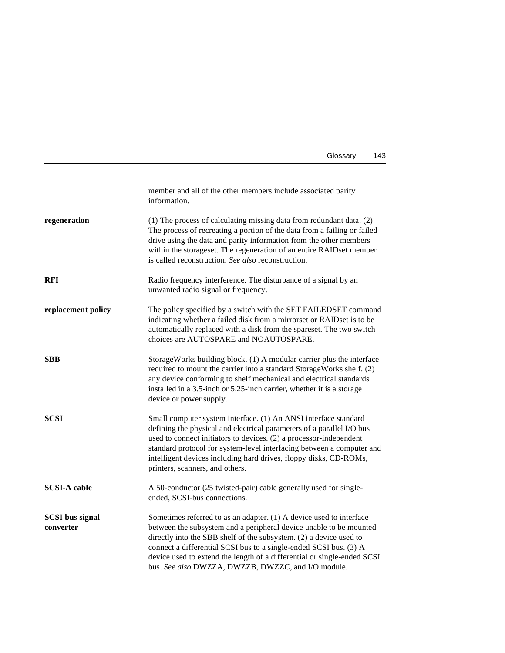| Glossary | 143 |
|----------|-----|
|          |     |

<span id="page-156-0"></span>

|                                     | member and all of the other members include associated parity<br>information.                                                                                                                                                                                                                                                                                                                                           |
|-------------------------------------|-------------------------------------------------------------------------------------------------------------------------------------------------------------------------------------------------------------------------------------------------------------------------------------------------------------------------------------------------------------------------------------------------------------------------|
| regeneration                        | (1) The process of calculating missing data from redundant data. (2)<br>The process of recreating a portion of the data from a failing or failed<br>drive using the data and parity information from the other members<br>within the storageset. The regeneration of an entire RAIDset member<br>is called reconstruction. See also reconstruction.                                                                     |
| <b>RFI</b>                          | Radio frequency interference. The disturbance of a signal by an<br>unwanted radio signal or frequency.                                                                                                                                                                                                                                                                                                                  |
| replacement policy                  | The policy specified by a switch with the SET FAILEDSET command<br>indicating whether a failed disk from a mirrorset or RAIDset is to be<br>automatically replaced with a disk from the spareset. The two switch<br>choices are AUTOSPARE and NOAUTOSPARE.                                                                                                                                                              |
| <b>SBB</b>                          | Storage Works building block. (1) A modular carrier plus the interface<br>required to mount the carrier into a standard StorageWorks shelf. (2)<br>any device conforming to shelf mechanical and electrical standards<br>installed in a 3.5-inch or 5.25-inch carrier, whether it is a storage<br>device or power supply.                                                                                               |
| <b>SCSI</b>                         | Small computer system interface. (1) An ANSI interface standard<br>defining the physical and electrical parameters of a parallel I/O bus<br>used to connect initiators to devices. (2) a processor-independent<br>standard protocol for system-level interfacing between a computer and<br>intelligent devices including hard drives, floppy disks, CD-ROMs,<br>printers, scanners, and others.                         |
| <b>SCSI-A cable</b>                 | A 50-conductor (25 twisted-pair) cable generally used for single-<br>ended, SCSI-bus connections.                                                                                                                                                                                                                                                                                                                       |
| <b>SCSI</b> bus signal<br>converter | Sometimes referred to as an adapter. $(1)$ A device used to interface<br>between the subsystem and a peripheral device unable to be mounted<br>directly into the SBB shelf of the subsystem. (2) a device used to<br>connect a differential SCSI bus to a single-ended SCSI bus. (3) A<br>device used to extend the length of a differential or single-ended SCSI<br>bus. See also DWZZA, DWZZB, DWZZC, and I/O module. |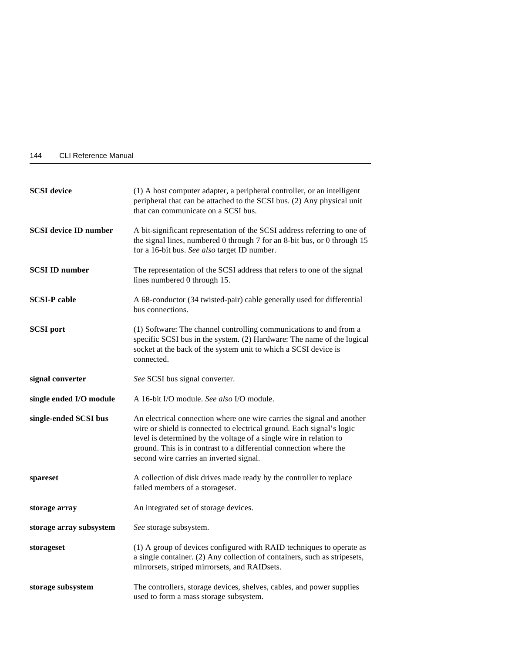<span id="page-157-0"></span>

| 144 | <b>CLI Reference Manual</b> |  |
|-----|-----------------------------|--|
|     |                             |  |

| <b>SCSI</b> device                  | (1) A host computer adapter, a peripheral controller, or an intelligent<br>peripheral that can be attached to the SCSI bus. (2) Any physical unit<br>that can communicate on a SCSI bus.                                                                                                                                               |
|-------------------------------------|----------------------------------------------------------------------------------------------------------------------------------------------------------------------------------------------------------------------------------------------------------------------------------------------------------------------------------------|
| <b>SCSI</b> device <b>ID</b> number | A bit-significant representation of the SCSI address referring to one of<br>the signal lines, numbered 0 through 7 for an 8-bit bus, or 0 through 15<br>for a 16-bit bus. See also target ID number.                                                                                                                                   |
| <b>SCSI ID number</b>               | The representation of the SCSI address that refers to one of the signal<br>lines numbered 0 through 15.                                                                                                                                                                                                                                |
| <b>SCSI-P</b> cable                 | A 68-conductor (34 twisted-pair) cable generally used for differential<br>bus connections.                                                                                                                                                                                                                                             |
| <b>SCSI</b> port                    | (1) Software: The channel controlling communications to and from a<br>specific SCSI bus in the system. (2) Hardware: The name of the logical<br>socket at the back of the system unit to which a SCSI device is<br>connected.                                                                                                          |
| signal converter                    | See SCSI bus signal converter.                                                                                                                                                                                                                                                                                                         |
| single ended I/O module             | A 16-bit I/O module. See also I/O module.                                                                                                                                                                                                                                                                                              |
| single-ended SCSI bus               | An electrical connection where one wire carries the signal and another<br>wire or shield is connected to electrical ground. Each signal's logic<br>level is determined by the voltage of a single wire in relation to<br>ground. This is in contrast to a differential connection where the<br>second wire carries an inverted signal. |
| spareset                            | A collection of disk drives made ready by the controller to replace<br>failed members of a storageset.                                                                                                                                                                                                                                 |
| storage array                       | An integrated set of storage devices.                                                                                                                                                                                                                                                                                                  |
| storage array subsystem             | See storage subsystem.                                                                                                                                                                                                                                                                                                                 |
| storageset                          | (1) A group of devices configured with RAID techniques to operate as<br>a single container. (2) Any collection of containers, such as stripesets,<br>mirrorsets, striped mirrorsets, and RAIDsets.                                                                                                                                     |
| storage subsystem                   | The controllers, storage devices, shelves, cables, and power supplies<br>used to form a mass storage subsystem.                                                                                                                                                                                                                        |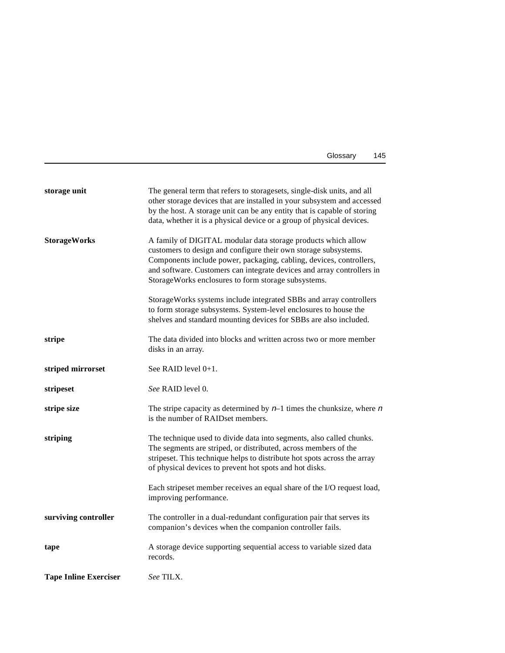| Glossary | 145 |
|----------|-----|
|----------|-----|

<span id="page-158-0"></span>

| storage unit         | The general term that refers to storagesets, single-disk units, and all<br>other storage devices that are installed in your subsystem and accessed<br>by the host. A storage unit can be any entity that is capable of storing<br>data, whether it is a physical device or a group of physical devices.                                  |
|----------------------|------------------------------------------------------------------------------------------------------------------------------------------------------------------------------------------------------------------------------------------------------------------------------------------------------------------------------------------|
| <b>StorageWorks</b>  | A family of DIGITAL modular data storage products which allow<br>customers to design and configure their own storage subsystems.<br>Components include power, packaging, cabling, devices, controllers,<br>and software. Customers can integrate devices and array controllers in<br>StorageWorks enclosures to form storage subsystems. |
|                      | Storage Works systems include integrated SBBs and array controllers<br>to form storage subsystems. System-level enclosures to house the<br>shelves and standard mounting devices for SBBs are also included.                                                                                                                             |
| stripe               | The data divided into blocks and written across two or more member<br>disks in an array.                                                                                                                                                                                                                                                 |
| striped mirrorset    | See RAID level 0+1.                                                                                                                                                                                                                                                                                                                      |
| stripeset            | See RAID level 0.                                                                                                                                                                                                                                                                                                                        |
| stripe size          | The stripe capacity as determined by $n-1$ times the chunksize, where n<br>is the number of RAIDset members.                                                                                                                                                                                                                             |
| striping             | The technique used to divide data into segments, also called chunks.<br>The segments are striped, or distributed, across members of the<br>stripeset. This technique helps to distribute hot spots across the array<br>of physical devices to prevent hot spots and hot disks.                                                           |
|                      | Each stripeset member receives an equal share of the I/O request load,<br>improving performance.                                                                                                                                                                                                                                         |
| surviving controller | The controller in a dual-redundant configuration pair that serves its<br>companion's devices when the companion controller fails.                                                                                                                                                                                                        |
|                      |                                                                                                                                                                                                                                                                                                                                          |
| tape                 | A storage device supporting sequential access to variable sized data<br>records.                                                                                                                                                                                                                                                         |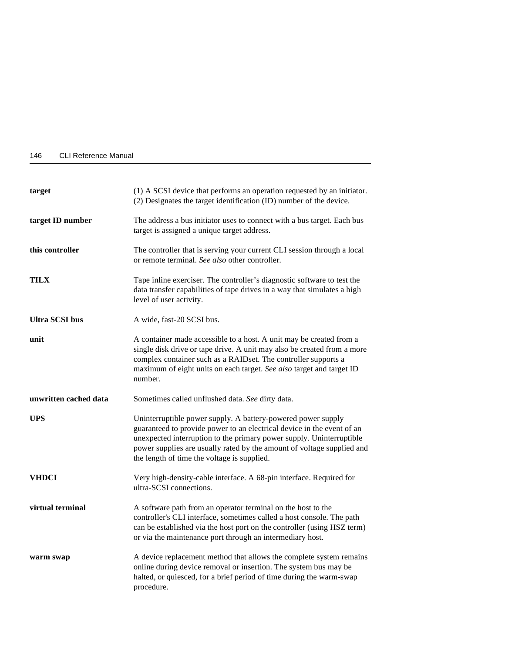| 146 | <b>CLI Reference Manual</b> |  |
|-----|-----------------------------|--|
|     |                             |  |

| target                | (1) A SCSI device that performs an operation requested by an initiator.<br>(2) Designates the target identification (ID) number of the device.                                                                                                                                                      |
|-----------------------|-----------------------------------------------------------------------------------------------------------------------------------------------------------------------------------------------------------------------------------------------------------------------------------------------------|
| target ID number      | The address a bus initiator uses to connect with a bus target. Each bus<br>target is assigned a unique target address.                                                                                                                                                                              |
| this controller       | The controller that is serving your current CLI session through a local<br>or remote terminal. See also other controller.                                                                                                                                                                           |
| <b>TILX</b>           | Tape inline exerciser. The controller's diagnostic software to test the<br>data transfer capabilities of tape drives in a way that simulates a high<br>level of user activity.                                                                                                                      |
| <b>Ultra SCSI bus</b> | A wide, fast-20 SCSI bus.                                                                                                                                                                                                                                                                           |
| unit                  | A container made accessible to a host. A unit may be created from a<br>single disk drive or tape drive. A unit may also be created from a more<br>complex container such as a RAIDset. The controller supports a<br>maximum of eight units on each target. See also target and target ID<br>number. |
| unwritten cached data | Sometimes called unflushed data. See dirty data.                                                                                                                                                                                                                                                    |
| <b>UPS</b>            | Uninterruptible power supply. A battery-powered power supply<br>guaranteed to provide power to an electrical device in the event of an<br>unexpected interruption to the primary power supply. Uninterruptible                                                                                      |
|                       | power supplies are usually rated by the amount of voltage supplied and<br>the length of time the voltage is supplied.                                                                                                                                                                               |
| <b>VHDCI</b>          | Very high-density-cable interface. A 68-pin interface. Required for<br>ultra-SCSI connections.                                                                                                                                                                                                      |
| virtual terminal      | A software path from an operator terminal on the host to the<br>controller's CLI interface, sometimes called a host console. The path<br>can be established via the host port on the controller (using HSZ term)<br>or via the maintenance port through an intermediary host.                       |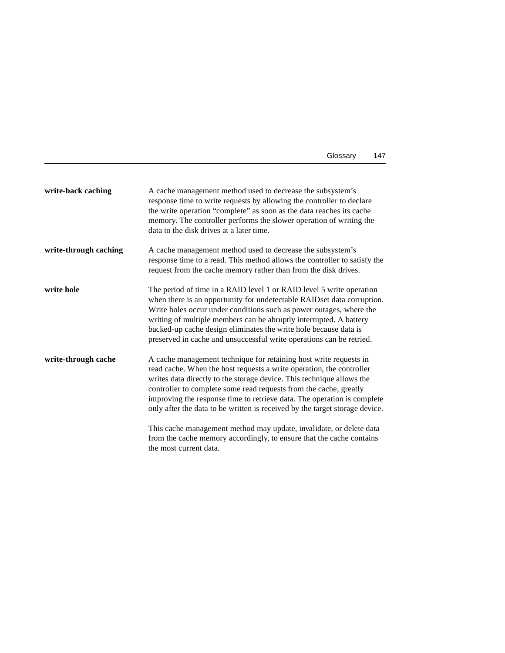| Glossary | 147 |
|----------|-----|
|----------|-----|

<span id="page-160-0"></span>

| write-back caching    | A cache management method used to decrease the subsystem's<br>response time to write requests by allowing the controller to declare<br>the write operation "complete" as soon as the data reaches its cache<br>memory. The controller performs the slower operation of writing the<br>data to the disk drives at a later time.                                                                                                                    |
|-----------------------|---------------------------------------------------------------------------------------------------------------------------------------------------------------------------------------------------------------------------------------------------------------------------------------------------------------------------------------------------------------------------------------------------------------------------------------------------|
| write-through caching | A cache management method used to decrease the subsystem's<br>response time to a read. This method allows the controller to satisfy the<br>request from the cache memory rather than from the disk drives.                                                                                                                                                                                                                                        |
| write hole            | The period of time in a RAID level 1 or RAID level 5 write operation<br>when there is an opportunity for undetectable RAIDset data corruption.<br>Write holes occur under conditions such as power outages, where the<br>writing of multiple members can be abruptly interrupted. A battery<br>backed-up cache design eliminates the write hole because data is<br>preserved in cache and unsuccessful write operations can be retried.           |
| write-through cache   | A cache management technique for retaining host write requests in<br>read cache. When the host requests a write operation, the controller<br>writes data directly to the storage device. This technique allows the<br>controller to complete some read requests from the cache, greatly<br>improving the response time to retrieve data. The operation is complete<br>only after the data to be written is received by the target storage device. |
|                       | This cache management method may update, invalidate, or delete data<br>from the cache memory accordingly, to ensure that the cache contains                                                                                                                                                                                                                                                                                                       |

the most current data.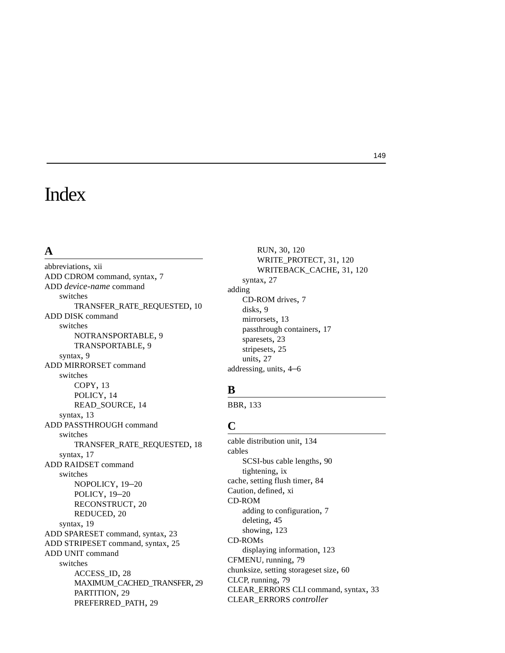## Index

### **A**

abbreviations, [xii](#page-11-0) ADD CDROM command, syntax, [7](#page-20-0) ADD *device-name* command switches TRANSFER\_RATE\_REQUESTED, [10](#page-23-0) ADD DISK command switches NOTRANSPORTABLE, [9](#page-22-0) TR[ANSPORTABLE, 9](#page-22-0) syntax, 9 ADD MIRRORSET command switches COPY, [13](#page-26-0) POLICY, [14](#page-27-0) READ\_SOURCE, [14](#page-27-0) syntax, [13](#page-26-0) ADD PASSTHROUGH command switches TR[ANSFER\\_RATE\\_REQUESTED,](#page-30-0) [18](#page-31-0) syntax, 17 ADD RAIDSET command switches NOPOLICY, [19–](#page-32-0)[20](#page-33-0) POLICY, [19](#page-32-0)[–20](#page-33-0) RECONSTRUCT, [20](#page-33-0) REDUCED, [20](#page-33-0) syntax, [19](#page-32-0) ADD SPARESET command, syntax, [23](#page-36-0) ADD STRIPESET command, syntax, [25](#page-38-0) ADD UNIT command switches ACCESS\_ID, [28](#page-41-0) MAXIMUM\_[CACHED\\_TRANSFER, 29](#page-42-0) PARTITION, 29 PREFERRED\_PATH, [29](#page-42-0)

RUN, [30,](#page-43-0) [120](#page-133-0) WRITE\_PROTECT, [31](#page-44-0), [120](#page-133-0) W[RITEBACK\\_CACHE,](#page-40-0) [31](#page-44-0)[,](#page-40-0) [120](#page-133-0) syntax, 27 adding CD-R[OM drives,](#page-22-0) [7](#page-20-0) disks, 9 mirrorsets, [13](#page-26-0) passthrough containers, [17](#page-30-0) sparesets, [23](#page-36-0) stripesets, [25](#page-38-0) units, [27](#page-40-0) addressing, units, [4](#page-17-0)[–6](#page-19-0)

### **B**

BBR, [133](#page-146-0)

### **C**

cable distribution unit, [134](#page-147-0) cables SCSI-bus cable lengths, [90](#page-103-0) tightening, [ix](#page-8-0) cache, setting flush timer, [84](#page-97-0) Caution, defined, [xi](#page-10-0) CD-ROM adding to configuration, [7](#page-20-0) deleting, [45](#page-58-0) showing, [123](#page-136-0) CD-ROMs displaying information, [123](#page-136-0) CFMENU, running, [79](#page-92-0) chunksize, setting storageset size, [60](#page-73-0) CLCP, running, [79](#page-92-0) CLEAR\_ERRORS CLI command, syntax, [33](#page-46-0) CLEAR\_ERRORS *controller* 

#### 149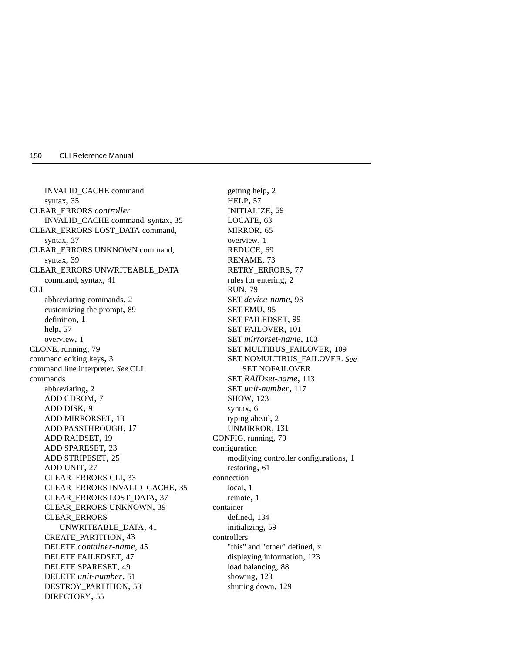INVALID\_CACHE command syntax, [35](#page-48-0) CLEAR\_ERRORS *controller*  INVALID\_CACHE command, syntax, [35](#page-48-0) CLEAR\_ERRORS LOST\_DATA command, syntax, [37](#page-50-0) CLEAR\_ERRORS UNKNOWN command, syntax, [39](#page-52-0) CLEAR\_ERRORS UNWRITEABLE\_DATA command, syntax, [41](#page-54-0) CLI abbreviating commands, [2](#page-15-0) customizin[g the prompt,](#page-14-0) [89](#page-102-0) definition, 1 help, [57](#page-70-0) overview, [1](#page-14-0) CLONE, running, [79](#page-92-0) command editing keys, [3](#page-16-0) [command line interpreter.](#page-14-0) *See* CLI commands abbreviating, [2](#page-15-0) ADD CDROM, [7](#page-20-0) ADD DISK, [9](#page-22-0) ADD MIRRORSET, [13](#page-26-0) ADD PASSTHROUGH, [17](#page-30-0) ADD RAIDSET, [19](#page-32-0) ADD SPARESET, [23](#page-36-0) ADD STRIPESET, [25](#page-38-0) ADD UNIT, [27](#page-40-0) CLEAR\_ERRORS CLI, [33](#page-46-0) CLEAR\_ERRORS INVALID\_CACHE, [35](#page-48-0) CLEAR\_ERRORS LOST\_DATA, [37](#page-50-0) CLEAR\_ERRORS UNKNOWN, [39](#page-52-0) CLEAR\_ERRORS UNWRITEABLE\_DATA, [41](#page-54-0) CREATE\_PARTITION, [43](#page-56-0) DELETE *container-name*, [45](#page-58-0) DELETE FAILEDSET, [47](#page-60-0) DELETE SPARESET, [49](#page-62-0) DELETE *unit-number*, [51](#page-64-0) DESTROY\_PARTITION, [53](#page-66-0) DIRECTORY, [55](#page-68-0)

getting help, [2](#page-15-0) HELP, [57](#page-70-0) INITIALIZE, [59](#page-72-0) LOCATE, [63](#page-76-0) MIRROR, [65](#page-78-0) overview, [1](#page-14-0) REDUCE, [69](#page-82-0) RENAME, [73](#page-86-0) RETRY\_ERRORS, [77](#page-90-0) rules for entering, [2](#page-15-0) RUN, [79](#page-92-0) SET *device-name*, [93](#page-106-0) SET EMU, [95](#page-108-0) SET FAILEDSET, [99](#page-112-0) SET FAILOVER, [101](#page-114-0) SET *mirrorset-name*, [103](#page-116-0) SET MULTIBUS\_FAILOVER, [109](#page-122-0) [SET NOMULTIBUS\\_FAILOVER.](#page-124-0) *See*  SET NOFAILOVER SET *RAIDset-name*, [113](#page-126-0) SET *unit-number*, [117](#page-130-0) SHOW, [123](#page-136-0) syntax, [6](#page-19-0) typing ahead, [2](#page-15-0) UNMIRROR, [131](#page-144-0) CONFIG, running, [79](#page-92-0) configuration modifying [controller configurations,](#page-74-0) [1](#page-14-0) restoring, 61 connection local, [1](#page-14-0) remote, [1](#page-14-0) container defined, [134](#page-147-0) initializing, [59](#page-72-0) controllers "this" and "other" defined, [x](#page-9-0) displaying information, [123](#page-136-0) load balancing, [88](#page-101-0) showing, [123](#page-136-0) shutting down, [129](#page-142-0)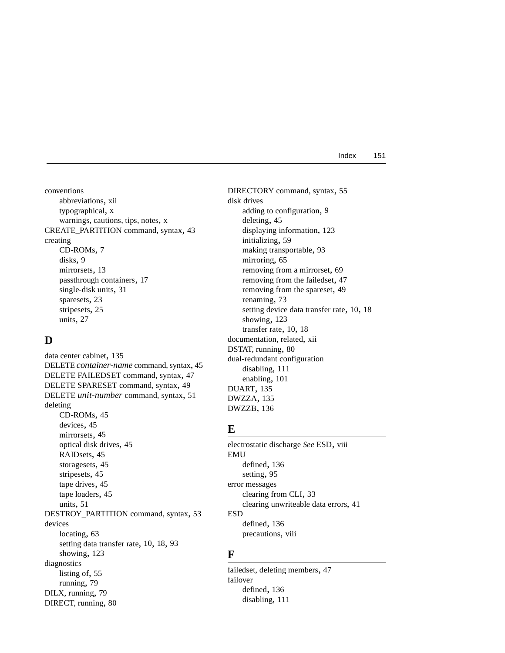conventions abbreviations, [xii](#page-11-0) typographical, [x](#page-9-0) warnings, cautions, tips, notes, [x](#page-9-0) CREATE\_PARTITION command, syntax, [43](#page-56-0) creating CD-ROMs, [7](#page-20-0) disks, [9](#page-22-0) mirrorsets, [13](#page-26-0) passthrough containers, [17](#page-30-0) single-disk units, [31](#page-44-0) sparesets, [23](#page-36-0) stripesets, [25](#page-38-0) units, [27](#page-40-0)

### **D**

data center cabinet, [135](#page-148-0) DELETE *container-name* command, syntax, [45](#page-58-0) DELETE FAILEDSET command, syntax, [47](#page-60-0) DELETE SPARESET command, syntax, [49](#page-62-0) DELETE *unit-number* command, syntax, [51](#page-64-0) deleting CD-ROMs, [45](#page-58-0) devices, [45](#page-58-0) mirrorsets, [45](#page-58-0) optical disk drives, [45](#page-58-0) RAIDsets, [45](#page-58-0) storagesets, [45](#page-58-0) stripesets, [45](#page-58-0) tape drives, [45](#page-58-0) tape loaders, [45](#page-58-0) units, [51](#page-64-0) DESTROY\_PARTITION command, syntax, [53](#page-66-0) devices locating, [63](#page-76-0) setting data transfer rate, [10](#page-23-0), [18](#page-31-0), [93](#page-106-0) showing, [123](#page-136-0) diagnostics listing of, [55](#page-68-0) running, [79](#page-92-0) DILX, running, [79](#page-92-0) DIRECT, running, [80](#page-93-0)

DIRECTORY command, syntax, [55](#page-68-0) disk drives adding to configuration, [9](#page-22-0) deleting, [45](#page-58-0) displaying information, [123](#page-136-0) initializing, [59](#page-72-0) making transportable, [93](#page-106-0) mirroring, [65](#page-78-0) removing from a mirrorset, [69](#page-82-0) removing from the failedset, [47](#page-60-0) removing from the spareset, [49](#page-62-0) renaming, [73](#page-86-0) setting device data transfer rate, [10,](#page-23-0) [18](#page-31-0) showing, [123](#page-136-0) transfer rate, [10,](#page-23-0) [18](#page-31-0) documentation, related, [xii](#page-11-0) DSTAT, running, [80](#page-93-0) dual-redundant configuration disabling, [111](#page-124-0) enabling, [101](#page-114-0) DUART, [135](#page-148-0) DWZZA, [135](#page-148-0) DWZZB, [136](#page-149-0)

### **E**

electrostatic discharge *See* ESD, [viii](#page-7-0) EMU defined, [136](#page-149-0) setting, [95](#page-108-0) error messages clearing from CLI, [33](#page-46-0) clearing unwriteable data errors, [41](#page-54-0) ESD defined, [136](#page-149-0) precautions, [viii](#page-7-0)

### **F**

failedset, deleting members, [47](#page-60-0) failover defined, [136](#page-149-0) disabling, [111](#page-124-0)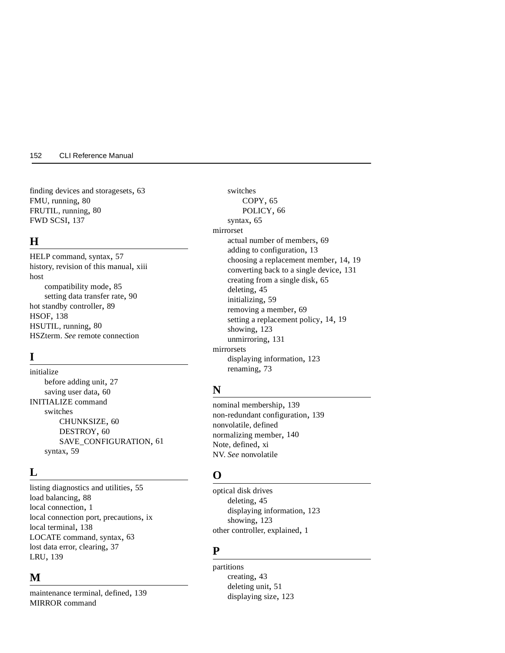finding devices and storagesets, [63](#page-76-0) FMU, running, [80](#page-93-0) FRUTIL, running, [80](#page-93-0) FWD SCSI, [137](#page-150-0)

### **H**

HELP command, syntax, [57](#page-70-0) history, revision of this manual, [xiii](#page-12-0) host compatibility mode, [85](#page-98-0) setting data transfer rate, [90](#page-103-0) hot standby controller, [89](#page-102-0) HSOF, [138](#page-151-0) HSUTIL, running, [80](#page-93-0) [HSZterm.](#page-14-0) *See* remote connection

### **I**

initialize before adding unit, [27](#page-40-0) saving user data, [60](#page-73-0) INITIALIZE command switches CHUNKSIZE, [60](#page-73-0) DESTROY, [60](#page-73-0) SA[VE\\_CONFIGURATION,](#page-72-0) [61](#page-74-0) syntax, 59

### **L**

listing diagnostics and utilities, [55](#page-68-0) load balancing, [88](#page-101-0) local connection, [1](#page-14-0) local connection port, precautions, [ix](#page-8-0) local terminal, [138](#page-151-0) LOCATE command, syntax, [63](#page-76-0) lost data error, clearing, [37](#page-50-0) LRU, [139](#page-152-0)

### **M**

maintenance terminal, defined, [139](#page-152-0) MIRROR command

switches COPY, [65](#page-78-0) POLICY, [66](#page-79-0) syntax, [65](#page-78-0) mirrorset actual number of members, [69](#page-82-0) adding to configuration, [13](#page-26-0) choosing a replacement member, [14,](#page-27-0) [19](#page-32-0) converting back to a single device, [131](#page-144-0) creating from a single disk, [65](#page-78-0) deleting, [45](#page-58-0) initializing, [59](#page-72-0) removing a member, [69](#page-82-0) setting a replacement policy, [14](#page-27-0), [19](#page-32-0) showing, [123](#page-136-0) unmirroring, [131](#page-144-0) mirrorsets displaying information, [123](#page-136-0) renaming, [73](#page-86-0)

### **N**

nominal membership, [139](#page-152-0) non-redundant configuration, [139](#page-152-0) [nonvolatile, defined](#page-153-0) normalizing member, [140](#page-153-0) Note, defined, [xi](#page-10-0) [NV.](#page-153-0) *See* nonvolatile

### **O**

optical disk drives deleting, [45](#page-58-0) displaying information, [123](#page-136-0) showing, [123](#page-136-0) other controller, explained, [1](#page-14-0)

#### **P**

partitions creating, [43](#page-56-0) deleting unit, [51](#page-64-0) displaying size[,](#page-124-0) [123](#page-136-0)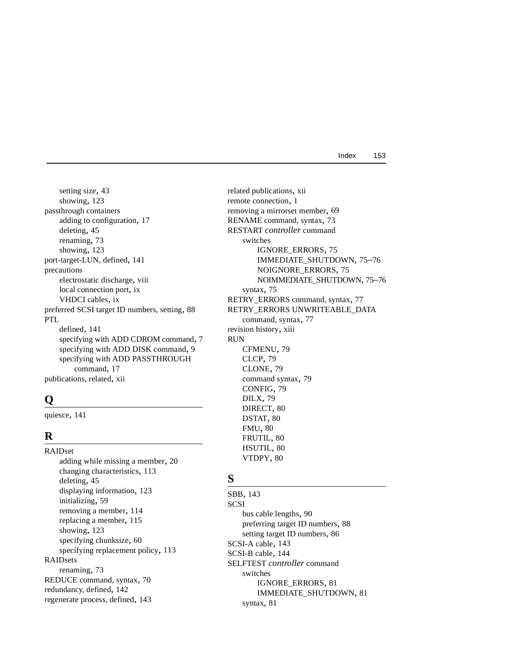Index 153

setting size, [43](#page-56-0) showing, [123](#page-136-0) passthrough containers adding to configuration, [17](#page-30-0) deleting, [45](#page-58-0) renaming, [73](#page-86-0) showing, [123](#page-136-0) port-target-LUN, defined, [141](#page-154-0) precautions electrostatic discharge, [viii](#page-7-0) local connection port, [ix](#page-8-0) VHDCI cables, [ix](#page-8-0) preferred SCSI target ID numbers, setting, [88](#page-101-0) PTL defined, [141](#page-154-0) specifying with ADD CDROM command, [7](#page-20-0) specifying with ADD DISK command, [9](#page-22-0) specifying with ADD PASSTHROUGH command, [17](#page-30-0) publications, related, [xii](#page-11-0)

### **Q**

quiesce, [141](#page-154-0)

### **R**

RAIDset adding while missing a member, [20](#page-33-0) changing characteristics, [113](#page-126-0) deleting, [45](#page-58-0) displaying information, [123](#page-136-0) initializing, [59](#page-72-0) removing a member, [114](#page-127-0) replacing a member, [115](#page-128-0) showing, [123](#page-136-0) specifying chunksize, [60](#page-73-0) specifying replacement policy, [113](#page-126-0) RAIDsets renaming, [73](#page-86-0) REDUCE command, syntax, [70](#page-83-0) redundancy, defined, [142](#page-155-0) regenerate process, defined, [143](#page-156-0)

related publications, [xii](#page-11-0) remote connection, [1](#page-14-0) removing a mirrorset member, [69](#page-82-0) RENAME command, syntax, [73](#page-86-0) RESTART *controller* command switches IGNORE\_ERRORS, [75](#page-88-0) IMMEDIATE\_SHUTDOWN, [75–](#page-88-0)[76](#page-89-0) NOIGNORE\_ERRORS, [75](#page-88-0) N[OIMMEDIATE\\_SHUTDOWN, 75–](#page-88-0)[76](#page-89-0) syntax, 75 RETRY\_ERRORS command, syntax, [77](#page-90-0) RETRY\_ERRORS UNWRITEABLE\_DATA command, syntax, [77](#page-90-0) revision history, [xiii](#page-12-0) RUN CFMENU, [79](#page-92-0) CLCP, [79](#page-92-0) CLONE, [79](#page-92-0) command syntax, [79](#page-92-0) CONFIG, [79](#page-92-0) DILX, [79](#page-92-0) DIRECT, [80](#page-93-0) DSTAT, [80](#page-93-0) FMU, [80](#page-93-0) FRUTIL, [80](#page-93-0) HSUTIL, [80](#page-93-0) VTDPY, [80](#page-93-0)

#### **S**

SBB, [143](#page-156-0) SCSI bus cable lengths, [90](#page-103-0) preferring target ID numbers, [88](#page-101-0) setting target ID numbers, [86](#page-99-0) SCSI-A cable, [143](#page-156-0) SCSI-B cable, [144](#page-157-0) SELFTEST *controller* command switches IGNORE\_ERRORS, [81](#page-94-0) IM[ME](#page-94-0)[DIATE\\_SHUTDOWN,](#page-136-0) [81](#page-94-0) syntax, 81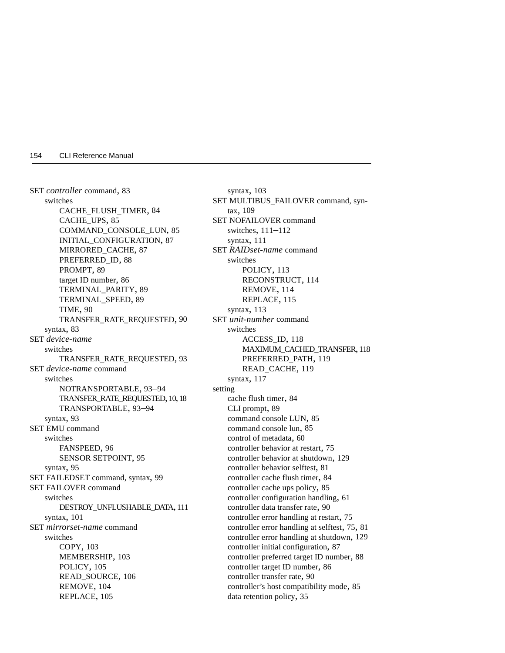SET *controller* command, [83](#page-96-0) switches CACHE\_FLUSH\_TIMER, [84](#page-97-0) CACHE\_UPS, [85](#page-98-0) COMMAND\_CONSOLE\_LUN, [85](#page-98-0) INITIAL\_CONFIGURATION, [87](#page-100-0) MIRRORED\_CACHE, [87](#page-100-0) PREFERRED\_ID, [88](#page-101-0) PROMPT, [89](#page-102-0) target ID number, [86](#page-99-0) TERMINAL\_PARITY, [89](#page-102-0) TERMINAL\_SPEED, [89](#page-102-0) TIME, [90](#page-103-0) TR[ANSFER\\_RATE\\_REQUESTED,](#page-96-0) [90](#page-103-0) syntax, 83 SET *device-name*  switches TRANSFER\_RATE\_REQUESTED, [93](#page-106-0) SET *device-name* command switches NOTRANSPORTABLE, [93–](#page-106-0)[94](#page-107-0) TRANSFER\_RATE\_REQUESTED, [10](#page-23-0), [18](#page-31-0) TR[ANSPORTABLE, 93–](#page-106-0)[94](#page-107-0) syntax, 93 SET EMU command switches FANSPEED, [96](#page-109-0) SE[NSOR SETPOINT, 95](#page-108-0) syntax, 95 SET FAILEDSET command, syntax, [99](#page-112-0) SET FAILOVER command switches DE[STROY\\_UNFLUSHABLE\\_DATA,](#page-114-0) [111](#page-124-0) syntax, 101 SET *mirrorset-name* command switches COPY, [103](#page-116-0) MEMBERSHIP, [103](#page-116-0) POLICY, [105](#page-118-0) READ\_SOURCE, [106](#page-119-0) REMOVE, [104](#page-117-0) REPLACE, [105](#page-118-0)

syntax, [103](#page-116-0) SET MULTIBUS\_FAILOVER command, syntax, [109](#page-122-0) SET NOFAILOVER command switches, [111](#page-124-0)[–112](#page-125-0) syntax, [111](#page-124-0) SET *RAIDset-name* command switches POLICY, [113](#page-126-0) RECONSTRUCT, [114](#page-127-0) REMOVE, [114](#page-127-0) REPLACE, [115](#page-128-0) syntax, [113](#page-126-0) SET *unit-number* command switches ACCESS\_ID, [118](#page-131-0) MAXIMUM\_CACHED\_TRANSFER, [118](#page-131-0) PREFERRED\_PATH, [119](#page-132-0) READ\_CACHE, [119](#page-132-0) syntax, [117](#page-130-0) setting cache flush timer, [84](#page-97-0) CLI prompt, [89](#page-102-0) command console LUN, [85](#page-98-0) command console lun, [85](#page-98-0) control of metadata, [60](#page-73-0) controller behavior at restart, [75](#page-88-0) controller behavior at shutdown, [129](#page-142-0) controller behavior selftest, [81](#page-94-0) controller cache flush timer, [84](#page-97-0) controller cache ups policy, [85](#page-98-0) controller configuration handling, [61](#page-74-0) controller data transfer rate, [90](#page-103-0) controller error handling at restart, [75](#page-88-0) controller error handling at selftest, [75,](#page-88-0) [81](#page-94-0) controller error handling at shutdown, [129](#page-142-0) controller initial configuration, [87](#page-100-0) controller preferred target ID number, [88](#page-101-0) controller target ID number, [86](#page-99-0) controller transfer rate, [90](#page-103-0) controller's host compatibility mode, [85](#page-98-0) data retentio[n policy,](#page-94-0) [35](#page-48-0)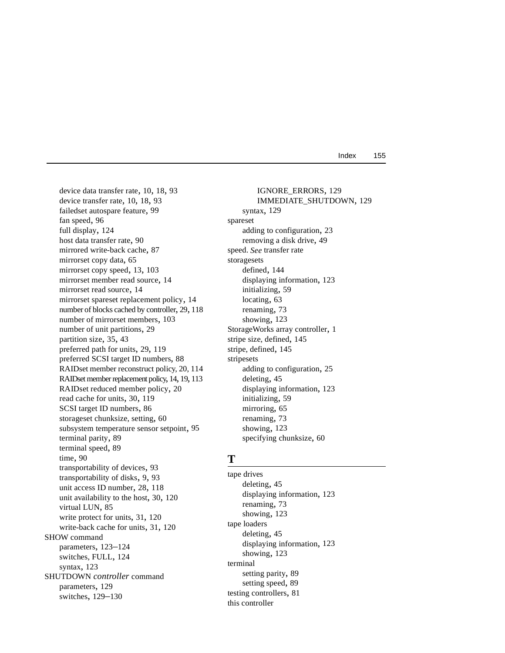device data transfer rate, [10](#page-23-0), [18](#page-31-0), [93](#page-106-0) device transfer rate, [10](#page-23-0), [18](#page-31-0), [93](#page-106-0) failedset autospare feature, [99](#page-112-0) fan speed, [96](#page-109-0) full display, [124](#page-137-0) host data transfer rate, [90](#page-103-0) mirrored write-back cache, [87](#page-100-0) mirrorset copy data, [65](#page-78-0) mirrorset copy speed, [13,](#page-26-0) [103](#page-116-0) mirrorset member read source, [14](#page-27-0) mirrorset read source, [14](#page-27-0) mirrorset spareset replacement policy, [14](#page-27-0) number of blocks cached by controller, [29](#page-42-0), [118](#page-131-0) number of mirrorset members, [103](#page-116-0) number of unit partitions, [29](#page-42-0) partition size, [35,](#page-48-0) [43](#page-56-0) preferred path for units, [29,](#page-42-0) [119](#page-132-0) preferred SCSI target ID numbers, [88](#page-101-0) [RAIDset member reconstruct policy, 20,](#page-33-0) [114](#page-127-0) RAIDset member replacement policy, [14](#page-27-0), [19,](#page-32-0) [113](#page-126-0) RAIDset reduced member policy, [20](#page-33-0) read cache for units, [30,](#page-43-0) [119](#page-132-0) SCSI target ID numbers, [86](#page-99-0) storageset chunksize, setting, [60](#page-73-0) subsystem temp[erature sensor setpoint,](#page-102-0) [95](#page-108-0) terminal parity, 89 terminal speed, [89](#page-102-0) time, [90](#page-103-0) transportability of devices, [93](#page-106-0) transportability of disks, [9,](#page-22-0) [93](#page-106-0) unit access ID number, [28,](#page-41-0) [118](#page-131-0) unit availabili[ty to the host,](#page-98-0) [30](#page-43-0)[,](#page-98-0) [120](#page-133-0) virtual LUN, 85 write protect for units, [31,](#page-44-0) [120](#page-133-0) write-back cache for units, [31](#page-44-0), [120](#page-133-0) SHOW command parameters, [123–](#page-136-0)[124](#page-137-0) switches, FULL, [124](#page-137-0) syntax, [123](#page-136-0) SHUTDOWN *controller* command parameters, [129](#page-142-0) switches, [129](#page-142-0)[–130](#page-143-0)

IGNORE\_ERRORS, [129](#page-142-0) IMMEDIATE\_SHUTDOWN, [129](#page-142-0) syntax, [129](#page-142-0) spareset adding to configuration, [23](#page-36-0) removing a disk drive, [49](#page-62-0) [speed.](#page-23-0) *See* transfer rate storagesets defined, [144](#page-157-0) displaying information, [123](#page-136-0) initializing, [59](#page-72-0) locating, [63](#page-76-0) renaming, [73](#page-86-0) showing, [123](#page-136-0) StorageWorks array controller, [1](#page-14-0) stripe size, defined, [145](#page-158-0) stripe, defined, [145](#page-158-0) stripesets adding to configuration, [25](#page-38-0) deleting, [45](#page-58-0) displaying information, [123](#page-136-0) initializing, [59](#page-72-0) mirroring, [65](#page-78-0) renaming, [73](#page-86-0) showing, [123](#page-136-0) specifying chunksize, [60](#page-73-0)

#### **T**

tape drives deleting, [45](#page-58-0) displaying information, [123](#page-136-0) renaming, [73](#page-86-0) showing, [123](#page-136-0) tape loaders deleting, [45](#page-58-0) displaying information, [123](#page-136-0) showing, [123](#page-136-0) terminal setting parity, [89](#page-102-0) setting speed, [89](#page-102-0) testing controllers, [81](#page-94-0) this controller